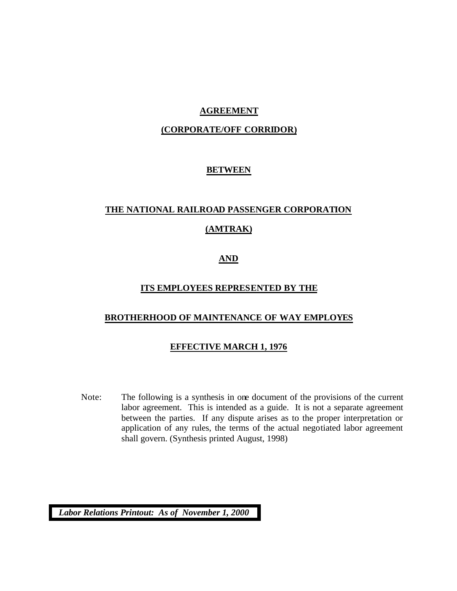# **AGREEMENT**

# **(CORPORATE/OFF CORRIDOR)**

### **BETWEEN**

# **THE NATIONAL RAILROAD PASSENGER CORPORATION (AMTRAK)**

# **AND**

### **ITS EMPLOYEES REPRESENTED BY THE**

### **BROTHERHOOD OF MAINTENANCE OF WAY EMPLOYES**

### **EFFECTIVE MARCH 1, 1976**

Note: The following is a synthesis in one document of the provisions of the current labor agreement. This is intended as a guide. It is not a separate agreement between the parties. If any dispute arises as to the proper interpretation or application of any rules, the terms of the actual negotiated labor agreement shall govern. (Synthesis printed August, 1998)

 *Labor Relations Printout: As of November 1, 2000*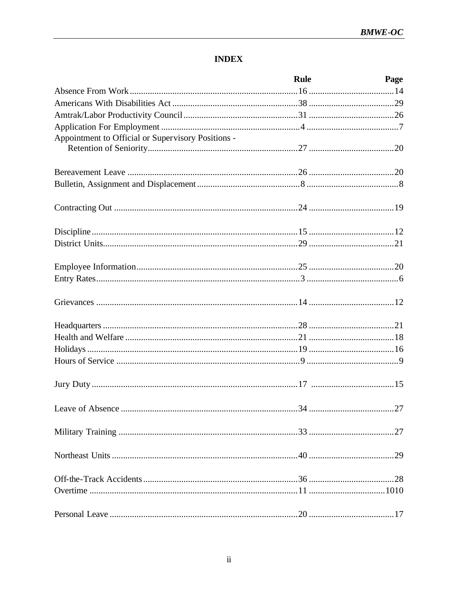# **INDEX**

|                                                    | <b>Rule</b> | Page |
|----------------------------------------------------|-------------|------|
|                                                    |             |      |
|                                                    |             |      |
|                                                    |             |      |
|                                                    |             |      |
| Appointment to Official or Supervisory Positions - |             |      |
|                                                    |             |      |
|                                                    |             |      |
|                                                    |             |      |
|                                                    |             |      |
|                                                    |             |      |
|                                                    |             |      |
|                                                    |             |      |
|                                                    |             |      |
|                                                    |             |      |
|                                                    |             |      |
|                                                    |             |      |
|                                                    |             |      |
|                                                    |             |      |
| Leave of Absence                                   |             | 27   |
|                                                    |             |      |
|                                                    |             |      |
|                                                    |             |      |
|                                                    |             |      |
|                                                    |             |      |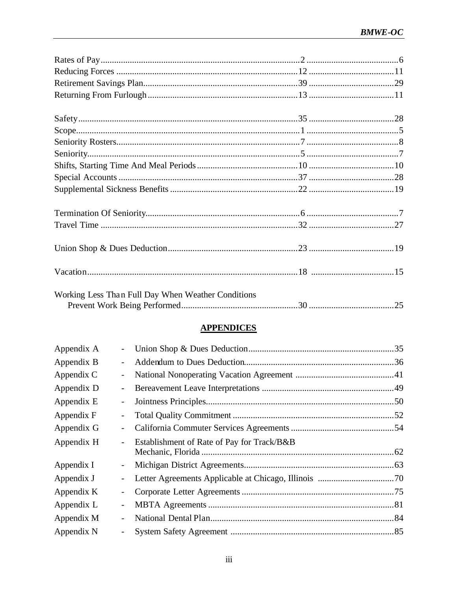| Working Less Than Full Day When Weather Conditions |  |
|----------------------------------------------------|--|
|                                                    |  |

# **APPENDICES**

| Appendix A |                                            |  |
|------------|--------------------------------------------|--|
| Appendix B |                                            |  |
| Appendix C | $\overline{\phantom{a}}$                   |  |
| Appendix D | $\overline{\phantom{a}}$                   |  |
| Appendix E |                                            |  |
| Appendix F | $\overline{\phantom{a}}$                   |  |
| Appendix G | $\qquad \qquad \blacksquare$               |  |
| Appendix H | Establishment of Rate of Pay for Track/B&B |  |
| Appendix I | $\blacksquare$                             |  |
| Appendix J | $\qquad \qquad \blacksquare$               |  |
| Appendix K | $\overline{\phantom{a}}$                   |  |
| Appendix L | $\overline{\phantom{a}}$                   |  |
| Appendix M |                                            |  |
| Appendix N |                                            |  |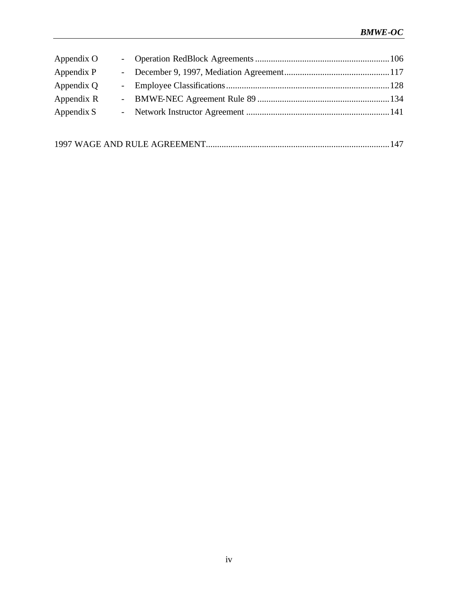| Appendix O |  |
|------------|--|
| Appendix P |  |
| Appendix Q |  |
| Appendix R |  |
| Appendix S |  |
|            |  |

|--|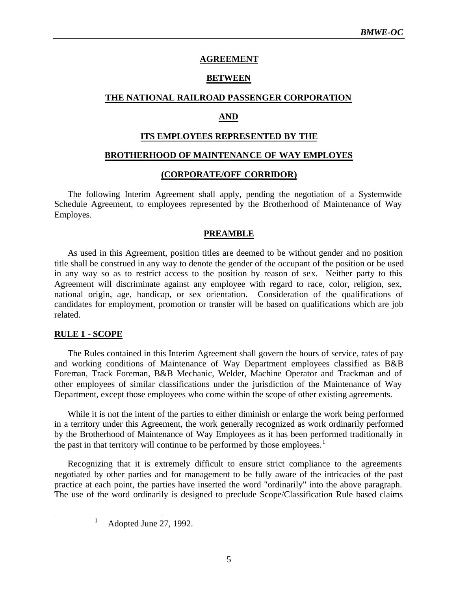#### **AGREEMENT**

### **BETWEEN**

#### **THE NATIONAL RAILROAD PASSENGER CORPORATION**

#### **AND**

#### **ITS EMPLOYEES REPRESENTED BY THE**

#### **BROTHERHOOD OF MAINTENANCE OF WAY EMPLOYES**

#### **(CORPORATE/OFF CORRIDOR)**

The following Interim Agreement shall apply, pending the negotiation of a Systemwide Schedule Agreement, to employees represented by the Brotherhood of Maintenance of Way Employes.

#### **PREAMBLE**

As used in this Agreement, position titles are deemed to be without gender and no position title shall be construed in any way to denote the gender of the occupant of the position or be used in any way so as to restrict access to the position by reason of sex. Neither party to this Agreement will discriminate against any employee with regard to race, color, religion, sex, national origin, age, handicap, or sex orientation. Consideration of the qualifications of candidates for employment, promotion or transfer will be based on qualifications which are job related.

#### **RULE 1 - SCOPE**

 $\overline{a}$ 

The Rules contained in this Interim Agreement shall govern the hours of service, rates of pay and working conditions of Maintenance of Way Department employees classified as B&B Foreman, Track Foreman, B&B Mechanic, Welder, Machine Operator and Trackman and of other employees of similar classifications under the jurisdiction of the Maintenance of Way Department, except those employees who come within the scope of other existing agreements.

While it is not the intent of the parties to either diminish or enlarge the work being performed in a territory under this Agreement, the work generally recognized as work ordinarily performed by the Brotherhood of Maintenance of Way Employees as it has been performed traditionally in the past in that territory will continue to be performed by those employees.<sup>1</sup>

Recognizing that it is extremely difficult to ensure strict compliance to the agreements negotiated by other parties and for management to be fully aware of the intricacies of the past practice at each point, the parties have inserted the word "ordinarily" into the above paragraph. The use of the word ordinarily is designed to preclude Scope/Classification Rule based claims

 $1$  Adopted June 27, 1992.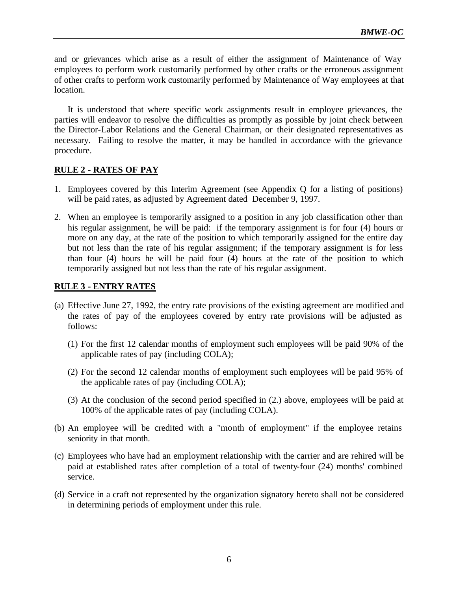and or grievances which arise as a result of either the assignment of Maintenance of Way employees to perform work customarily performed by other crafts or the erroneous assignment of other crafts to perform work customarily performed by Maintenance of Way employees at that location.

It is understood that where specific work assignments result in employee grievances, the parties will endeavor to resolve the difficulties as promptly as possible by joint check between the Director-Labor Relations and the General Chairman, or their designated representatives as necessary. Failing to resolve the matter, it may be handled in accordance with the grievance procedure.

### **RULE 2 - RATES OF PAY**

- 1. Employees covered by this Interim Agreement (see Appendix Q for a listing of positions) will be paid rates, as adjusted by Agreement dated December 9, 1997.
- 2. When an employee is temporarily assigned to a position in any job classification other than his regular assignment, he will be paid: if the temporary assignment is for four (4) hours or more on any day, at the rate of the position to which temporarily assigned for the entire day but not less than the rate of his regular assignment; if the temporary assignment is for less than four (4) hours he will be paid four (4) hours at the rate of the position to which temporarily assigned but not less than the rate of his regular assignment.

### **RULE 3 - ENTRY RATES**

- (a) Effective June 27, 1992, the entry rate provisions of the existing agreement are modified and the rates of pay of the employees covered by entry rate provisions will be adjusted as follows:
	- (1) For the first 12 calendar months of employment such employees will be paid 90% of the applicable rates of pay (including COLA);
	- (2) For the second 12 calendar months of employment such employees will be paid 95% of the applicable rates of pay (including COLA);
	- (3) At the conclusion of the second period specified in (2.) above, employees will be paid at 100% of the applicable rates of pay (including COLA).
- (b) An employee will be credited with a "month of employment" if the employee retains seniority in that month.
- (c) Employees who have had an employment relationship with the carrier and are rehired will be paid at established rates after completion of a total of twenty-four (24) months' combined service.
- (d) Service in a craft not represented by the organization signatory hereto shall not be considered in determining periods of employment under this rule.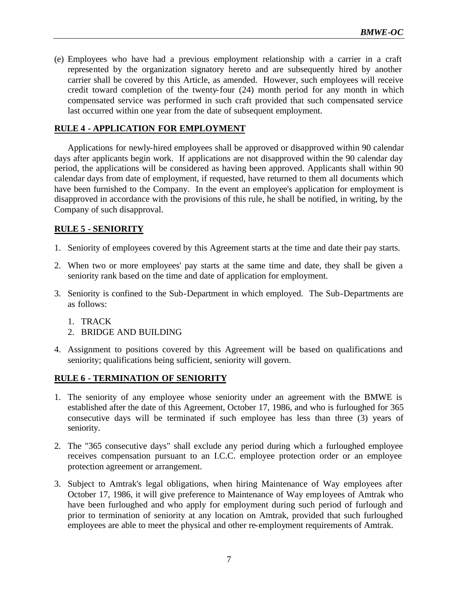(e) Employees who have had a previous employment relationship with a carrier in a craft represented by the organization signatory hereto and are subsequently hired by another carrier shall be covered by this Article, as amended. However, such employees will receive credit toward completion of the twenty-four (24) month period for any month in which compensated service was performed in such craft provided that such compensated service last occurred within one year from the date of subsequent employment.

### **RULE 4 - APPLICATION FOR EMPLOYMENT**

Applications for newly-hired employees shall be approved or disapproved within 90 calendar days after applicants begin work. If applications are not disapproved within the 90 calendar day period, the applications will be considered as having been approved. Applicants shall within 90 calendar days from date of employment, if requested, have returned to them all documents which have been furnished to the Company. In the event an employee's application for employment is disapproved in accordance with the provisions of this rule, he shall be notified, in writing, by the Company of such disapproval.

### **RULE 5 - SENIORITY**

- 1. Seniority of employees covered by this Agreement starts at the time and date their pay starts.
- 2. When two or more employees' pay starts at the same time and date, they shall be given a seniority rank based on the time and date of application for employment.
- 3. Seniority is confined to the Sub-Department in which employed. The Sub-Departments are as follows:
	- 1. TRACK
	- 2. BRIDGE AND BUILDING
- 4. Assignment to positions covered by this Agreement will be based on qualifications and seniority; qualifications being sufficient, seniority will govern.

# **RULE 6 - TERMINATION OF SENIORITY**

- 1. The seniority of any employee whose seniority under an agreement with the BMWE is established after the date of this Agreement, October 17, 1986, and who is furloughed for 365 consecutive days will be terminated if such employee has less than three (3) years of seniority.
- 2. The "365 consecutive days" shall exclude any period during which a furloughed employee receives compensation pursuant to an I.C.C. employee protection order or an employee protection agreement or arrangement.
- 3. Subject to Amtrak's legal obligations, when hiring Maintenance of Way employees after October 17, 1986, it will give preference to Maintenance of Way employees of Amtrak who have been furloughed and who apply for employment during such period of furlough and prior to termination of seniority at any location on Amtrak, provided that such furloughed employees are able to meet the physical and other re-employment requirements of Amtrak.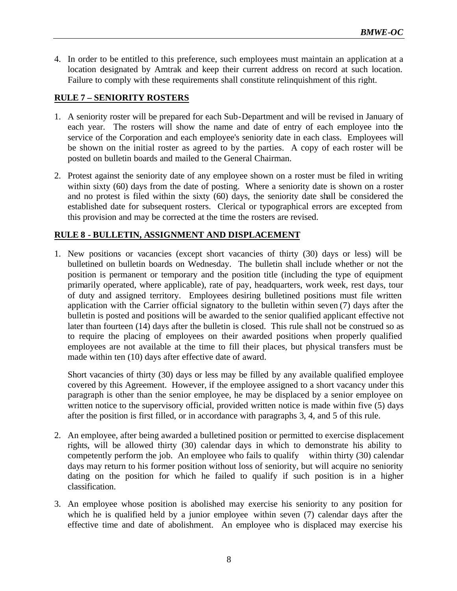4. In order to be entitled to this preference, such employees must maintain an application at a location designated by Amtrak and keep their current address on record at such location. Failure to comply with these requirements shall constitute relinquishment of this right.

# **RULE 7 – SENIORITY ROSTERS**

- 1. A seniority roster will be prepared for each Sub-Department and will be revised in January of each year. The rosters will show the name and date of entry of each employee into the service of the Corporation and each employee's seniority date in each class. Employees will be shown on the initial roster as agreed to by the parties. A copy of each roster will be posted on bulletin boards and mailed to the General Chairman.
- 2. Protest against the seniority date of any employee shown on a roster must be filed in writing within sixty (60) days from the date of posting. Where a seniority date is shown on a roster and no protest is filed within the sixty (60) days, the seniority date shall be considered the established date for subsequent rosters. Clerical or typographical errors are excepted from this provision and may be corrected at the time the rosters are revised.

# **RULE 8 - BULLETIN, ASSIGNMENT AND DISPLACEMENT**

1. New positions or vacancies (except short vacancies of thirty (30) days or less) will be bulletined on bulletin boards on Wednesday. The bulletin shall include whether or not the position is permanent or temporary and the position title (including the type of equipment primarily operated, where applicable), rate of pay, headquarters, work week, rest days, tour of duty and assigned territory. Employees desiring bulletined positions must file written application with the Carrier official signatory to the bulletin within seven (7) days after the bulletin is posted and positions will be awarded to the senior qualified applicant effective not later than fourteen (14) days after the bulletin is closed. This rule shall not be construed so as to require the placing of employees on their awarded positions when properly qualified employees are not available at the time to fill their places, but physical transfers must be made within ten (10) days after effective date of award.

Short vacancies of thirty (30) days or less may be filled by any available qualified employee covered by this Agreement. However, if the employee assigned to a short vacancy under this paragraph is other than the senior employee, he may be displaced by a senior employee on written notice to the supervisory official, provided written notice is made within five (5) days after the position is first filled, or in accordance with paragraphs 3, 4, and 5 of this rule.

- 2. An employee, after being awarded a bulletined position or permitted to exercise displacement rights, will be allowed thirty (30) calendar days in which to demonstrate his ability to competently perform the job. An employee who fails to qualify within thirty (30) calendar days may return to his former position without loss of seniority, but will acquire no seniority dating on the position for which he failed to qualify if such position is in a higher classification.
- 3. An employee whose position is abolished may exercise his seniority to any position for which he is qualified held by a junior employee within seven (7) calendar days after the effective time and date of abolishment. An employee who is displaced may exercise his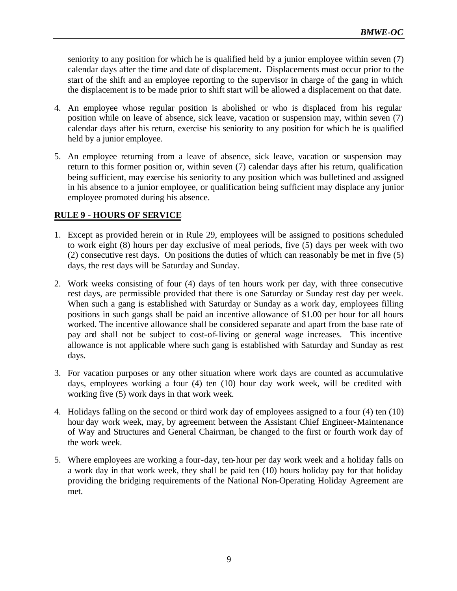seniority to any position for which he is qualified held by a junior employee within seven (7) calendar days after the time and date of displacement. Displacements must occur prior to the start of the shift and an employee reporting to the supervisor in charge of the gang in which the displacement is to be made prior to shift start will be allowed a displacement on that date.

- 4. An employee whose regular position is abolished or who is displaced from his regular position while on leave of absence, sick leave, vacation or suspension may, within seven (7) calendar days after his return, exercise his seniority to any position for which he is qualified held by a junior employee.
- 5. An employee returning from a leave of absence, sick leave, vacation or suspension may return to this former position or, within seven (7) calendar days after his return, qualification being sufficient, may exercise his seniority to any position which was bulletined and assigned in his absence to a junior employee, or qualification being sufficient may displace any junior employee promoted during his absence.

# **RULE 9 - HOURS OF SERVICE**

- 1. Except as provided herein or in Rule 29, employees will be assigned to positions scheduled to work eight (8) hours per day exclusive of meal periods, five (5) days per week with two (2) consecutive rest days. On positions the duties of which can reasonably be met in five (5) days, the rest days will be Saturday and Sunday.
- 2. Work weeks consisting of four (4) days of ten hours work per day, with three consecutive rest days, are permissible provided that there is one Saturday or Sunday rest day per week. When such a gang is established with Saturday or Sunday as a work day, employees filling positions in such gangs shall be paid an incentive allowance of \$1.00 per hour for all hours worked. The incentive allowance shall be considered separate and apart from the base rate of pay and shall not be subject to cost-of-living or general wage increases. This incentive allowance is not applicable where such gang is established with Saturday and Sunday as rest days.
- 3. For vacation purposes or any other situation where work days are counted as accumulative days, employees working a four (4) ten (10) hour day work week, will be credited with working five (5) work days in that work week.
- 4. Holidays falling on the second or third work day of employees assigned to a four (4) ten (10) hour day work week, may, by agreement between the Assistant Chief Engineer-Maintenance of Way and Structures and General Chairman, be changed to the first or fourth work day of the work week.
- 5. Where employees are working a four-day, ten-hour per day work week and a holiday falls on a work day in that work week, they shall be paid ten (10) hours holiday pay for that holiday providing the bridging requirements of the National Non-Operating Holiday Agreement are met.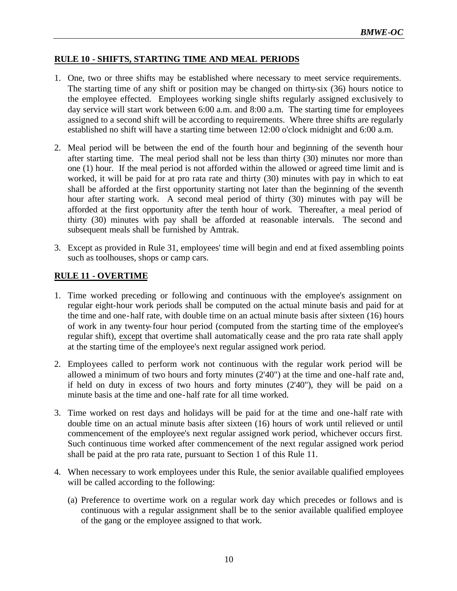### **RULE 10 - SHIFTS, STARTING TIME AND MEAL PERIODS**

- 1. One, two or three shifts may be established where necessary to meet service requirements. The starting time of any shift or position may be changed on thirty-six (36) hours notice to the employee effected. Employees working single shifts regularly assigned exclusively to day service will start work between 6:00 a.m. and 8:00 a.m. The starting time for employees assigned to a second shift will be according to requirements. Where three shifts are regularly established no shift will have a starting time between 12:00 o'clock midnight and 6:00 a.m.
- 2. Meal period will be between the end of the fourth hour and beginning of the seventh hour after starting time. The meal period shall not be less than thirty (30) minutes nor more than one (1) hour. If the meal period is not afforded within the allowed or agreed time limit and is worked, it will be paid for at pro rata rate and thirty (30) minutes with pay in which to eat shall be afforded at the first opportunity starting not later than the beginning of the seventh hour after starting work. A second meal period of thirty (30) minutes with pay will be afforded at the first opportunity after the tenth hour of work. Thereafter, a meal period of thirty (30) minutes with pay shall be afforded at reasonable intervals. The second and subsequent meals shall be furnished by Amtrak.
- 3. Except as provided in Rule 31, employees' time will begin and end at fixed assembling points such as toolhouses, shops or camp cars.

# **RULE 11 - OVERTIME**

- 1. Time worked preceding or following and continuous with the employee's assignment on regular eight-hour work periods shall be computed on the actual minute basis and paid for at the time and one-half rate, with double time on an actual minute basis after sixteen (16) hours of work in any twenty-four hour period (computed from the starting time of the employee's regular shift), except that overtime shall automatically cease and the pro rata rate shall apply at the starting time of the employee's next regular assigned work period.
- 2. Employees called to perform work not continuous with the regular work period will be allowed a minimum of two hours and forty minutes (2'40") at the time and one-half rate and, if held on duty in excess of two hours and forty minutes (2'40"), they will be paid on a minute basis at the time and one-half rate for all time worked.
- 3. Time worked on rest days and holidays will be paid for at the time and one-half rate with double time on an actual minute basis after sixteen (16) hours of work until relieved or until commencement of the employee's next regular assigned work period, whichever occurs first. Such continuous time worked after commencement of the next regular assigned work period shall be paid at the pro rata rate, pursuant to Section 1 of this Rule 11.
- 4. When necessary to work employees under this Rule, the senior available qualified employees will be called according to the following:
	- (a) Preference to overtime work on a regular work day which precedes or follows and is continuous with a regular assignment shall be to the senior available qualified employee of the gang or the employee assigned to that work.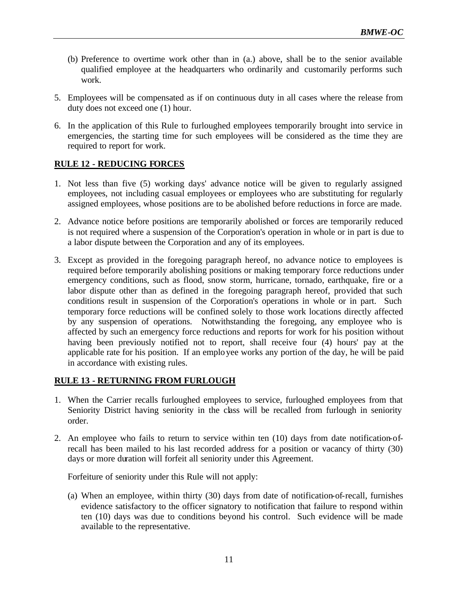- (b) Preference to overtime work other than in (a.) above, shall be to the senior available qualified employee at the headquarters who ordinarily and customarily performs such work.
- 5. Employees will be compensated as if on continuous duty in all cases where the release from duty does not exceed one (1) hour.
- 6. In the application of this Rule to furloughed employees temporarily brought into service in emergencies, the starting time for such employees will be considered as the time they are required to report for work.

### **RULE 12 - REDUCING FORCES**

- 1. Not less than five (5) working days' advance notice will be given to regularly assigned employees, not including casual employees or employees who are substituting for regularly assigned employees, whose positions are to be abolished before reductions in force are made.
- 2. Advance notice before positions are temporarily abolished or forces are temporarily reduced is not required where a suspension of the Corporation's operation in whole or in part is due to a labor dispute between the Corporation and any of its employees.
- 3. Except as provided in the foregoing paragraph hereof, no advance notice to employees is required before temporarily abolishing positions or making temporary force reductions under emergency conditions, such as flood, snow storm, hurricane, tornado, earthquake, fire or a labor dispute other than as defined in the foregoing paragraph hereof, provided that such conditions result in suspension of the Corporation's operations in whole or in part. Such temporary force reductions will be confined solely to those work locations directly affected by any suspension of operations. Notwithstanding the foregoing, any employee who is affected by such an emergency force reductions and reports for work for his position without having been previously notified not to report, shall receive four (4) hours' pay at the applicable rate for his position. If an employee works any portion of the day, he will be paid in accordance with existing rules.

### **RULE 13 - RETURNING FROM FURLOUGH**

- 1. When the Carrier recalls furloughed employees to service, furloughed employees from that Seniority District having seniority in the class will be recalled from furlough in seniority order.
- 2. An employee who fails to return to service within ten (10) days from date notification-ofrecall has been mailed to his last recorded address for a position or vacancy of thirty (30) days or more duration will forfeit all seniority under this Agreement.

Forfeiture of seniority under this Rule will not apply:

(a) When an employee, within thirty (30) days from date of notification-of-recall, furnishes evidence satisfactory to the officer signatory to notification that failure to respond within ten (10) days was due to conditions beyond his control. Such evidence will be made available to the representative.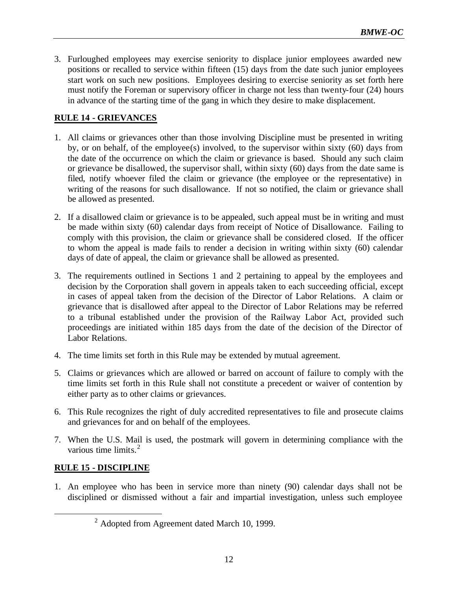3. Furloughed employees may exercise seniority to displace junior employees awarded new positions or recalled to service within fifteen (15) days from the date such junior employees start work on such new positions. Employees desiring to exercise seniority as set forth here must notify the Foreman or supervisory officer in charge not less than twenty-four (24) hours in advance of the starting time of the gang in which they desire to make displacement.

# **RULE 14 - GRIEVANCES**

- 1. All claims or grievances other than those involving Discipline must be presented in writing by, or on behalf, of the employee(s) involved, to the supervisor within sixty (60) days from the date of the occurrence on which the claim or grievance is based. Should any such claim or grievance be disallowed, the supervisor shall, within sixty (60) days from the date same is filed, notify whoever filed the claim or grievance (the employee or the representative) in writing of the reasons for such disallowance. If not so notified, the claim or grievance shall be allowed as presented.
- 2. If a disallowed claim or grievance is to be appealed, such appeal must be in writing and must be made within sixty (60) calendar days from receipt of Notice of Disallowance. Failing to comply with this provision, the claim or grievance shall be considered closed. If the officer to whom the appeal is made fails to render a decision in writing within sixty (60) calendar days of date of appeal, the claim or grievance shall be allowed as presented.
- 3. The requirements outlined in Sections 1 and 2 pertaining to appeal by the employees and decision by the Corporation shall govern in appeals taken to each succeeding official, except in cases of appeal taken from the decision of the Director of Labor Relations. A claim or grievance that is disallowed after appeal to the Director of Labor Relations may be referred to a tribunal established under the provision of the Railway Labor Act, provided such proceedings are initiated within 185 days from the date of the decision of the Director of Labor Relations.
- 4. The time limits set forth in this Rule may be extended by mutual agreement.
- 5. Claims or grievances which are allowed or barred on account of failure to comply with the time limits set forth in this Rule shall not constitute a precedent or waiver of contention by either party as to other claims or grievances.
- 6. This Rule recognizes the right of duly accredited representatives to file and prosecute claims and grievances for and on behalf of the employees.
- 7. When the U.S. Mail is used, the postmark will govern in determining compliance with the various time limits. $<sup>2</sup>$ </sup>

# **RULE 15 - DISCIPLINE**

 $\overline{a}$ 

1. An employee who has been in service more than ninety (90) calendar days shall not be disciplined or dismissed without a fair and impartial investigation, unless such employee

 $2$  Adopted from Agreement dated March 10, 1999.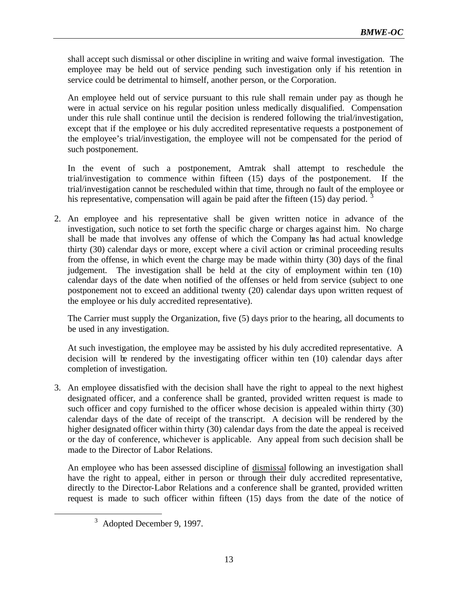shall accept such dismissal or other discipline in writing and waive formal investigation. The employee may be held out of service pending such investigation only if his retention in service could be detrimental to himself, another person, or the Corporation.

An employee held out of service pursuant to this rule shall remain under pay as though he were in actual service on his regular position unless medically disqualified. Compensation under this rule shall continue until the decision is rendered following the trial/investigation, except that if the employee or his duly accredited representative requests a postponement of the employee's trial/investigation, the employee will not be compensated for the period of such postponement.

In the event of such a postponement, Amtrak shall attempt to reschedule the trial/investigation to commence within fifteen (15) days of the postponement. If the trial/investigation cannot be rescheduled within that time, through no fault of the employee or his representative, compensation will again be paid after the fifteen (15) day period.

2. An employee and his representative shall be given written notice in advance of the investigation, such notice to set forth the specific charge or charges against him. No charge shall be made that involves any offense of which the Company has had actual knowledge thirty (30) calendar days or more, except where a civil action or criminal proceeding results from the offense, in which event the charge may be made within thirty (30) days of the final judgement. The investigation shall be held at the city of employment within ten (10) calendar days of the date when notified of the offenses or held from service (subject to one postponement not to exceed an additional twenty (20) calendar days upon written request of the employee or his duly accredited representative).

The Carrier must supply the Organization, five (5) days prior to the hearing, all documents to be used in any investigation.

At such investigation, the employee may be assisted by his duly accredited representative. A decision will be rendered by the investigating officer within ten (10) calendar days after completion of investigation.

3. An employee dissatisfied with the decision shall have the right to appeal to the next highest designated officer, and a conference shall be granted, provided written request is made to such officer and copy furnished to the officer whose decision is appealed within thirty (30) calendar days of the date of receipt of the transcript. A decision will be rendered by the higher designated officer within thirty (30) calendar days from the date the appeal is received or the day of conference, whichever is applicable. Any appeal from such decision shall be made to the Director of Labor Relations.

An employee who has been assessed discipline of dismissal following an investigation shall have the right to appeal, either in person or through their duly accredited representative, directly to the Director-Labor Relations and a conference shall be granted, provided written request is made to such officer within fifteen (15) days from the date of the notice of

 $3$  Adopted December 9, 1997.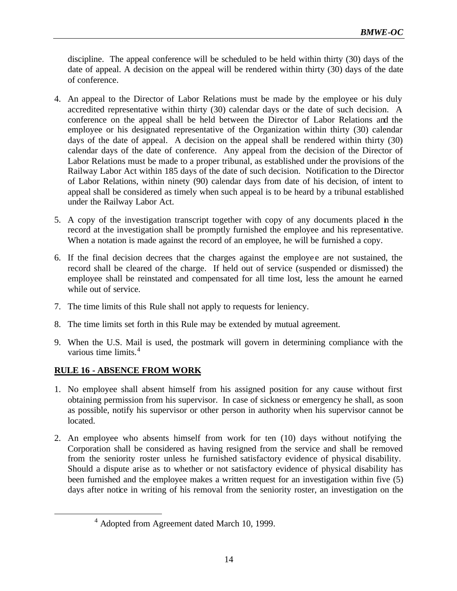discipline. The appeal conference will be scheduled to be held within thirty (30) days of the date of appeal. A decision on the appeal will be rendered within thirty (30) days of the date of conference.

- 4. An appeal to the Director of Labor Relations must be made by the employee or his duly accredited representative within thirty (30) calendar days or the date of such decision. A conference on the appeal shall be held between the Director of Labor Relations and the employee or his designated representative of the Organization within thirty (30) calendar days of the date of appeal. A decision on the appeal shall be rendered within thirty (30) calendar days of the date of conference. Any appeal from the decision of the Director of Labor Relations must be made to a proper tribunal, as established under the provisions of the Railway Labor Act within 185 days of the date of such decision. Notification to the Director of Labor Relations, within ninety (90) calendar days from date of his decision, of intent to appeal shall be considered as timely when such appeal is to be heard by a tribunal established under the Railway Labor Act.
- 5. A copy of the investigation transcript together with copy of any documents placed in the record at the investigation shall be promptly furnished the employee and his representative. When a notation is made against the record of an employee, he will be furnished a copy.
- 6. If the final decision decrees that the charges against the employee are not sustained, the record shall be cleared of the charge. If held out of service (suspended or dismissed) the employee shall be reinstated and compensated for all time lost, less the amount he earned while out of service.
- 7. The time limits of this Rule shall not apply to requests for leniency.
- 8. The time limits set forth in this Rule may be extended by mutual agreement.
- 9. When the U.S. Mail is used, the postmark will govern in determining compliance with the various time limits.<sup>4</sup>

# **RULE 16 - ABSENCE FROM WORK**

- 1. No employee shall absent himself from his assigned position for any cause without first obtaining permission from his supervisor. In case of sickness or emergency he shall, as soon as possible, notify his supervisor or other person in authority when his supervisor cannot be located.
- 2. An employee who absents himself from work for ten (10) days without notifying the Corporation shall be considered as having resigned from the service and shall be removed from the seniority roster unless he furnished satisfactory evidence of physical disability. Should a dispute arise as to whether or not satisfactory evidence of physical disability has been furnished and the employee makes a written request for an investigation within five (5) days after notice in writing of his removal from the seniority roster, an investigation on the

<sup>&</sup>lt;sup>4</sup> Adopted from Agreement dated March 10, 1999.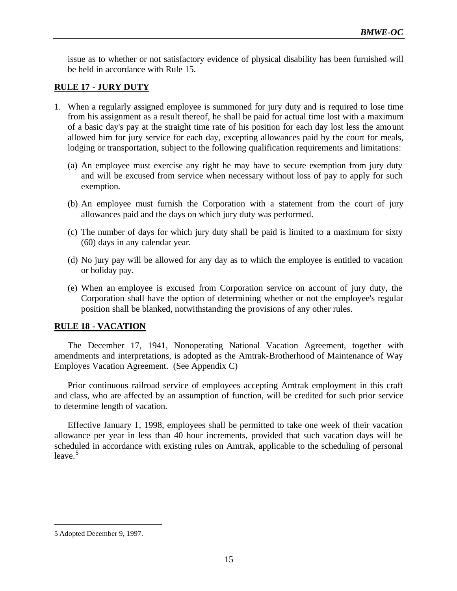issue as to whether or not satisfactory evidence of physical disability has been furnished will be held in accordance with Rule 15.

#### **RULE 17 - JURY DUTY**

- 1. When a regularly assigned employee is summoned for jury duty and is required to lose time from his assignment as a result thereof, he shall be paid for actual time lost with a maximum of a basic day's pay at the straight time rate of his position for each day lost less the amount allowed him for jury service for each day, excepting allowances paid by the court for meals, lodging or transportation, subject to the following qualification requirements and limitations:
	- (a) An employee must exercise any right he may have to secure exemption from jury duty and will be excused from service when necessary without loss of pay to apply for such exemption.
	- (b) An employee must furnish the Corporation with a statement from the court of jury allowances paid and the days on which jury duty was performed.
	- (c) The number of days for which jury duty shall be paid is limited to a maximum for sixty (60) days in any calendar year.
	- (d) No jury pay will be allowed for any day as to which the employee is entitled to vacation or holiday pay.
	- (e) When an employee is excused from Corporation service on account of jury duty, the Corporation shall have the option of determining whether or not the employee's regular position shall be blanked, notwithstanding the provisions of any other rules.

### **RULE 18 - VACATION**

The December 17, 1941, Nonoperating National Vacation Agreement, together with amendments and interpretations, is adopted as the Amtrak-Brotherhood of Maintenance of Way Employes Vacation Agreement. (See Appendix C)

Prior continuous railroad service of employees accepting Amtrak employment in this craft and class, who are affected by an assumption of function, will be credited for such prior service to determine length of vacation.

Effective January 1, 1998, employees shall be permitted to take one week of their vacation allowance per year in less than 40 hour increments, provided that such vacation days will be scheduled in accordance with existing rules on Amtrak, applicable to the scheduling of personal leave. $5$ 

<sup>5</sup> Adopted December 9, 1997.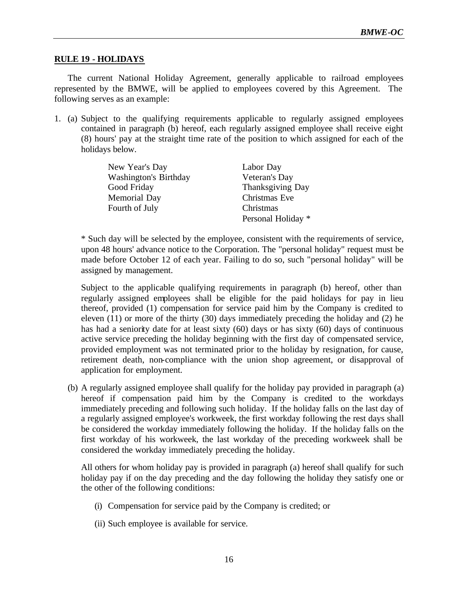### **RULE 19 - HOLIDAYS**

The current National Holiday Agreement, generally applicable to railroad employees represented by the BMWE, will be applied to employees covered by this Agreement. The following serves as an example:

1. (a) Subject to the qualifying requirements applicable to regularly assigned employees contained in paragraph (b) hereof, each regularly assigned employee shall receive eight (8) hours' pay at the straight time rate of the position to which assigned for each of the holidays below.

| New Year's Day        | Labor Day          |
|-----------------------|--------------------|
| Washington's Birthday | Veteran's Day      |
| Good Friday           | Thanksgiving Day   |
| Memorial Day          | Christmas Eve      |
| Fourth of July        | Christmas          |
|                       | Personal Holiday * |

\* Such day will be selected by the employee, consistent with the requirements of service, upon 48 hours' advance notice to the Corporation. The "personal holiday" request must be made before October 12 of each year. Failing to do so, such "personal holiday" will be assigned by management.

Subject to the applicable qualifying requirements in paragraph (b) hereof, other than regularly assigned employees shall be eligible for the paid holidays for pay in lieu thereof, provided (1) compensation for service paid him by the Company is credited to eleven (11) or more of the thirty (30) days immediately preceding the holiday and (2) he has had a seniority date for at least sixty (60) days or has sixty (60) days of continuous active service preceding the holiday beginning with the first day of compensated service, provided employment was not terminated prior to the holiday by resignation, for cause, retirement death, non-compliance with the union shop agreement, or disapproval of application for employment.

(b) A regularly assigned employee shall qualify for the holiday pay provided in paragraph (a) hereof if compensation paid him by the Company is credited to the workdays immediately preceding and following such holiday. If the holiday falls on the last day of a regularly assigned employee's workweek, the first workday following the rest days shall be considered the workday immediately following the holiday. If the holiday falls on the first workday of his workweek, the last workday of the preceding workweek shall be considered the workday immediately preceding the holiday.

All others for whom holiday pay is provided in paragraph (a) hereof shall qualify for such holiday pay if on the day preceding and the day following the holiday they satisfy one or the other of the following conditions:

- (i) Compensation for service paid by the Company is credited; or
- (ii) Such employee is available for service.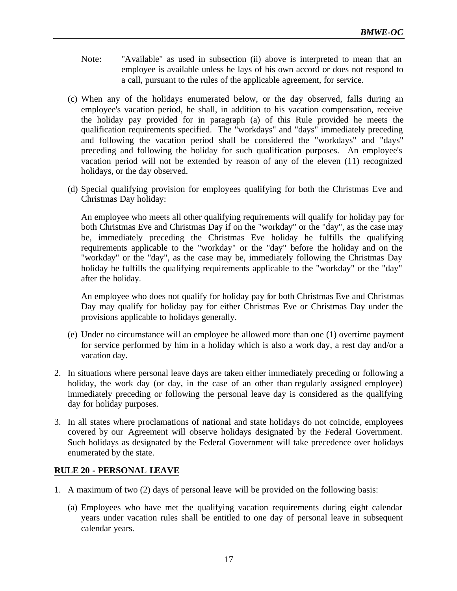- Note: "Available" as used in subsection (ii) above is interpreted to mean that an employee is available unless he lays of his own accord or does not respond to a call, pursuant to the rules of the applicable agreement, for service.
- (c) When any of the holidays enumerated below, or the day observed, falls during an employee's vacation period, he shall, in addition to his vacation compensation, receive the holiday pay provided for in paragraph (a) of this Rule provided he meets the qualification requirements specified. The "workdays" and "days" immediately preceding and following the vacation period shall be considered the "workdays" and "days" preceding and following the holiday for such qualification purposes. An employee's vacation period will not be extended by reason of any of the eleven (11) recognized holidays, or the day observed.
- (d) Special qualifying provision for employees qualifying for both the Christmas Eve and Christmas Day holiday:

An employee who meets all other qualifying requirements will qualify for holiday pay for both Christmas Eve and Christmas Day if on the "workday" or the "day", as the case may be, immediately preceding the Christmas Eve holiday he fulfills the qualifying requirements applicable to the "workday" or the "day" before the holiday and on the "workday" or the "day", as the case may be, immediately following the Christmas Day holiday he fulfills the qualifying requirements applicable to the "workday" or the "day" after the holiday.

An employee who does not qualify for holiday pay for both Christmas Eve and Christmas Day may qualify for holiday pay for either Christmas Eve or Christmas Day under the provisions applicable to holidays generally.

- (e) Under no circumstance will an employee be allowed more than one (1) overtime payment for service performed by him in a holiday which is also a work day, a rest day and/or a vacation day.
- 2. In situations where personal leave days are taken either immediately preceding or following a holiday, the work day (or day, in the case of an other than regularly assigned employee) immediately preceding or following the personal leave day is considered as the qualifying day for holiday purposes.
- 3. In all states where proclamations of national and state holidays do not coincide, employees covered by our Agreement will observe holidays designated by the Federal Government. Such holidays as designated by the Federal Government will take precedence over holidays enumerated by the state.

# **RULE 20 - PERSONAL LEAVE**

- 1. A maximum of two (2) days of personal leave will be provided on the following basis:
	- (a) Employees who have met the qualifying vacation requirements during eight calendar years under vacation rules shall be entitled to one day of personal leave in subsequent calendar years.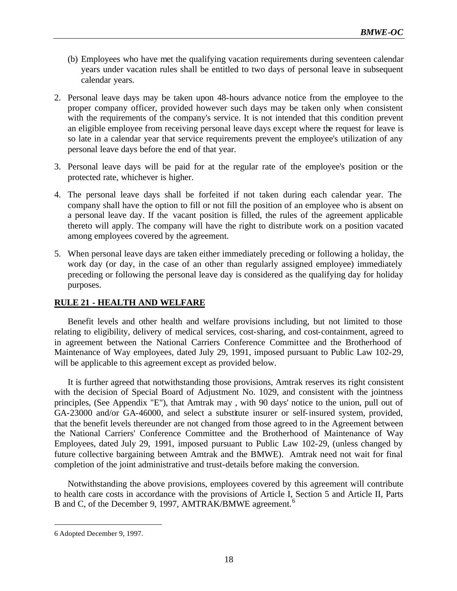- (b) Employees who have met the qualifying vacation requirements during seventeen calendar years under vacation rules shall be entitled to two days of personal leave in subsequent calendar years.
- 2. Personal leave days may be taken upon 48-hours advance notice from the employee to the proper company officer, provided however such days may be taken only when consistent with the requirements of the company's service. It is not intended that this condition prevent an eligible employee from receiving personal leave days except where the request for leave is so late in a calendar year that service requirements prevent the employee's utilization of any personal leave days before the end of that year.
- 3. Personal leave days will be paid for at the regular rate of the employee's position or the protected rate, whichever is higher.
- 4. The personal leave days shall be forfeited if not taken during each calendar year. The company shall have the option to fill or not fill the position of an employee who is absent on a personal leave day. If the vacant position is filled, the rules of the agreement applicable thereto will apply. The company will have the right to distribute work on a position vacated among employees covered by the agreement.
- 5. When personal leave days are taken either immediately preceding or following a holiday, the work day (or day, in the case of an other than regularly assigned employee) immediately preceding or following the personal leave day is considered as the qualifying day for holiday purposes.

### **RULE 21 - HEALTH AND WELFARE**

Benefit levels and other health and welfare provisions including, but not limited to those relating to eligibility, delivery of medical services, cost-sharing, and cost-containment, agreed to in agreement between the National Carriers Conference Committee and the Brotherhood of Maintenance of Way employees, dated July 29, 1991, imposed pursuant to Public Law 102-29, will be applicable to this agreement except as provided below.

It is further agreed that notwithstanding those provisions, Amtrak reserves its right consistent with the decision of Special Board of Adjustment No. 1029, and consistent with the jointness principles, (See Appendix "E"), that Amtrak may , with 90 days' notice to the union, pull out of GA-23000 and/or GA-46000, and select a substitute insurer or self-insured system, provided, that the benefit levels thereunder are not changed from those agreed to in the Agreement between the National Carriers' Conference Committee and the Brotherhood of Maintenance of Way Employees, dated July 29, 1991, imposed pursuant to Public Law 102-29, (unless changed by future collective bargaining between Amtrak and the BMWE). Amtrak need not wait for final completion of the joint administrative and trust-details before making the conversion.

Notwithstanding the above provisions, employees covered by this agreement will contribute to health care costs in accordance with the provisions of Article I, Section 5 and Article II, Parts B and C, of the December 9, 1997, AMTRAK/BMWE agreement.<sup>6</sup>

<sup>6</sup> Adopted December 9, 1997.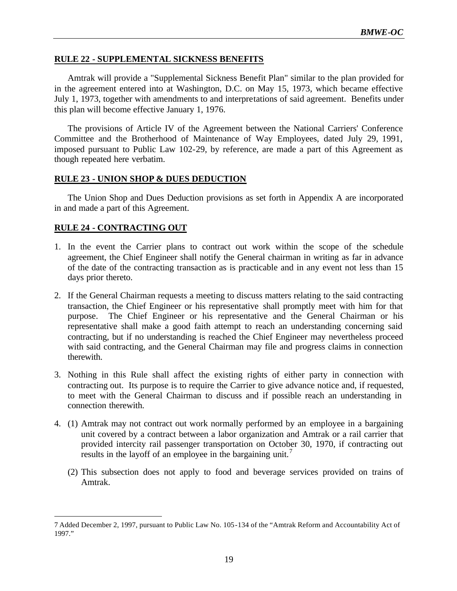#### **RULE 22 - SUPPLEMENTAL SICKNESS BENEFITS**

Amtrak will provide a "Supplemental Sickness Benefit Plan" similar to the plan provided for in the agreement entered into at Washington, D.C. on May 15, 1973, which became effective July 1, 1973, together with amendments to and interpretations of said agreement. Benefits under this plan will become effective January 1, 1976.

The provisions of Article IV of the Agreement between the National Carriers' Conference Committee and the Brotherhood of Maintenance of Way Employees, dated July 29, 1991, imposed pursuant to Public Law 102-29, by reference, are made a part of this Agreement as though repeated here verbatim.

### **RULE 23 - UNION SHOP & DUES DEDUCTION**

The Union Shop and Dues Deduction provisions as set forth in Appendix A are incorporated in and made a part of this Agreement.

### **RULE 24 - CONTRACTING OUT**

- 1. In the event the Carrier plans to contract out work within the scope of the schedule agreement, the Chief Engineer shall notify the General chairman in writing as far in advance of the date of the contracting transaction as is practicable and in any event not less than 15 days prior thereto.
- 2. If the General Chairman requests a meeting to discuss matters relating to the said contracting transaction, the Chief Engineer or his representative shall promptly meet with him for that purpose. The Chief Engineer or his representative and the General Chairman or his representative shall make a good faith attempt to reach an understanding concerning said contracting, but if no understanding is reached the Chief Engineer may nevertheless proceed with said contracting, and the General Chairman may file and progress claims in connection therewith.
- 3. Nothing in this Rule shall affect the existing rights of either party in connection with contracting out. Its purpose is to require the Carrier to give advance notice and, if requested, to meet with the General Chairman to discuss and if possible reach an understanding in connection therewith.
- 4. (1) Amtrak may not contract out work normally performed by an employee in a bargaining unit covered by a contract between a labor organization and Amtrak or a rail carrier that provided intercity rail passenger transportation on October 30, 1970, if contracting out results in the layoff of an employee in the bargaining unit.<sup>7</sup>
	- (2) This subsection does not apply to food and beverage services provided on trains of Amtrak.

<sup>7</sup> Added December 2, 1997, pursuant to Public Law No. 105-134 of the "Amtrak Reform and Accountability Act of 1997."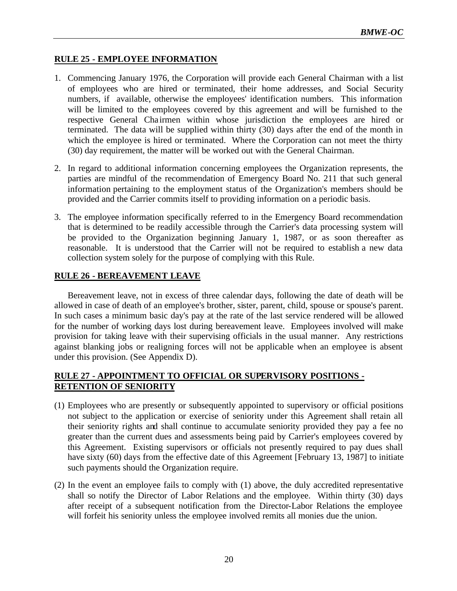# **RULE 25 - EMPLOYEE INFORMATION**

- 1. Commencing January 1976, the Corporation will provide each General Chairman with a list of employees who are hired or terminated, their home addresses, and Social Security numbers, if available, otherwise the employees' identification numbers. This information will be limited to the employees covered by this agreement and will be furnished to the respective General Cha irmen within whose jurisdiction the employees are hired or terminated. The data will be supplied within thirty (30) days after the end of the month in which the employee is hired or terminated. Where the Corporation can not meet the thirty (30) day requirement, the matter will be worked out with the General Chairman.
- 2. In regard to additional information concerning employees the Organization represents, the parties are mindful of the recommendation of Emergency Board No. 211 that such general information pertaining to the employment status of the Organization's members should be provided and the Carrier commits itself to providing information on a periodic basis.
- 3. The employee information specifically referred to in the Emergency Board recommendation that is determined to be readily accessible through the Carrier's data processing system will be provided to the Organization beginning January 1, 1987, or as soon thereafter as reasonable. It is understood that the Carrier will not be required to establish a new data collection system solely for the purpose of complying with this Rule.

### **RULE 26 - BEREAVEMENT LEAVE**

Bereavement leave, not in excess of three calendar days, following the date of death will be allowed in case of death of an employee's brother, sister, parent, child, spouse or spouse's parent. In such cases a minimum basic day's pay at the rate of the last service rendered will be allowed for the number of working days lost during bereavement leave. Employees involved will make provision for taking leave with their supervising officials in the usual manner. Any restrictions against blanking jobs or realigning forces will not be applicable when an employee is absent under this provision. (See Appendix D).

# **RULE 27 - APPOINTMENT TO OFFICIAL OR SUPERVISORY POSITIONS - RETENTION OF SENIORITY**

- (1) Employees who are presently or subsequently appointed to supervisory or official positions not subject to the application or exercise of seniority under this Agreement shall retain all their seniority rights and shall continue to accumulate seniority provided they pay a fee no greater than the current dues and assessments being paid by Carrier's employees covered by this Agreement. Existing supervisors or officials not presently required to pay dues shall have sixty (60) days from the effective date of this Agreement [February 13, 1987] to initiate such payments should the Organization require.
- (2) In the event an employee fails to comply with (1) above, the duly accredited representative shall so notify the Director of Labor Relations and the employee. Within thirty (30) days after receipt of a subsequent notification from the Director-Labor Relations the employee will forfeit his seniority unless the employee involved remits all monies due the union.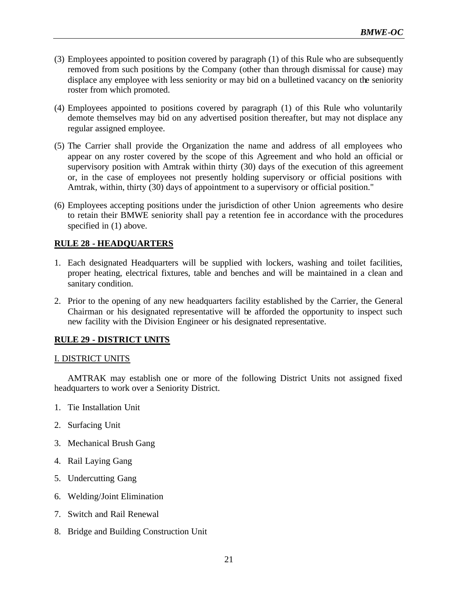- (3) Employees appointed to position covered by paragraph (1) of this Rule who are subsequently removed from such positions by the Company (other than through dismissal for cause) may displace any employee with less seniority or may bid on a bulletined vacancy on the seniority roster from which promoted.
- (4) Employees appointed to positions covered by paragraph (1) of this Rule who voluntarily demote themselves may bid on any advertised position thereafter, but may not displace any regular assigned employee.
- (5) The Carrier shall provide the Organization the name and address of all employees who appear on any roster covered by the scope of this Agreement and who hold an official or supervisory position with Amtrak within thirty (30) days of the execution of this agreement or, in the case of employees not presently holding supervisory or official positions with Amtrak, within, thirty (30) days of appointment to a supervisory or official position."
- (6) Employees accepting positions under the jurisdiction of other Union agreements who desire to retain their BMWE seniority shall pay a retention fee in accordance with the procedures specified in (1) above.

### **RULE 28 - HEADQUARTERS**

- 1. Each designated Headquarters will be supplied with lockers, washing and toilet facilities, proper heating, electrical fixtures, table and benches and will be maintained in a clean and sanitary condition.
- 2. Prior to the opening of any new headquarters facility established by the Carrier, the General Chairman or his designated representative will be afforded the opportunity to inspect such new facility with the Division Engineer or his designated representative.

### **RULE 29 - DISTRICT UNITS**

### I. DISTRICT UNITS

AMTRAK may establish one or more of the following District Units not assigned fixed headquarters to work over a Seniority District.

- 1. Tie Installation Unit
- 2. Surfacing Unit
- 3. Mechanical Brush Gang
- 4. Rail Laying Gang
- 5. Undercutting Gang
- 6. Welding/Joint Elimination
- 7. Switch and Rail Renewal
- 8. Bridge and Building Construction Unit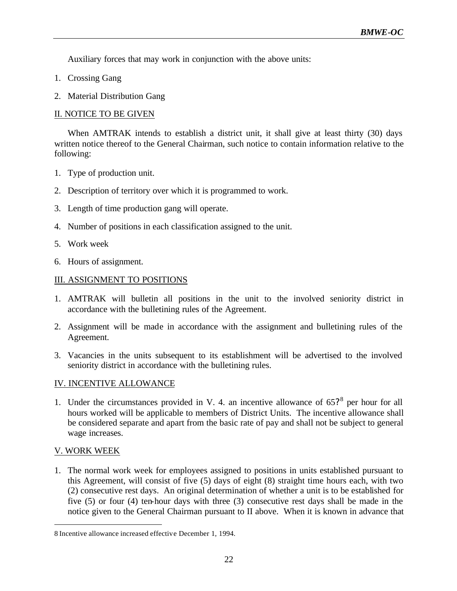Auxiliary forces that may work in conjunction with the above units:

- 1. Crossing Gang
- 2. Material Distribution Gang

# II. NOTICE TO BE GIVEN

When AMTRAK intends to establish a district unit, it shall give at least thirty (30) days written notice thereof to the General Chairman, such notice to contain information relative to the following:

- 1. Type of production unit.
- 2. Description of territory over which it is programmed to work.
- 3. Length of time production gang will operate.
- 4. Number of positions in each classification assigned to the unit.
- 5. Work week
- 6. Hours of assignment.

### III. ASSIGNMENT TO POSITIONS

- 1. AMTRAK will bulletin all positions in the unit to the involved seniority district in accordance with the bulletining rules of the Agreement.
- 2. Assignment will be made in accordance with the assignment and bulletining rules of the Agreement.
- 3. Vacancies in the units subsequent to its establishment will be advertised to the involved seniority district in accordance with the bulletining rules.

### IV. INCENTIVE ALLOWANCE

1. Under the circumstances provided in V. 4. an incentive allowance of  $65?$ <sup>8</sup> per hour for all hours worked will be applicable to members of District Units. The incentive allowance shall be considered separate and apart from the basic rate of pay and shall not be subject to general wage increases.

### V. WORK WEEK

 $\overline{a}$ 

1. The normal work week for employees assigned to positions in units established pursuant to this Agreement, will consist of five (5) days of eight (8) straight time hours each, with two (2) consecutive rest days. An original determination of whether a unit is to be established for five (5) or four (4) ten-hour days with three (3) consecutive rest days shall be made in the notice given to the General Chairman pursuant to II above. When it is known in advance that

<sup>8</sup> Incentive allowance increased effective December 1, 1994.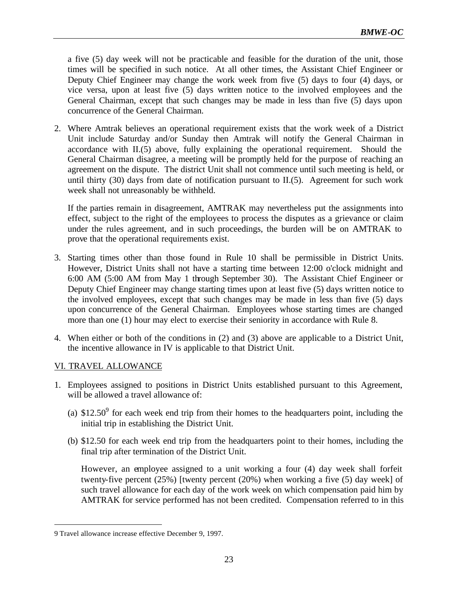a five (5) day week will not be practicable and feasible for the duration of the unit, those times will be specified in such notice. At all other times, the Assistant Chief Engineer or Deputy Chief Engineer may change the work week from five (5) days to four (4) days, or vice versa, upon at least five (5) days written notice to the involved employees and the General Chairman, except that such changes may be made in less than five (5) days upon concurrence of the General Chairman.

2. Where Amtrak believes an operational requirement exists that the work week of a District Unit include Saturday and/or Sunday then Amtrak will notify the General Chairman in accordance with II.(5) above, fully explaining the operational requirement. Should the General Chairman disagree, a meeting will be promptly held for the purpose of reaching an agreement on the dispute. The district Unit shall not commence until such meeting is held, or until thirty (30) days from date of notification pursuant to II.(5). Agreement for such work week shall not unreasonably be withheld.

If the parties remain in disagreement, AMTRAK may nevertheless put the assignments into effect, subject to the right of the employees to process the disputes as a grievance or claim under the rules agreement, and in such proceedings, the burden will be on AMTRAK to prove that the operational requirements exist.

- 3. Starting times other than those found in Rule 10 shall be permissible in District Units. However, District Units shall not have a starting time between 12:00 o'clock midnight and 6:00 AM (5:00 AM from May 1 through September 30). The Assistant Chief Engineer or Deputy Chief Engineer may change starting times upon at least five (5) days written notice to the involved employees, except that such changes may be made in less than five (5) days upon concurrence of the General Chairman. Employees whose starting times are changed more than one (1) hour may elect to exercise their seniority in accordance with Rule 8.
- 4. When either or both of the conditions in (2) and (3) above are applicable to a District Unit, the incentive allowance in IV is applicable to that District Unit.

# VI. TRAVEL ALLOWANCE

 $\overline{a}$ 

- 1. Employees assigned to positions in District Units established pursuant to this Agreement, will be allowed a travel allowance of:
	- (a)  $$12.50<sup>9</sup>$  for each week end trip from their homes to the headquarters point, including the initial trip in establishing the District Unit.
	- (b) \$12.50 for each week end trip from the headquarters point to their homes, including the final trip after termination of the District Unit.

However, an employee assigned to a unit working a four (4) day week shall forfeit twenty-five percent (25%) [twenty percent (20%) when working a five (5) day week] of such travel allowance for each day of the work week on which compensation paid him by AMTRAK for service performed has not been credited. Compensation referred to in this

<sup>9</sup> Travel allowance increase effective December 9, 1997.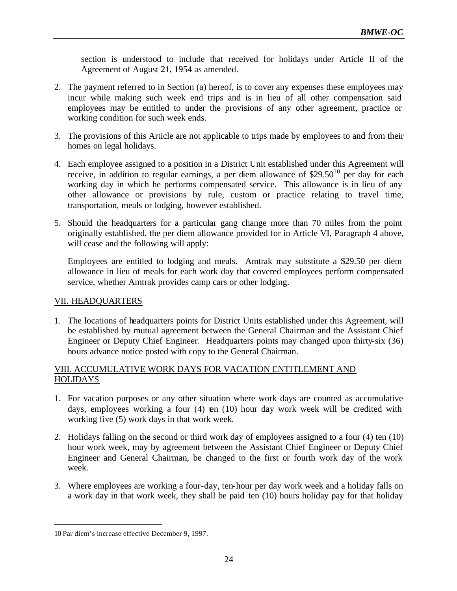section is understood to include that received for holidays under Article II of the Agreement of August 21, 1954 as amended.

- 2. The payment referred to in Section (a) hereof, is to cover any expenses these employees may incur while making such week end trips and is in lieu of all other compensation said employees may be entitled to under the provisions of any other agreement, practice or working condition for such week ends.
- 3. The provisions of this Article are not applicable to trips made by employees to and from their homes on legal holidays.
- 4. Each employee assigned to a position in a District Unit established under this Agreement will receive, in addition to regular earnings, a per diem allowance of  $$29.50^{10}$  per day for each working day in which he performs compensated service. This allowance is in lieu of any other allowance or provisions by rule, custom or practice relating to travel time, transportation, meals or lodging, however established.
- 5. Should the headquarters for a particular gang change more than 70 miles from the point originally established, the per diem allowance provided for in Article VI, Paragraph 4 above, will cease and the following will apply:

Employees are entitled to lodging and meals. Amtrak may substitute a \$29.50 per diem allowance in lieu of meals for each work day that covered employees perform compensated service, whether Amtrak provides camp cars or other lodging.

### VII. HEADQUARTERS

1. The locations of headquarters points for District Units established under this Agreement, will be established by mutual agreement between the General Chairman and the Assistant Chief Engineer or Deputy Chief Engineer. Headquarters points may changed upon thirty-six (36) hours advance notice posted with copy to the General Chairman.

### VIII. ACCUMULATIVE WORK DAYS FOR VACATION ENTITLEMENT AND **HOLIDAYS**

- 1. For vacation purposes or any other situation where work days are counted as accumulative days, employees working a four  $(4)$  ten  $(10)$  hour day work week will be credited with working five (5) work days in that work week.
- 2. Holidays falling on the second or third work day of employees assigned to a four (4) ten (10) hour work week, may by agreement between the Assistant Chief Engineer or Deputy Chief Engineer and General Chairman, be changed to the first or fourth work day of the work week.
- 3. Where employees are working a four-day, ten-hour per day work week and a holiday falls on a work day in that work week, they shall be paid ten (10) hours holiday pay for that holiday

<sup>10</sup> Par diem's increase effective December 9, 1997.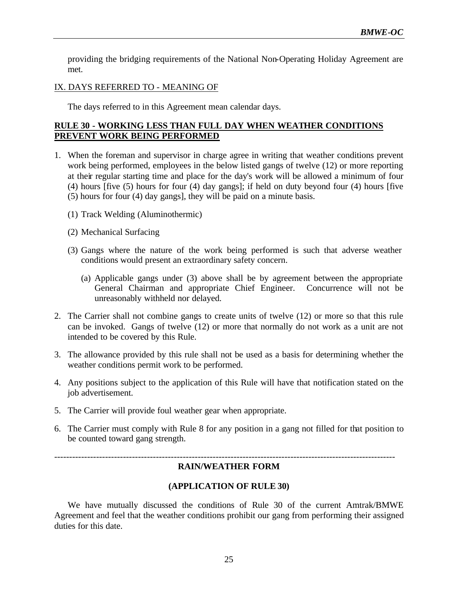providing the bridging requirements of the National Non-Operating Holiday Agreement are met.

#### IX. DAYS REFERRED TO - MEANING OF

The days referred to in this Agreement mean calendar days.

### **RULE 30 - WORKING LESS THAN FULL DAY WHEN WEATHER CONDITIONS PREVENT WORK BEING PERFORMED**

- 1. When the foreman and supervisor in charge agree in writing that weather conditions prevent work being performed, employees in the below listed gangs of twelve (12) or more reporting at their regular starting time and place for the day's work will be allowed a minimum of four (4) hours [five (5) hours for four (4) day gangs]; if held on duty beyond four (4) hours [five (5) hours for four (4) day gangs], they will be paid on a minute basis.
	- (1) Track Welding (Aluminothermic)
	- (2) Mechanical Surfacing
	- (3) Gangs where the nature of the work being performed is such that adverse weather conditions would present an extraordinary safety concern.
		- (a) Applicable gangs under (3) above shall be by agreement between the appropriate General Chairman and appropriate Chief Engineer. Concurrence will not be unreasonably withheld nor delayed.
- 2. The Carrier shall not combine gangs to create units of twelve (12) or more so that this rule can be invoked. Gangs of twelve (12) or more that normally do not work as a unit are not intended to be covered by this Rule.
- 3. The allowance provided by this rule shall not be used as a basis for determining whether the weather conditions permit work to be performed.
- 4. Any positions subject to the application of this Rule will have that notification stated on the job advertisement.
- 5. The Carrier will provide foul weather gear when appropriate.
- 6. The Carrier must comply with Rule 8 for any position in a gang not filled for that position to be counted toward gang strength.

#### ------------------------------------------------------------------------------------------------------------------ **RAIN/WEATHER FORM**

### **(APPLICATION OF RULE 30)**

We have mutually discussed the conditions of Rule 30 of the current Amtrak/BMWE Agreement and feel that the weather conditions prohibit our gang from performing their assigned duties for this date.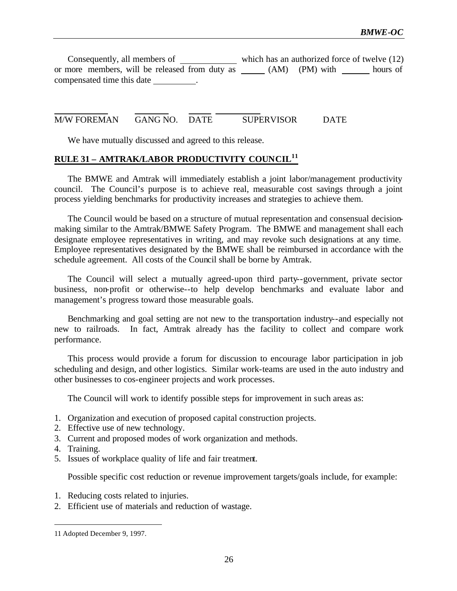Consequently, all members of which has an authorized force of twelve  $(12)$ or more members, will be released from duty as \_\_\_\_\_ (AM) (PM) with hours of compensated time this date .

### $\overline{a}$ M/W FOREMAN GANG NO. DATE SUPERVISOR DATE

We have mutually discussed and agreed to this release.

### **RULE 31 – AMTRAK/LABOR PRODUCTIVITY COUNCIL<sup>11</sup>**

The BMWE and Amtrak will immediately establish a joint labor/management productivity council. The Council's purpose is to achieve real, measurable cost savings through a joint process yielding benchmarks for productivity increases and strategies to achieve them.

The Council would be based on a structure of mutual representation and consensual decisionmaking similar to the Amtrak/BMWE Safety Program. The BMWE and management shall each designate employee representatives in writing, and may revoke such designations at any time. Employee representatives designated by the BMWE shall be reimbursed in accordance with the schedule agreement. All costs of the Council shall be borne by Amtrak.

The Council will select a mutually agreed-upon third party--government, private sector business, non-profit or otherwise--to help develop benchmarks and evaluate labor and management's progress toward those measurable goals.

Benchmarking and goal setting are not new to the transportation industry--and especially not new to railroads. In fact, Amtrak already has the facility to collect and compare work performance.

This process would provide a forum for discussion to encourage labor participation in job scheduling and design, and other logistics. Similar work-teams are used in the auto industry and other businesses to cos-engineer projects and work processes.

The Council will work to identify possible steps for improvement in such areas as:

- 1. Organization and execution of proposed capital construction projects.
- 2. Effective use of new technology.
- 3. Current and proposed modes of work organization and methods.
- 4. Training.

 $\overline{a}$ 

5. Issues of workplace quality of life and fair treatment.

Possible specific cost reduction or revenue improvement targets/goals include, for example:

- 1. Reducing costs related to injuries.
- 2. Efficient use of materials and reduction of wastage.

<sup>11</sup> Adopted December 9, 1997.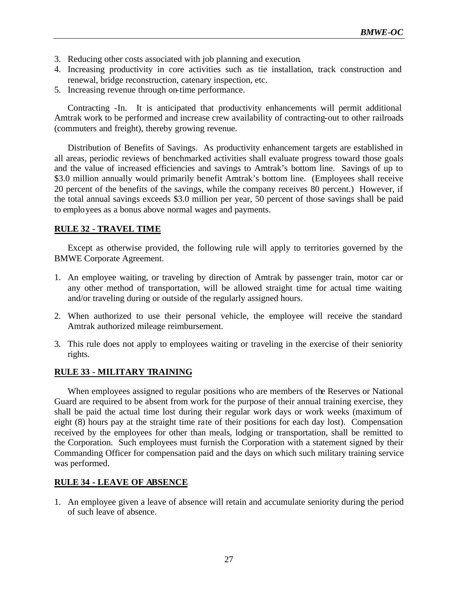- 3. Reducing other costs associated with job planning and execution.
- 4. Increasing productivity in core activities such as tie installation, track construction and renewal, bridge reconstruction, catenary inspection, etc.
- 5. Increasing revenue through on-time performance.

Contracting -In. It is anticipated that productivity enhancements will permit additional Amtrak work to be performed and increase crew availability of contracting-out to other railroads (commuters and freight), thereby growing revenue.

Distribution of Benefits of Savings. As productivity enhancement targets are established in all areas, periodic reviews of benchmarked activities shall evaluate progress toward those goals and the value of increased efficiencies and savings to Amtrak's bottom line. Savings of up to \$3.0 million annually would primarily benefit Amtrak's bottom line. (Employees shall receive 20 percent of the benefits of the savings, while the company receives 80 percent.) However, if the total annual savings exceeds \$3.0 million per year, 50 percent of those savings shall be paid to employees as a bonus above normal wages and payments.

### **RULE 32 - TRAVEL TIME**

Except as otherwise provided, the following rule will apply to territories governed by the BMWE Corporate Agreement.

- 1. An employee waiting, or traveling by direction of Amtrak by passenger train, motor car or any other method of transportation, will be allowed straight time for actual time waiting and/or traveling during or outside of the regularly assigned hours.
- 2. When authorized to use their personal vehicle, the employee will receive the standard Amtrak authorized mileage reimbursement.
- 3. This rule does not apply to employees waiting or traveling in the exercise of their seniority rights.

### **RULE 33 - MILITARY TRAINING**

When employees assigned to regular positions who are members of the Reserves or National Guard are required to be absent from work for the purpose of their annual training exercise, they shall be paid the actual time lost during their regular work days or work weeks (maximum of eight (8) hours pay at the straight time rate of their positions for each day lost). Compensation received by the employees for other than meals, lodging or transportation, shall be remitted to the Corporation. Such employees must furnish the Corporation with a statement signed by their Commanding Officer for compensation paid and the days on which such military training service was performed.

### **RULE 34 - LEAVE OF ABSENCE**

1. An employee given a leave of absence will retain and accumulate seniority during the period of such leave of absence.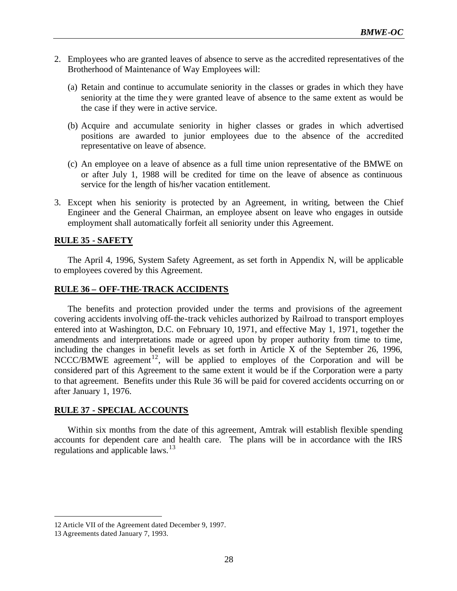- 2. Employees who are granted leaves of absence to serve as the accredited representatives of the Brotherhood of Maintenance of Way Employees will:
	- (a) Retain and continue to accumulate seniority in the classes or grades in which they have seniority at the time they were granted leave of absence to the same extent as would be the case if they were in active service.
	- (b) Acquire and accumulate seniority in higher classes or grades in which advertised positions are awarded to junior employees due to the absence of the accredited representative on leave of absence.
	- (c) An employee on a leave of absence as a full time union representative of the BMWE on or after July 1, 1988 will be credited for time on the leave of absence as continuous service for the length of his/her vacation entitlement.
- 3. Except when his seniority is protected by an Agreement, in writing, between the Chief Engineer and the General Chairman, an employee absent on leave who engages in outside employment shall automatically forfeit all seniority under this Agreement.

#### **RULE 35 - SAFETY**

The April 4, 1996, System Safety Agreement, as set forth in Appendix N, will be applicable to employees covered by this Agreement.

#### **RULE 36 – OFF-THE-TRACK ACCIDENTS**

The benefits and protection provided under the terms and provisions of the agreement covering accidents involving off-the-track vehicles authorized by Railroad to transport employes entered into at Washington, D.C. on February 10, 1971, and effective May 1, 1971, together the amendments and interpretations made or agreed upon by proper authority from time to time, including the changes in benefit levels as set forth in Article X of the September 26, 1996, NCCC/BMWE agreement<sup>12</sup>, will be applied to employes of the Corporation and will be considered part of this Agreement to the same extent it would be if the Corporation were a party to that agreement. Benefits under this Rule 36 will be paid for covered accidents occurring on or after January 1, 1976.

#### **RULE 37 - SPECIAL ACCOUNTS**

Within six months from the date of this agreement, Amtrak will establish flexible spending accounts for dependent care and health care. The plans will be in accordance with the IRS regulations and applicable laws. $13$ 

<sup>12</sup> Article VII of the Agreement dated December 9, 1997.

<sup>13</sup> Agreements dated January 7, 1993.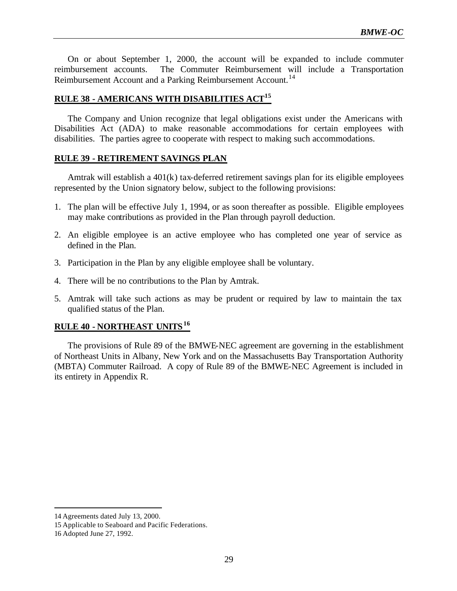On or about September 1, 2000, the account will be expanded to include commuter reimbursement accounts. The Commuter Reimbursement will include a Transportation Reimbursement Account and a Parking Reimbursement Account.<sup>14</sup>

# **RULE 38 - AMERICANS WITH DISABILITIES ACT 15**

The Company and Union recognize that legal obligations exist under the Americans with Disabilities Act (ADA) to make reasonable accommodations for certain employees with disabilities. The parties agree to cooperate with respect to making such accommodations.

#### **RULE 39 - RETIREMENT SAVINGS PLAN**

Amtrak will establish a 401(k) tax-deferred retirement savings plan for its eligible employees represented by the Union signatory below, subject to the following provisions:

- 1. The plan will be effective July 1, 1994, or as soon thereafter as possible. Eligible employees may make contributions as provided in the Plan through payroll deduction.
- 2. An eligible employee is an active employee who has completed one year of service as defined in the Plan.
- 3. Participation in the Plan by any eligible employee shall be voluntary.
- 4. There will be no contributions to the Plan by Amtrak.
- 5. Amtrak will take such actions as may be prudent or required by law to maintain the tax qualified status of the Plan.

### **RULE 40 - NORTHEAST UNITS<sup>16</sup>**

The provisions of Rule 89 of the BMWE-NEC agreement are governing in the establishment of Northeast Units in Albany, New York and on the Massachusetts Bay Transportation Authority (MBTA) Commuter Railroad. A copy of Rule 89 of the BMWE-NEC Agreement is included in its entirety in Appendix R.

<sup>14</sup> Agreements dated July 13, 2000.

<sup>15</sup> Applicable to Seaboard and Pacific Federations.

<sup>16</sup> Adopted June 27, 1992.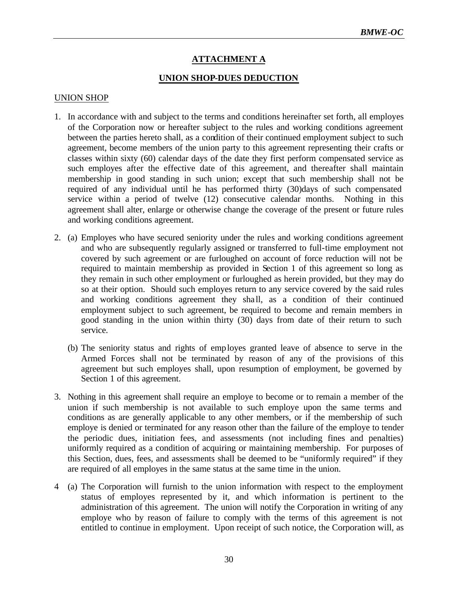# **ATTACHMENT A**

### **UNION SHOP-DUES DEDUCTION**

#### UNION SHOP

- 1. In accordance with and subject to the terms and conditions hereinafter set forth, all employes of the Corporation now or hereafter subject to the rules and working conditions agreement between the parties hereto shall, as a condition of their continued employment subject to such agreement, become members of the union party to this agreement representing their crafts or classes within sixty (60) calendar days of the date they first perform compensated service as such employes after the effective date of this agreement, and thereafter shall maintain membership in good standing in such union; except that such membership shall not be required of any individual until he has performed thirty (30)days of such compensated service within a period of twelve (12) consecutive calendar months. Nothing in this agreement shall alter, enlarge or otherwise change the coverage of the present or future rules and working conditions agreement.
- 2. (a) Employes who have secured seniority under the rules and working conditions agreement and who are subsequently regularly assigned or transferred to full-time employment not covered by such agreement or are furloughed on account of force reduction will not be required to maintain membership as provided in Section 1 of this agreement so long as they remain in such other employment or furloughed as herein provided, but they may do so at their option. Should such employes return to any service covered by the said rules and working conditions agreement they shall, as a condition of their continued employment subject to such agreement, be required to become and remain members in good standing in the union within thirty (30) days from date of their return to such service.
	- (b) The seniority status and rights of employes granted leave of absence to serve in the Armed Forces shall not be terminated by reason of any of the provisions of this agreement but such employes shall, upon resumption of employment, be governed by Section 1 of this agreement.
- 3. Nothing in this agreement shall require an employe to become or to remain a member of the union if such membership is not available to such employe upon the same terms and conditions as are generally applicable to any other members, or if the membership of such employe is denied or terminated for any reason other than the failure of the employe to tender the periodic dues, initiation fees, and assessments (not including fines and penalties) uniformly required as a condition of acquiring or maintaining membership. For purposes of this Section, dues, fees, and assessments shall be deemed to be "uniformly required" if they are required of all employes in the same status at the same time in the union.
- 4 (a) The Corporation will furnish to the union information with respect to the employment status of employes represented by it, and which information is pertinent to the administration of this agreement. The union will notify the Corporation in writing of any employe who by reason of failure to comply with the terms of this agreement is not entitled to continue in employment. Upon receipt of such notice, the Corporation will, as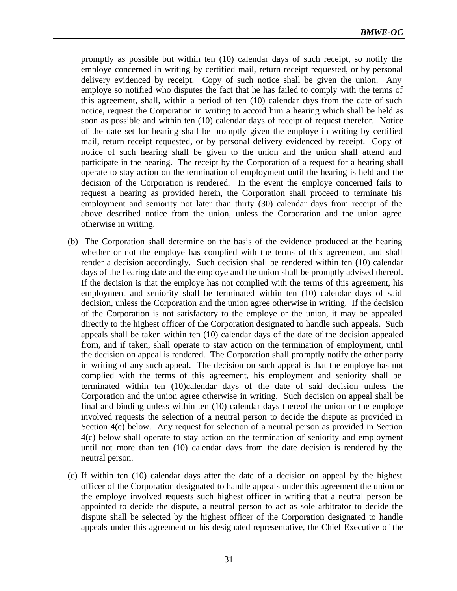promptly as possible but within ten (10) calendar days of such receipt, so notify the employe concerned in writing by certified mail, return receipt requested, or by personal delivery evidenced by receipt. Copy of such notice shall be given the union. Any employe so notified who disputes the fact that he has failed to comply with the terms of this agreement, shall, within a period of ten (10) calendar days from the date of such notice, request the Corporation in writing to accord him a hearing which shall be held as soon as possible and within ten (10) calendar days of receipt of request therefor. Notice of the date set for hearing shall be promptly given the employe in writing by certified mail, return receipt requested, or by personal delivery evidenced by receipt. Copy of notice of such hearing shall be given to the union and the union shall attend and participate in the hearing. The receipt by the Corporation of a request for a hearing shall operate to stay action on the termination of employment until the hearing is held and the decision of the Corporation is rendered. In the event the employe concerned fails to request a hearing as provided herein, the Corporation shall proceed to terminate his employment and seniority not later than thirty (30) calendar days from receipt of the above described notice from the union, unless the Corporation and the union agree otherwise in writing.

- (b) The Corporation shall determine on the basis of the evidence produced at the hearing whether or not the employe has complied with the terms of this agreement, and shall render a decision accordingly. Such decision shall be rendered within ten (10) calendar days of the hearing date and the employe and the union shall be promptly advised thereof. If the decision is that the employe has not complied with the terms of this agreement, his employment and seniority shall be terminated within ten (10) calendar days of said decision, unless the Corporation and the union agree otherwise in writing. If the decision of the Corporation is not satisfactory to the employe or the union, it may be appealed directly to the highest officer of the Corporation designated to handle such appeals. Such appeals shall be taken within ten (10) calendar days of the date of the decision appealed from, and if taken, shall operate to stay action on the termination of employment, until the decision on appeal is rendered. The Corporation shall promptly notify the other party in writing of any such appeal. The decision on such appeal is that the employe has not complied with the terms of this agreement, his employment and seniority shall be terminated within ten (10)calendar days of the date of said decision unless the Corporation and the union agree otherwise in writing. Such decision on appeal shall be final and binding unless within ten (10) calendar days thereof the union or the employe involved requests the selection of a neutral person to decide the dispute as provided in Section 4(c) below. Any request for selection of a neutral person as provided in Section 4(c) below shall operate to stay action on the termination of seniority and employment until not more than ten (10) calendar days from the date decision is rendered by the neutral person.
- (c) If within ten (10) calendar days after the date of a decision on appeal by the highest officer of the Corporation designated to handle appeals under this agreement the union or the employe involved requests such highest officer in writing that a neutral person be appointed to decide the dispute, a neutral person to act as sole arbitrator to decide the dispute shall be selected by the highest officer of the Corporation designated to handle appeals under this agreement or his designated representative, the Chief Executive of the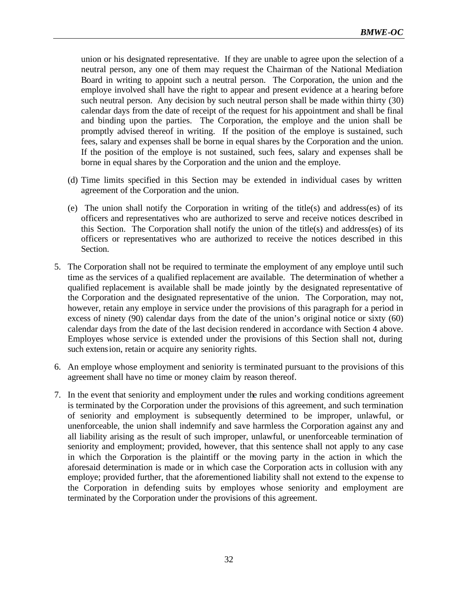union or his designated representative. If they are unable to agree upon the selection of a neutral person, any one of them may request the Chairman of the National Mediation Board in writing to appoint such a neutral person. The Corporation, the union and the employe involved shall have the right to appear and present evidence at a hearing before such neutral person. Any decision by such neutral person shall be made within thirty (30) calendar days from the date of receipt of the request for his appointment and shall be final and binding upon the parties. The Corporation, the employe and the union shall be promptly advised thereof in writing. If the position of the employe is sustained, such fees, salary and expenses shall be borne in equal shares by the Corporation and the union. If the position of the employe is not sustained, such fees, salary and expenses shall be borne in equal shares by the Corporation and the union and the employe.

- (d) Time limits specified in this Section may be extended in individual cases by written agreement of the Corporation and the union.
- (e) The union shall notify the Corporation in writing of the title(s) and address(es) of its officers and representatives who are authorized to serve and receive notices described in this Section. The Corporation shall notify the union of the title(s) and address(es) of its officers or representatives who are authorized to receive the notices described in this Section.
- 5. The Corporation shall not be required to terminate the employment of any employe until such time as the services of a qualified replacement are available. The determination of whether a qualified replacement is available shall be made jointly by the designated representative of the Corporation and the designated representative of the union. The Corporation, may not, however, retain any employe in service under the provisions of this paragraph for a period in excess of ninety (90) calendar days from the date of the union's original notice or sixty (60) calendar days from the date of the last decision rendered in accordance with Section 4 above. Employes whose service is extended under the provisions of this Section shall not, during such extension, retain or acquire any seniority rights.
- 6. An employe whose employment and seniority is terminated pursuant to the provisions of this agreement shall have no time or money claim by reason thereof.
- 7. In the event that seniority and employment under the rules and working conditions agreement is terminated by the Corporation under the provisions of this agreement, and such termination of seniority and employment is subsequently determined to be improper, unlawful, or unenforceable, the union shall indemnify and save harmless the Corporation against any and all liability arising as the result of such improper, unlawful, or unenforceable termination of seniority and employment; provided, however, that this sentence shall not apply to any case in which the Corporation is the plaintiff or the moving party in the action in which the aforesaid determination is made or in which case the Corporation acts in collusion with any employe; provided further, that the aforementioned liability shall not extend to the expense to the Corporation in defending suits by employes whose seniority and employment are terminated by the Corporation under the provisions of this agreement.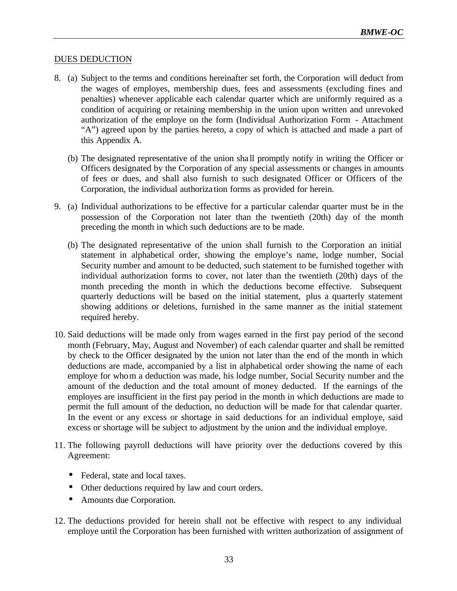### DUES DEDUCTION

- 8. (a) Subject to the terms and conditions hereinafter set forth, the Corporation will deduct from the wages of employes, membership dues, fees and assessments (excluding fines and penalties) whenever applicable each calendar quarter which are uniformly required as a condition of acquiring or retaining membership in the union upon written and unrevoked authorization of the employe on the form (Individual Authorization Form - Attachment "A") agreed upon by the parties hereto, a copy of which is attached and made a part of this Appendix A.
	- (b) The designated representative of the union sha ll promptly notify in writing the Officer or Officers designated by the Corporation of any special assessments or changes in amounts of fees or dues, and shall also furnish to such designated Officer or Officers of the Corporation, the individual authoriza tion forms as provided for herein.
- 9. (a) Individual authorizations to be effective for a particular calendar quarter must be in the possession of the Corporation not later than the twentieth (20th) day of the month preceding the month in which such deductions are to be made.
	- (b) The designated representative of the union shall furnish to the Corporation an initial statement in alphabetical order, showing the employe's name, lodge number, Social Security number and amount to be deducted, such statement to be furnished together with individual authorization forms to cover, not later than the twentieth (20th) days of the month preceding the month in which the deductions become effective. Subsequent quarterly deductions will be based on the initial statement, plus a quarterly statement showing additions or deletions, furnished in the same manner as the initial statement required hereby.
- 10. Said deductions will be made only from wages earned in the first pay period of the second month (February, May, August and November) of each calendar quarter and shall be remitted by check to the Officer designated by the union not later than the end of the month in which deductions are made, accompanied by a list in alphabetical order showing the name of each employe for whom a deduction was made, his lodge number, Social Security number and the amount of the deduction and the total amount of money deducted. If the earnings of the employes are insufficient in the first pay period in the month in which deductions are made to permit the full amount of the deduction, no deduction will be made for that calendar quarter. In the event or any excess or shortage in said deductions for an individual employe, said excess or shortage will be subject to adjustment by the union and the individual employe.
- 11. The following payroll deductions will have priority over the deductions covered by this Agreement:
	- Federal, state and local taxes.
	- Other deductions required by law and court orders.
	- Amounts due Corporation.
- 12. The deductions provided for herein shall not be effective with respect to any individual employe until the Corporation has been furnished with written authorization of assignment of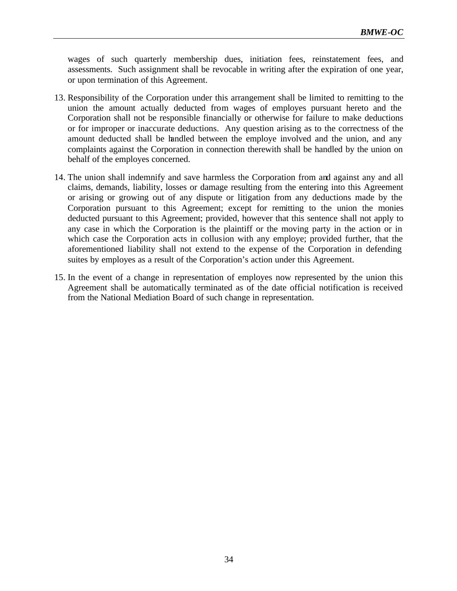wages of such quarterly membership dues, initiation fees, reinstatement fees, and assessments. Such assignment shall be revocable in writing after the expiration of one year, or upon termination of this Agreement.

- 13. Responsibility of the Corporation under this arrangement shall be limited to remitting to the union the amount actually deducted from wages of employes pursuant hereto and the Corporation shall not be responsible financially or otherwise for failure to make deductions or for improper or inaccurate deductions. Any question arising as to the correctness of the amount deducted shall be handled between the employe involved and the union, and any complaints against the Corporation in connection therewith shall be handled by the union on behalf of the employes concerned.
- 14. The union shall indemnify and save harmless the Corporation from and against any and all claims, demands, liability, losses or damage resulting from the entering into this Agreement or arising or growing out of any dispute or litigation from any deductions made by the Corporation pursuant to this Agreement; except for remitting to the union the monies deducted pursuant to this Agreement; provided, however that this sentence shall not apply to any case in which the Corporation is the plaintiff or the moving party in the action or in which case the Corporation acts in collusion with any employe; provided further, that the aforementioned liability shall not extend to the expense of the Corporation in defending suites by employes as a result of the Corporation's action under this Agreement.
- 15. In the event of a change in representation of employes now represented by the union this Agreement shall be automatically terminated as of the date official notification is received from the National Mediation Board of such change in representation.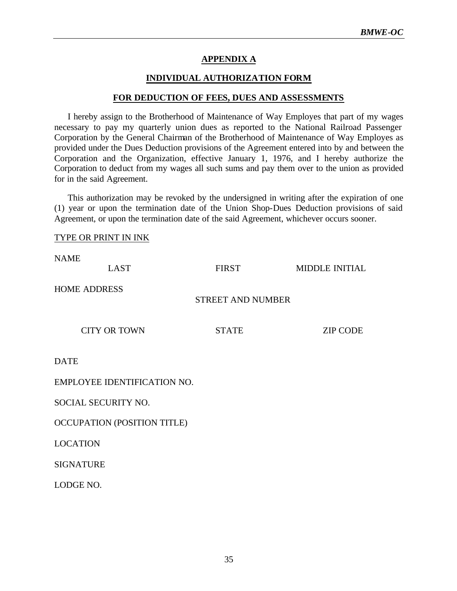# **APPENDIX A**

### **INDIVIDUAL AUTHORIZATION FORM**

#### **FOR DEDUCTION OF FEES, DUES AND ASSESSMENTS**

I hereby assign to the Brotherhood of Maintenance of Way Employes that part of my wages necessary to pay my quarterly union dues as reported to the National Railroad Passenger Corporation by the General Chairman of the Brotherhood of Maintenance of Way Employes as provided under the Dues Deduction provisions of the Agreement entered into by and between the Corporation and the Organization, effective January 1, 1976, and I hereby authorize the Corporation to deduct from my wages all such sums and pay them over to the union as provided for in the said Agreement.

This authorization may be revoked by the undersigned in writing after the expiration of one (1) year or upon the termination date of the Union Shop-Dues Deduction provisions of said Agreement, or upon the termination date of the said Agreement, whichever occurs sooner.

#### TYPE OR PRINT IN INK

| <b>NAME</b>         | <b>LAST</b>                        | <b>FIRST</b>             | <b>MIDDLE INITIAL</b> |
|---------------------|------------------------------------|--------------------------|-----------------------|
| <b>HOME ADDRESS</b> |                                    | <b>STREET AND NUMBER</b> |                       |
|                     | <b>CITY OR TOWN</b>                | <b>STATE</b>             | <b>ZIP CODE</b>       |
| <b>DATE</b>         |                                    |                          |                       |
|                     | EMPLOYEE IDENTIFICATION NO.        |                          |                       |
|                     | SOCIAL SECURITY NO.                |                          |                       |
|                     | <b>OCCUPATION (POSITION TITLE)</b> |                          |                       |
| <b>LOCATION</b>     |                                    |                          |                       |
| <b>SIGNATURE</b>    |                                    |                          |                       |
| LODGE NO.           |                                    |                          |                       |
|                     |                                    |                          |                       |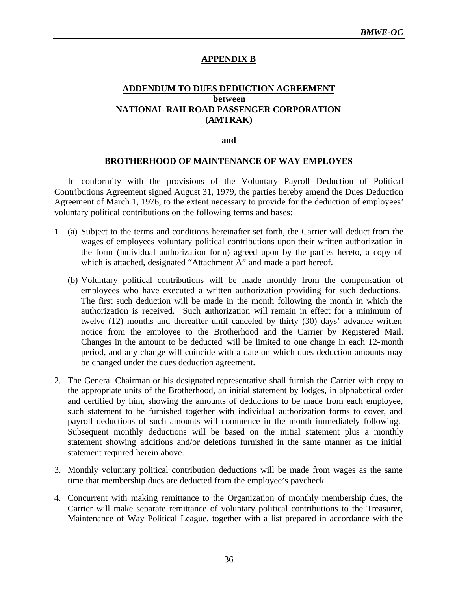# **APPENDIX B**

### **ADDENDUM TO DUES DEDUCTION AGREEMENT between NATIONAL RAILROAD PASSENGER CORPORATION (AMTRAK)**

**and**

### **BROTHERHOOD OF MAINTENANCE OF WAY EMPLOYES**

In conformity with the provisions of the Voluntary Payroll Deduction of Political Contributions Agreement signed August 31, 1979, the parties hereby amend the Dues Deduction Agreement of March 1, 1976, to the extent necessary to provide for the deduction of employees' voluntary political contributions on the following terms and bases:

- 1 (a) Subject to the terms and conditions hereinafter set forth, the Carrier will deduct from the wages of employees voluntary political contributions upon their written authorization in the form (individual authorization form) agreed upon by the parties hereto, a copy of which is attached, designated "Attachment A" and made a part hereof.
	- (b) Voluntary political contributions will be made monthly from the compensation of employees who have executed a written authorization providing for such deductions. The first such deduction will be made in the month following the month in which the authorization is received. Such authorization will remain in effect for a minimum of twelve (12) months and thereafter until canceled by thirty (30) days' advance written notice from the employee to the Brotherhood and the Carrier by Registered Mail. Changes in the amount to be deducted will be limited to one change in each 12-month period, and any change will coincide with a date on which dues deduction amounts may be changed under the dues deduction agreement.
- 2. The General Chairman or his designated representative shall furnish the Carrier with copy to the appropriate units of the Brotherhood, an initial statement by lodges, in alphabetical order and certified by him, showing the amounts of deductions to be made from each employee, such statement to be furnished together with individual authorization forms to cover, and payroll deductions of such amounts will commence in the month immediately following. Subsequent monthly deductions will be based on the initial statement plus a monthly statement showing additions and/or deletions furnished in the same manner as the initial statement required herein above.
- 3. Monthly voluntary political contribution deductions will be made from wages as the same time that membership dues are deducted from the employee's paycheck.
- 4. Concurrent with making remittance to the Organization of monthly membership dues, the Carrier will make separate remittance of voluntary political contributions to the Treasurer, Maintenance of Way Political League, together with a list prepared in accordance with the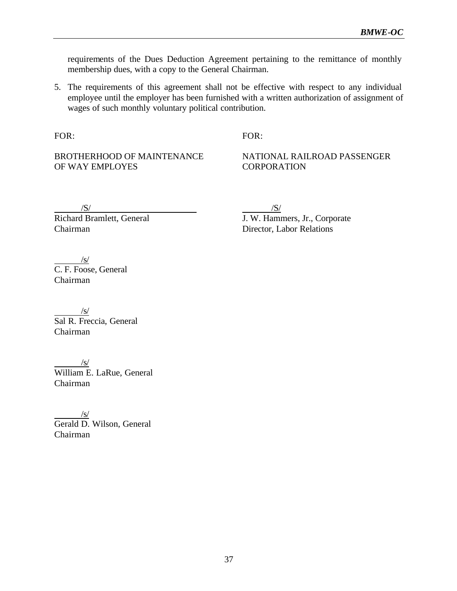requirements of the Dues Deduction Agreement pertaining to the remittance of monthly membership dues, with a copy to the General Chairman.

5. The requirements of this agreement shall not be effective with respect to any individual employee until the employer has been furnished with a written authorization of assignment of wages of such monthly voluntary political contribution.

FOR: FOR:

BROTHERHOOD OF MAINTENANCE NATIONAL RAILROAD PASSENGER OF WAY EMPLOYES CORPORATION

/S/<br>Richard Bramlett, General Chairman Director, Labor Relations

 $\frac{\Delta t}{\Delta}$ <br>J. W. Hammers, Jr., Corporate

 /s/ C. F. Foose, General Chairman

 /s/ Sal R. Freccia, General Chairman

 $\sqrt{s}$ William E. LaRue, General Chairman

 $\sqrt{s}$ Gerald D. Wilson, General Chairman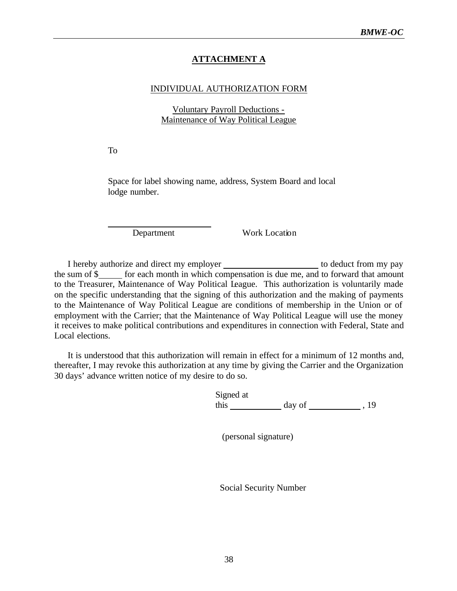## **ATTACHMENT A**

#### INDIVIDUAL AUTHORIZATION FORM

#### Voluntary Payroll Deductions - Maintenance of Way Political League

To

l

Space for label showing name, address, System Board and local lodge number.

Department Work Location

I hereby authorize and direct my employer \_\_\_\_\_\_\_\_\_\_\_\_\_\_\_\_\_\_\_\_\_\_\_ to deduct from my pay the sum of \$ for each month in which compensation is due me, and to forward that amount to the Treasurer, Maintenance of Way Political League. This authorization is voluntarily made on the specific understanding that the signing of this authorization and the making of payments to the Maintenance of Way Political League are conditions of membership in the Union or of employment with the Carrier; that the Maintenance of Way Political League will use the money it receives to make political contributions and expenditures in connection with Federal, State and Local elections.

It is understood that this authorization will remain in effect for a minimum of 12 months and, thereafter, I may revoke this authorization at any time by giving the Carrier and the Organization 30 days' advance written notice of my desire to do so.

> Signed at  $\frac{1}{\text{this}}$  day of  $\frac{1}{\text{this}}$ , 19

(personal signature)

Social Security Number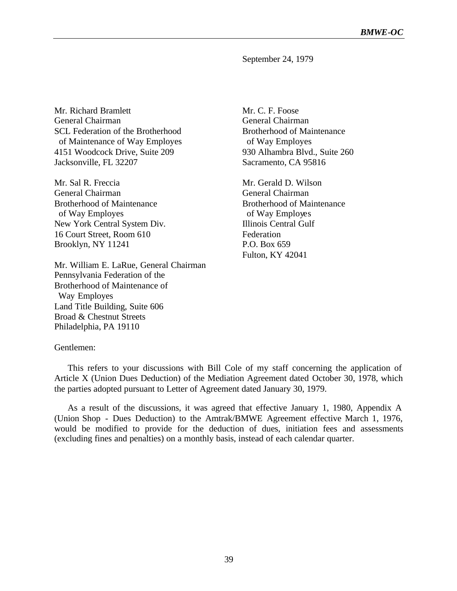September 24, 1979

Mr. Richard Bramlett Mr. C. F. Foose General Chairman General Chairman SCL Federation of the Brotherhood Brotherhood of Maintenance of Maintenance of Way Employes of Way Employes 4151 Woodcock Drive, Suite 209 930 Alhambra Blvd., Suite 260 Jacksonville, FL 32207 Sacramento, CA 95816

Mr. Sal R. Freccia Mr. Gerald D. Wilson General Chairman General Chairman Brotherhood of Maintenance Brotherhood of Maintenance of Way Employes of Way Employes New York Central System Div. Illinois Central Gulf 16 Court Street, Room 610 Federation Brooklyn, NY 11241 P.O. Box 659

Mr. William E. LaRue, General Chairman Pennsylvania Federation of the Brotherhood of Maintenance of Way Employes Land Title Building, Suite 606 Broad & Chestnut Streets Philadelphia, PA 19110

Fulton, KY 42041

#### Gentlemen:

This refers to your discussions with Bill Cole of my staff concerning the application of Article X (Union Dues Deduction) of the Mediation Agreement dated October 30, 1978, which the parties adopted pursuant to Letter of Agreement dated January 30, 1979.

As a result of the discussions, it was agreed that effective January 1, 1980, Appendix A (Union Shop - Dues Deduction) to the Amtrak/BMWE Agreement effective March 1, 1976, would be modified to provide for the deduction of dues, initiation fees and assessments (excluding fines and penalties) on a monthly basis, instead of each calendar quarter.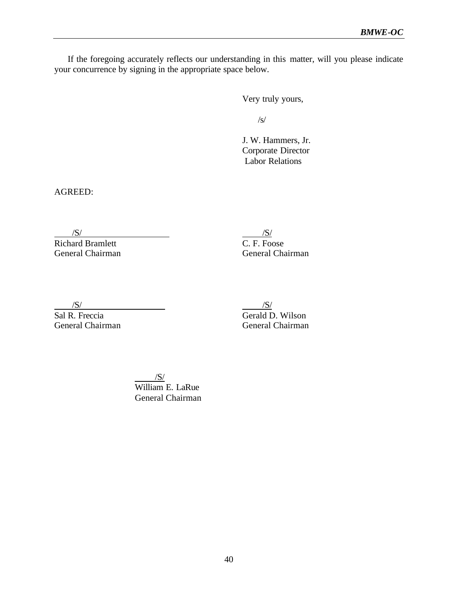If the foregoing accurately reflects our understanding in this matter, will you please indicate your concurrence by signing in the appropriate space below.

Very truly yours,

/s/

J. W. Hammers, Jr. Corporate Director Labor Relations

AGREED:

Richard Bramlett C. F. Foose General Chairman General Chairman

 $\sqrt{S/}$ 

General Chairman

 $\frac{1}{\sqrt{S}}$ /S/ Sal R. Freccia Gerald D. Wilson<br>General Chairman General Chairman

> /S/ William E. LaRue General Chairman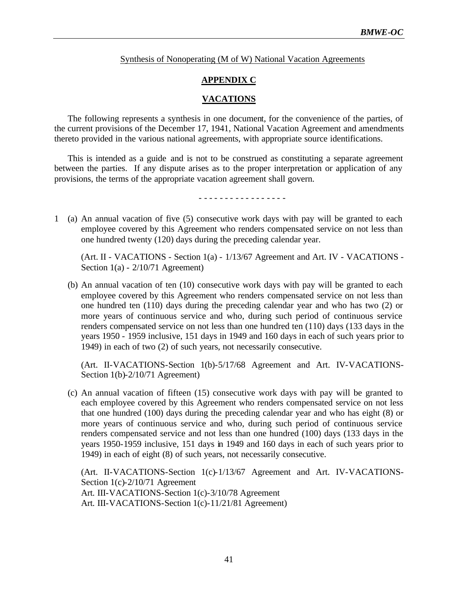### Synthesis of Nonoperating (M of W) National Vacation Agreements

## **APPENDIX C**

### **VACATIONS**

The following represents a synthesis in one document, for the convenience of the parties, of the current provisions of the December 17, 1941, National Vacation Agreement and amendments thereto provided in the various national agreements, with appropriate source identifications.

This is intended as a guide and is not to be construed as constituting a separate agreement between the parties. If any dispute arises as to the proper interpretation or application of any provisions, the terms of the appropriate vacation agreement shall govern.

- - - - - - - - - - - - - - - - -

1 (a) An annual vacation of five (5) consecutive work days with pay will be granted to each employee covered by this Agreement who renders compensated service on not less than one hundred twenty (120) days during the preceding calendar year.

(Art. II - VACATIONS - Section 1(a) - 1/13/67 Agreement and Art. IV - VACATIONS - Section  $1(a) - 2/10/71$  Agreement)

(b) An annual vacation of ten (10) consecutive work days with pay will be granted to each employee covered by this Agreement who renders compensated service on not less than one hundred ten (110) days during the preceding calendar year and who has two (2) or more years of continuous service and who, during such period of continuous service renders compensated service on not less than one hundred ten (110) days (133 days in the years 1950 - 1959 inclusive, 151 days in 1949 and 160 days in each of such years prior to 1949) in each of two (2) of such years, not necessarily consecutive.

(Art. II-VACATIONS-Section 1(b)-5/17/68 Agreement and Art. IV-VACATIONS-Section 1(b)-2/10/71 Agreement)

(c) An annual vacation of fifteen (15) consecutive work days with pay will be granted to each employee covered by this Agreement who renders compensated service on not less that one hundred (100) days during the preceding calendar year and who has eight (8) or more years of continuous service and who, during such period of continuous service renders compensated service and not less than one hundred (100) days (133 days in the years 1950-1959 inclusive, 151 days in 1949 and 160 days in each of such years prior to 1949) in each of eight (8) of such years, not necessarily consecutive.

(Art. II-VACATIONS-Section 1(c)-1/13/67 Agreement and Art. IV-VACATIONS-Section 1(c)-2/10/71 Agreement Art. III-VACATIONS-Section 1(c)-3/10/78 Agreement Art. III-VACATIONS-Section 1(c)-11/21/81 Agreement)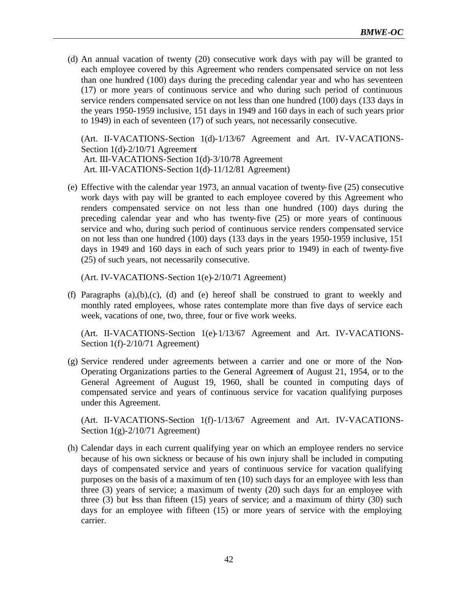(d) An annual vacation of twenty (20) consecutive work days with pay will be granted to each employee covered by this Agreement who renders compensated service on not less than one hundred (100) days during the preceding calendar year and who has seventeen (17) or more years of continuous service and who during such period of continuous service renders compensated service on not less than one hundred (100) days (133 days in the years 1950-1959 inclusive, 151 days in 1949 and 160 days in each of such years prior to 1949) in each of seventeen (17) of such years, not necessarily consecutive.

(Art. II-VACATIONS-Section 1(d)-1/13/67 Agreement and Art. IV-VACATIONS-Section 1(d)-2/10/71 Agreement Art. III-VACATIONS-Section 1(d)-3/10/78 Agreement Art. III-VACATIONS-Section 1(d)-11/12/81 Agreement)

(e) Effective with the calendar year 1973, an annual vacation of twenty-five (25) consecutive work days with pay will be granted to each employee covered by this Agreement who renders compensated service on not less than one hundred (100) days during the preceding calendar year and who has twenty-five (25) or more years of continuous service and who, during such period of continuous service renders compensated service on not less than one hundred (100) days (133 days in the years 1950-1959 inclusive, 151 days in 1949 and 160 days in each of such years prior to 1949) in each of twenty-five (25) of such years, not necessarily consecutive.

(Art. IV-VACATIONS-Section 1(e)-2/10/71 Agreement)

(f) Paragraphs (a),(b),(c), (d) and (e) hereof shall be construed to grant to weekly and monthly rated employees, whose rates contemplate more than five days of service each week, vacations of one, two, three, four or five work weeks.

(Art. II-VACATIONS-Section 1(e)-1/13/67 Agreement and Art. IV-VACATIONS-Section 1(f)-2/10/71 Agreement)

(g) Service rendered under agreements between a carrier and one or more of the Non-Operating Organizations parties to the General Agreement of August 21, 1954, or to the General Agreement of August 19, 1960, shall be counted in computing days of compensated service and years of continuous service for vacation qualifying purposes under this Agreement.

(Art. II-VACATIONS-Section 1(f)-1/13/67 Agreement and Art. IV-VACATIONS-Section 1(g)-2/10/71 Agreement)

(h) Calendar days in each current qualifying year on which an employee renders no service because of his own sickness or because of his own injury shall be included in computing days of compensated service and years of continuous service for vacation qualifying purposes on the basis of a maximum of ten (10) such days for an employee with less than three (3) years of service; a maximum of twenty (20) such days for an employee with three  $(3)$  but less than fifteen  $(15)$  years of service; and a maximum of thirty  $(30)$  such days for an employee with fifteen (15) or more years of service with the employing carrier.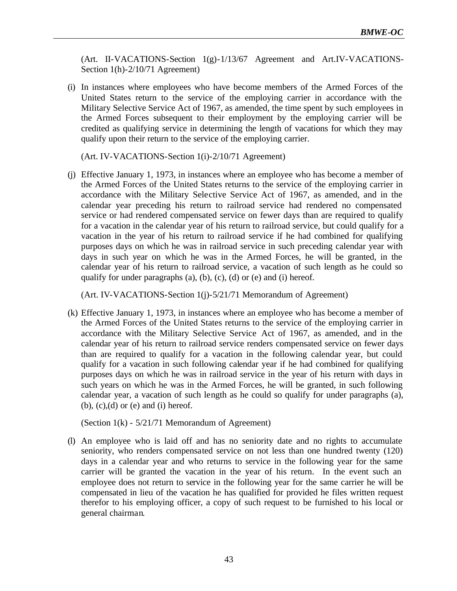(Art. II-VACATIONS-Section 1(g)-1/13/67 Agreement and Art.IV-VACATIONS-Section 1(h)-2/10/71 Agreement)

(i) In instances where employees who have become members of the Armed Forces of the United States return to the service of the employing carrier in accordance with the Military Selective Service Act of 1967, as amended, the time spent by such employees in the Armed Forces subsequent to their employment by the employing carrier will be credited as qualifying service in determining the length of vacations for which they may qualify upon their return to the service of the employing carrier.

(Art. IV-VACATIONS-Section 1(i)-2/10/71 Agreement)

(j) Effective January 1, 1973, in instances where an employee who has become a member of the Armed Forces of the United States returns to the service of the employing carrier in accordance with the Military Selective Service Act of 1967, as amended, and in the calendar year preceding his return to railroad service had rendered no compensated service or had rendered compensated service on fewer days than are required to qualify for a vacation in the calendar year of his return to railroad service, but could qualify for a vacation in the year of his return to railroad service if he had combined for qualifying purposes days on which he was in railroad service in such preceding calendar year with days in such year on which he was in the Armed Forces, he will be granted, in the calendar year of his return to railroad service, a vacation of such length as he could so qualify for under paragraphs  $(a)$ ,  $(b)$ ,  $(c)$ ,  $(d)$  or  $(e)$  and  $(i)$  hereof.

(Art. IV-VACATIONS-Section 1(j)-5/21/71 Memorandum of Agreement)

(k) Effective January 1, 1973, in instances where an employee who has become a member of the Armed Forces of the United States returns to the service of the employing carrier in accordance with the Military Selective Service Act of 1967, as amended, and in the calendar year of his return to railroad service renders compensated service on fewer days than are required to qualify for a vacation in the following calendar year, but could qualify for a vacation in such following calendar year if he had combined for qualifying purposes days on which he was in railroad service in the year of his return with days in such years on which he was in the Armed Forces, he will be granted, in such following calendar year, a vacation of such length as he could so qualify for under paragraphs (a),  $(b)$ ,  $(c)$ ,  $(d)$  or  $(e)$  and  $(i)$  hereof.

(Section 1(k) - 5/21/71 Memorandum of Agreement)

(l) An employee who is laid off and has no seniority date and no rights to accumulate seniority, who renders compensated service on not less than one hundred twenty (120) days in a calendar year and who returns to service in the following year for the same carrier will be granted the vacation in the year of his return. In the event such an employee does not return to service in the following year for the same carrier he will be compensated in lieu of the vacation he has qualified for provided he files written request therefor to his employing officer, a copy of such request to be furnished to his local or general chairman.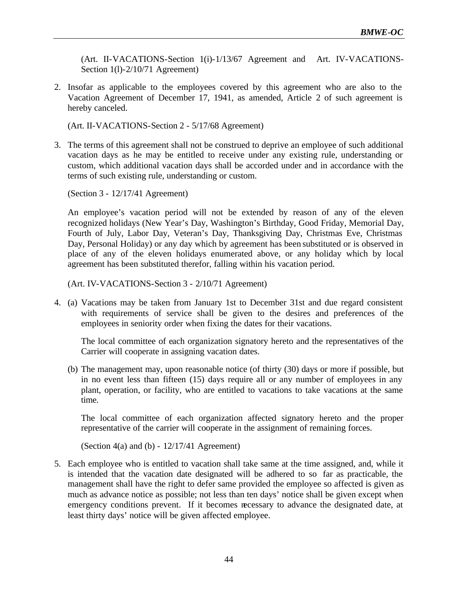(Art. II-VACATIONS-Section 1(i)-1/13/67 Agreement and Art. IV-VACATIONS-Section 1(l)-2/10/71 Agreement)

2. Insofar as applicable to the employees covered by this agreement who are also to the Vacation Agreement of December 17, 1941, as amended, Article 2 of such agreement is hereby canceled.

(Art. II-VACATIONS-Section 2 - 5/17/68 Agreement)

3. The terms of this agreement shall not be construed to deprive an employee of such additional vacation days as he may be entitled to receive under any existing rule, understanding or custom, which additional vacation days shall be accorded under and in accordance with the terms of such existing rule, understanding or custom.

(Section 3 - 12/17/41 Agreement)

An employee's vacation period will not be extended by reason of any of the eleven recognized holidays (New Year's Day, Washington's Birthday, Good Friday, Memorial Day, Fourth of July, Labor Day, Veteran's Day, Thanksgiving Day, Christmas Eve, Christmas Day, Personal Holiday) or any day which by agreement has been substituted or is observed in place of any of the eleven holidays enumerated above, or any holiday which by local agreement has been substituted therefor, falling within his vacation period.

(Art. IV-VACATIONS-Section 3 - 2/10/71 Agreement)

4. (a) Vacations may be taken from January 1st to December 31st and due regard consistent with requirements of service shall be given to the desires and preferences of the employees in seniority order when fixing the dates for their vacations.

The local committee of each organization signatory hereto and the representatives of the Carrier will cooperate in assigning vacation dates.

(b) The management may, upon reasonable notice (of thirty (30) days or more if possible, but in no event less than fifteen (15) days require all or any number of employees in any plant, operation, or facility, who are entitled to vacations to take vacations at the same time.

The local committee of each organization affected signatory hereto and the proper representative of the carrier will cooperate in the assignment of remaining forces.

(Section 4(a) and (b) -  $12/17/41$  Agreement)

5. Each employee who is entitled to vacation shall take same at the time assigned, and, while it is intended that the vacation date designated will be adhered to so far as practicable, the management shall have the right to defer same provided the employee so affected is given as much as advance notice as possible; not less than ten days' notice shall be given except when emergency conditions prevent. If it becomes necessary to advance the designated date, at least thirty days' notice will be given affected employee.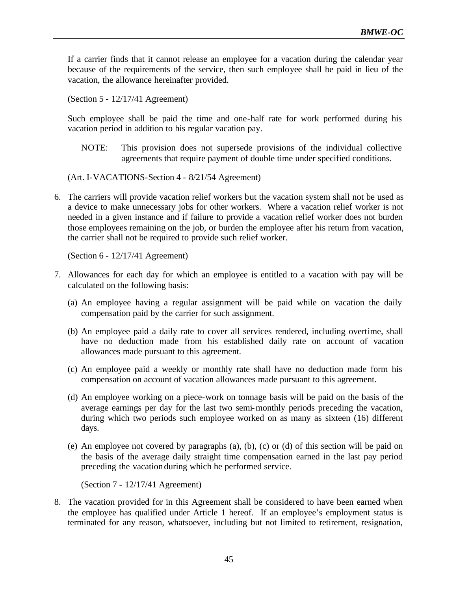If a carrier finds that it cannot release an employee for a vacation during the calendar year because of the requirements of the service, then such employee shall be paid in lieu of the vacation, the allowance hereinafter provided.

(Section 5 - 12/17/41 Agreement)

Such employee shall be paid the time and one-half rate for work performed during his vacation period in addition to his regular vacation pay.

NOTE: This provision does not supersede provisions of the individual collective agreements that require payment of double time under specified conditions.

(Art. I-VACATIONS-Section 4 - 8/21/54 Agreement)

6. The carriers will provide vacation relief workers but the vacation system shall not be used as a device to make unnecessary jobs for other workers. Where a vacation relief worker is not needed in a given instance and if failure to provide a vacation relief worker does not burden those employees remaining on the job, or burden the employee after his return from vacation, the carrier shall not be required to provide such relief worker.

(Section 6 - 12/17/41 Agreement)

- 7. Allowances for each day for which an employee is entitled to a vacation with pay will be calculated on the following basis:
	- (a) An employee having a regular assignment will be paid while on vacation the daily compensation paid by the carrier for such assignment.
	- (b) An employee paid a daily rate to cover all services rendered, including overtime, shall have no deduction made from his established daily rate on account of vacation allowances made pursuant to this agreement.
	- (c) An employee paid a weekly or monthly rate shall have no deduction made form his compensation on account of vacation allowances made pursuant to this agreement.
	- (d) An employee working on a piece-work on tonnage basis will be paid on the basis of the average earnings per day for the last two semi-monthly periods preceding the vacation, during which two periods such employee worked on as many as sixteen (16) different days.
	- (e) An employee not covered by paragraphs (a), (b), (c) or (d) of this section will be paid on the basis of the average daily straight time compensation earned in the last pay period preceding the vacation during which he performed service.

(Section 7 - 12/17/41 Agreement)

8. The vacation provided for in this Agreement shall be considered to have been earned when the employee has qualified under Article 1 hereof. If an employee's employment status is terminated for any reason, whatsoever, including but not limited to retirement, resignation,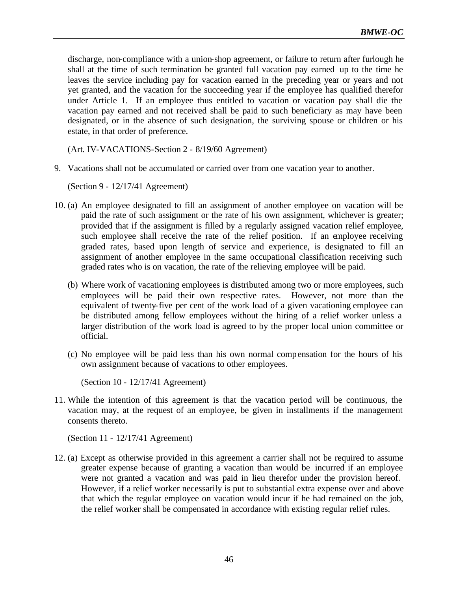discharge, non-compliance with a union-shop agreement, or failure to return after furlough he shall at the time of such termination be granted full vacation pay earned up to the time he leaves the service including pay for vacation earned in the preceding year or years and not yet granted, and the vacation for the succeeding year if the employee has qualified therefor under Article 1. If an employee thus entitled to vacation or vacation pay shall die the vacation pay earned and not received shall be paid to such beneficiary as may have been designated, or in the absence of such designation, the surviving spouse or children or his estate, in that order of preference.

(Art. IV-VACATIONS-Section 2 - 8/19/60 Agreement)

9. Vacations shall not be accumulated or carried over from one vacation year to another.

(Section 9 - 12/17/41 Agreement)

- 10. (a) An employee designated to fill an assignment of another employee on vacation will be paid the rate of such assignment or the rate of his own assignment, whichever is greater; provided that if the assignment is filled by a regularly assigned vacation relief employee, such employee shall receive the rate of the relief position. If an employee receiving graded rates, based upon length of service and experience, is designated to fill an assignment of another employee in the same occupational classification receiving such graded rates who is on vacation, the rate of the relieving employee will be paid.
	- (b) Where work of vacationing employees is distributed among two or more employees, such employees will be paid their own respective rates. However, not more than the equivalent of twenty-five per cent of the work load of a given vacationing employee can be distributed among fellow employees without the hiring of a relief worker unless a larger distribution of the work load is agreed to by the proper local union committee or official.
	- (c) No employee will be paid less than his own normal compensation for the hours of his own assignment because of vacations to other employees.

(Section 10 - 12/17/41 Agreement)

11. While the intention of this agreement is that the vacation period will be continuous, the vacation may, at the request of an employee, be given in installments if the management consents thereto.

(Section 11 - 12/17/41 Agreement)

12. (a) Except as otherwise provided in this agreement a carrier shall not be required to assume greater expense because of granting a vacation than would be incurred if an employee were not granted a vacation and was paid in lieu therefor under the provision hereof. However, if a relief worker necessarily is put to substantial extra expense over and above that which the regular employee on vacation would incur if he had remained on the job, the relief worker shall be compensated in accordance with existing regular relief rules.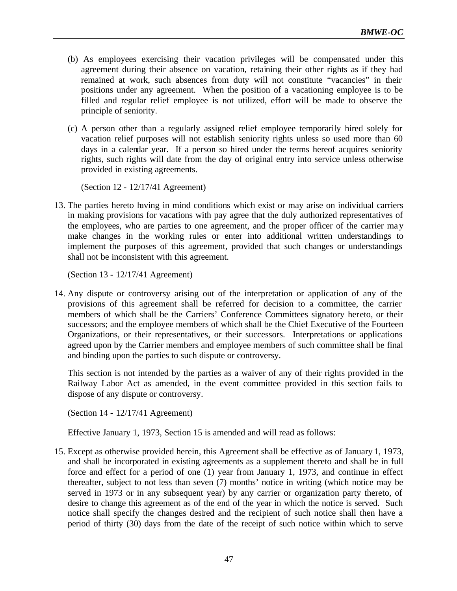- (b) As employees exercising their vacation privileges will be compensated under this agreement during their absence on vacation, retaining their other rights as if they had remained at work, such absences from duty will not constitute "vacancies" in their positions under any agreement. When the position of a vacationing employee is to be filled and regular relief employee is not utilized, effort will be made to observe the principle of seniority.
- (c) A person other than a regularly assigned relief employee temporarily hired solely for vacation relief purposes will not establish seniority rights unless so used more than 60 days in a calendar year. If a person so hired under the terms hereof acquires seniority rights, such rights will date from the day of original entry into service unless otherwise provided in existing agreements.

(Section 12 - 12/17/41 Agreement)

13. The parties hereto having in mind conditions which exist or may arise on individual carriers in making provisions for vacations with pay agree that the duly authorized representatives of the employees, who are parties to one agreement, and the proper officer of the carrier may make changes in the working rules or enter into additional written understandings to implement the purposes of this agreement, provided that such changes or understandings shall not be inconsistent with this agreement.

(Section 13 - 12/17/41 Agreement)

14. Any dispute or controversy arising out of the interpretation or application of any of the provisions of this agreement shall be referred for decision to a committee, the carrier members of which shall be the Carriers' Conference Committees signatory hereto, or their successors; and the employee members of which shall be the Chief Executive of the Fourteen Organizations, or their representatives, or their successors. Interpretations or applications agreed upon by the Carrier members and employee members of such committee shall be final and binding upon the parties to such dispute or controversy.

This section is not intended by the parties as a waiver of any of their rights provided in the Railway Labor Act as amended, in the event committee provided in this section fails to dispose of any dispute or controversy.

(Section 14 - 12/17/41 Agreement)

Effective January 1, 1973, Section 15 is amended and will read as follows:

15. Except as otherwise provided herein, this Agreement shall be effective as of January 1, 1973, and shall be incorporated in existing agreements as a supplement thereto and shall be in full force and effect for a period of one (1) year from January 1, 1973, and continue in effect thereafter, subject to not less than seven (7) months' notice in writing (which notice may be served in 1973 or in any subsequent year) by any carrier or organization party thereto, of desire to change this agreement as of the end of the year in which the notice is served. Such notice shall specify the changes desired and the recipient of such notice shall then have a period of thirty (30) days from the date of the receipt of such notice within which to serve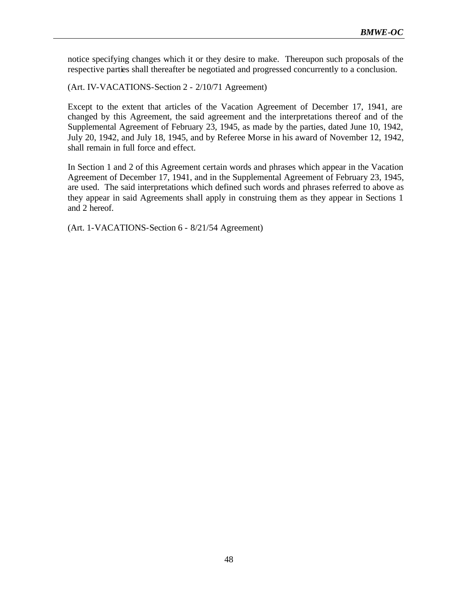notice specifying changes which it or they desire to make. Thereupon such proposals of the respective parties shall thereafter be negotiated and progressed concurrently to a conclusion.

(Art. IV-VACATIONS-Section 2 - 2/10/71 Agreement)

Except to the extent that articles of the Vacation Agreement of December 17, 1941, are changed by this Agreement, the said agreement and the interpretations thereof and of the Supplemental Agreement of February 23, 1945, as made by the parties, dated June 10, 1942, July 20, 1942, and July 18, 1945, and by Referee Morse in his award of November 12, 1942, shall remain in full force and effect.

In Section 1 and 2 of this Agreement certain words and phrases which appear in the Vacation Agreement of December 17, 1941, and in the Supplemental Agreement of February 23, 1945, are used. The said interpretations which defined such words and phrases referred to above as they appear in said Agreements shall apply in construing them as they appear in Sections 1 and 2 hereof.

(Art. 1-VACATIONS-Section 6 - 8/21/54 Agreement)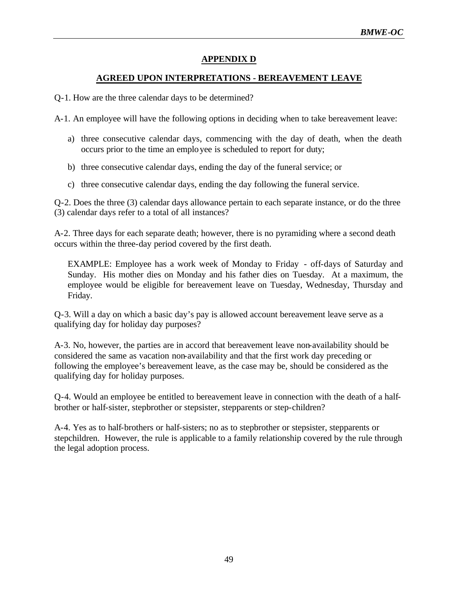## **APPENDIX D**

## **AGREED UPON INTERPRETATIONS - BEREAVEMENT LEAVE**

Q-1. How are the three calendar days to be determined?

A-1. An employee will have the following options in deciding when to take bereavement leave:

- a) three consecutive calendar days, commencing with the day of death, when the death occurs prior to the time an employee is scheduled to report for duty;
- b) three consecutive calendar days, ending the day of the funeral service; or
- c) three consecutive calendar days, ending the day following the funeral service.

Q-2. Does the three (3) calendar days allowance pertain to each separate instance, or do the three (3) calendar days refer to a total of all instances?

A-2. Three days for each separate death; however, there is no pyramiding where a second death occurs within the three-day period covered by the first death.

EXAMPLE: Employee has a work week of Monday to Friday - off-days of Saturday and Sunday. His mother dies on Monday and his father dies on Tuesday. At a maximum, the employee would be eligible for bereavement leave on Tuesday, Wednesday, Thursday and Friday.

Q-3. Will a day on which a basic day's pay is allowed account bereavement leave serve as a qualifying day for holiday day purposes?

A-3. No, however, the parties are in accord that bereavement leave non-availability should be considered the same as vacation non-availability and that the first work day preceding or following the employee's bereavement leave, as the case may be, should be considered as the qualifying day for holiday purposes.

Q-4. Would an employee be entitled to bereavement leave in connection with the death of a halfbrother or half-sister, stepbrother or stepsister, stepparents or step-children?

A-4. Yes as to half-brothers or half-sisters; no as to stepbrother or stepsister, stepparents or stepchildren. However, the rule is applicable to a family relationship covered by the rule through the legal adoption process.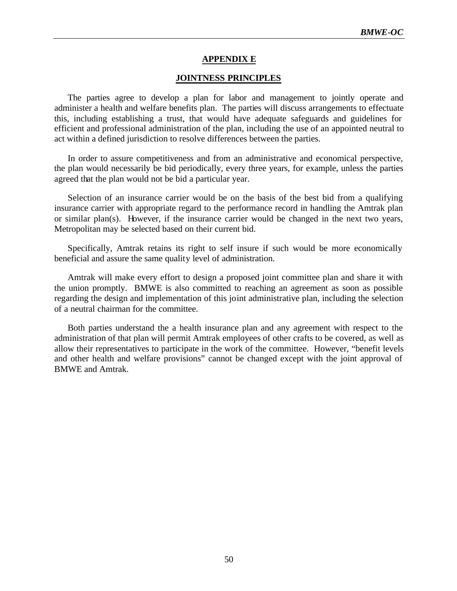#### **APPENDIX E**

#### **JOINTNESS PRINCIPLES**

The parties agree to develop a plan for labor and management to jointly operate and administer a health and welfare benefits plan. The parties will discuss arrangements to effectuate this, including establishing a trust, that would have adequate safeguards and guidelines for efficient and professional administration of the plan, including the use of an appointed neutral to act within a defined jurisdiction to resolve differences between the parties.

In order to assure competitiveness and from an administrative and economical perspective, the plan would necessarily be bid periodically, every three years, for example, unless the parties agreed that the plan would not be bid a particular year.

Selection of an insurance carrier would be on the basis of the best bid from a qualifying insurance carrier with appropriate regard to the performance record in handling the Amtrak plan or similar plan(s). However, if the insurance carrier would be changed in the next two years, Metropolitan may be selected based on their current bid.

Specifically, Amtrak retains its right to self insure if such would be more economically beneficial and assure the same quality level of administration.

Amtrak will make every effort to design a proposed joint committee plan and share it with the union promptly. BMWE is also committed to reaching an agreement as soon as possible regarding the design and implementation of this joint administrative plan, including the selection of a neutral chairman for the committee.

Both parties understand the a health insurance plan and any agreement with respect to the administration of that plan will permit Amtrak employees of other crafts to be covered, as well as allow their representatives to participate in the work of the committee. However, "benefit levels and other health and welfare provisions" cannot be changed except with the joint approval of BMWE and Amtrak.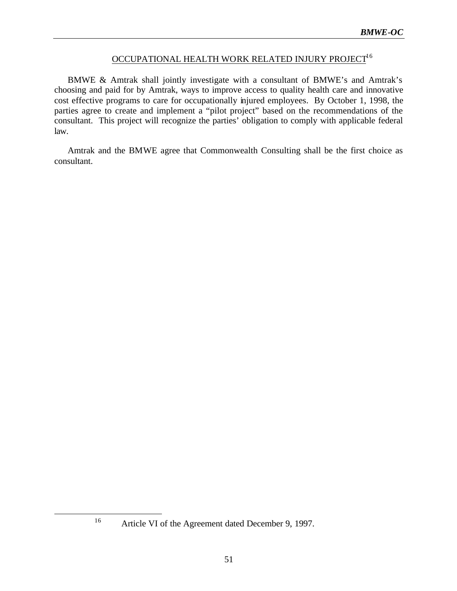## OCCUPATIONAL HEALTH WORK RELATED INJURY PROJECT<sup>16</sup>

BMWE & Amtrak shall jointly investigate with a consultant of BMWE's and Amtrak's choosing and paid for by Amtrak, ways to improve access to quality health care and innovative cost effective programs to care for occupationally injured employees. By October 1, 1998, the parties agree to create and implement a "pilot project" based on the recommendations of the consultant. This project will recognize the parties' obligation to comply with applicable federal law.

Amtrak and the BMWE agree that Commonwealth Consulting shall be the first choice as consultant.

 $\overline{a}$ 

<sup>&</sup>lt;sup>16</sup> Article VI of the Agreement dated December 9, 1997.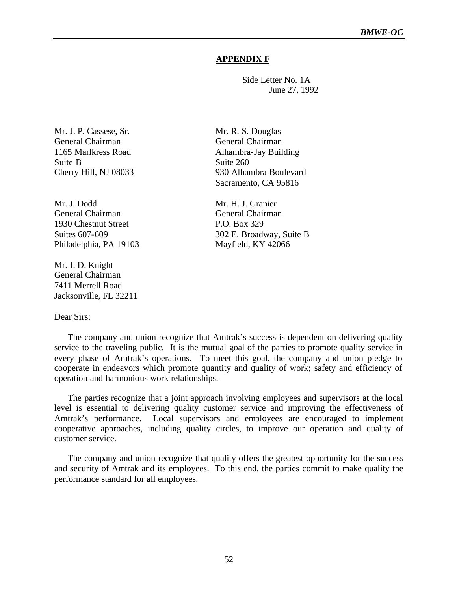### **APPENDIX F**

Side Letter No. 1A June 27, 1992

Mr. J. P. Cassese, Sr. Mr. R. S. Douglas General Chairman General Chairman Suite B Suite 260

Mr. J. Dodd Mr. H. J. Granier General Chairman General Chairman 1930 Chestnut Street P.O. Box 329 Philadelphia, PA 19103 Mayfield, KY 42066

Mr. J. D. Knight General Chairman 7411 Merrell Road Jacksonville, FL 32211

Dear Sirs:

1165 Marlkress Road Alhambra-Jay Building Cherry Hill, NJ 08033 930 Alhambra Boulevard Sacramento, CA 95816

Suites 607-609 302 E. Broadway, Suite B

The company and union recognize that Amtrak's success is dependent on delivering quality service to the traveling public. It is the mutual goal of the parties to promote quality service in every phase of Amtrak's operations. To meet this goal, the company and union pledge to cooperate in endeavors which promote quantity and quality of work; safety and efficiency of operation and harmonious work relationships.

The parties recognize that a joint approach involving employees and supervisors at the local level is essential to delivering quality customer service and improving the effectiveness of Amtrak's performance. Local supervisors and employees are encouraged to implement cooperative approaches, including quality circles, to improve our operation and quality of customer service.

The company and union recognize that quality offers the greatest opportunity for the success and security of Amtrak and its employees. To this end, the parties commit to make quality the performance standard for all employees.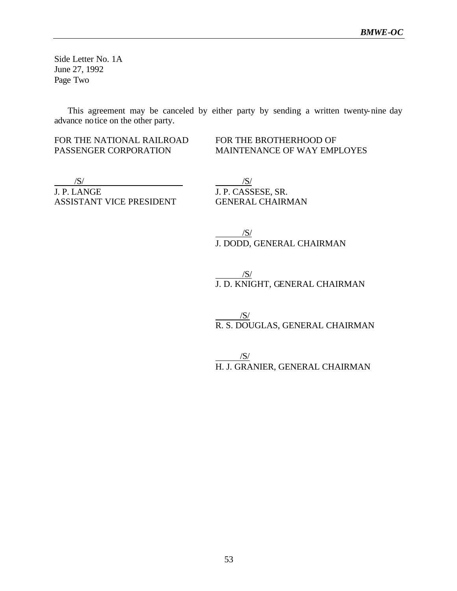Side Letter No. 1A June 27, 1992 Page Two

This agreement may be canceled by either party by sending a written twenty-nine day advance notice on the other party.

# FOR THE NATIONAL RAILROAD FOR THE BROTHERHOOD OF

PASSENGER CORPORATION MAINTENANCE OF WAY EMPLOYES

 $\sqrt{S/}$  /S/ J. P. LANGE<br>ASSISTANT VICE PRESIDENT<br>GENERAL CHAIRMAN ASSISTANT VICE PRESIDENT

 $\frac{1}{\sqrt{S}}$ J. DODD, GENERAL CHAIRMAN

 $\frac{1}{\sqrt{S}}$ J. D. KNIGHT, GENERAL CHAIRMAN

 /S/ R. S. DOUGLAS, GENERAL CHAIRMAN

 $\frac{1}{\sqrt{S}}$ H. J. GRANIER, GENERAL CHAIRMAN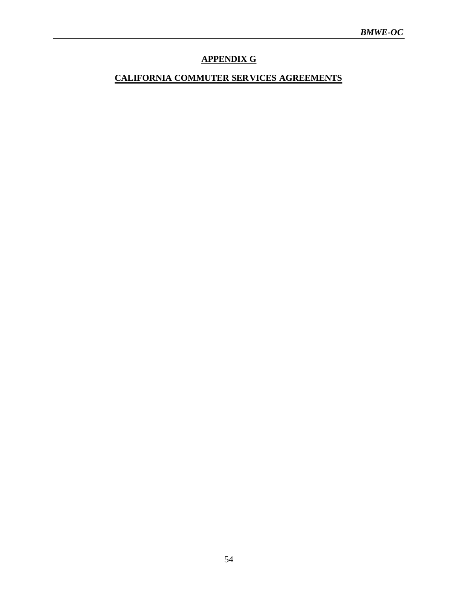## **APPENDIX G**

## **CALIFORNIA COMMUTER SERVICES AGREEMENTS**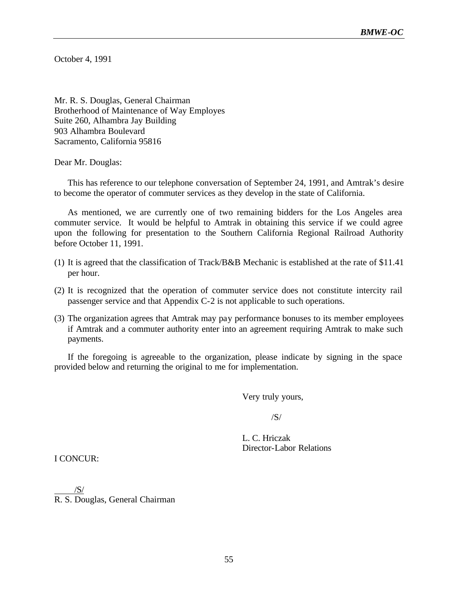October 4, 1991

Mr. R. S. Douglas, General Chairman Brotherhood of Maintenance of Way Employes Suite 260, Alhambra Jay Building 903 Alhambra Boulevard Sacramento, California 95816

Dear Mr. Douglas:

This has reference to our telephone conversation of September 24, 1991, and Amtrak's desire to become the operator of commuter services as they develop in the state of California.

As mentioned, we are currently one of two remaining bidders for the Los Angeles area commuter service. It would be helpful to Amtrak in obtaining this service if we could agree upon the following for presentation to the Southern California Regional Railroad Authority before October 11, 1991.

- (1) It is agreed that the classification of Track/B&B Mechanic is established at the rate of \$11.41 per hour.
- (2) It is recognized that the operation of commuter service does not constitute intercity rail passenger service and that Appendix C-2 is not applicable to such operations.
- (3) The organization agrees that Amtrak may pay performance bonuses to its member employees if Amtrak and a commuter authority enter into an agreement requiring Amtrak to make such payments.

If the foregoing is agreeable to the organization, please indicate by signing in the space provided below and returning the original to me for implementation.

Very truly yours,

 $/S/$ 

L. C. Hriczak Director-Labor Relations

I CONCUR:

 $\frac{1}{\sqrt{S}}$ R. S. Douglas, General Chairman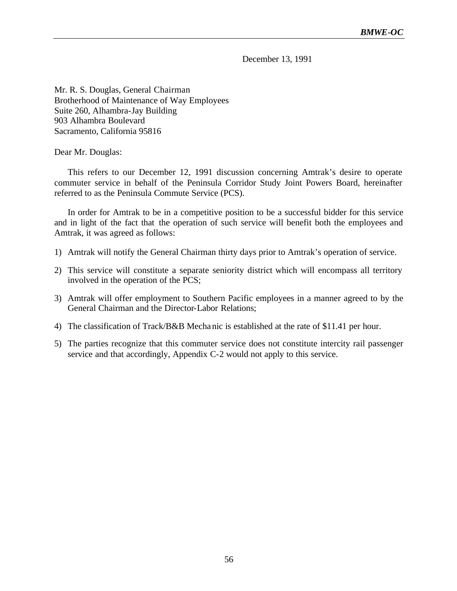December 13, 1991

Mr. R. S. Douglas, General Chairman Brotherhood of Maintenance of Way Employees Suite 260, Alhambra-Jay Building 903 Alhambra Boulevard Sacramento, California 95816

Dear Mr. Douglas:

This refers to our December 12, 1991 discussion concerning Amtrak's desire to operate commuter service in behalf of the Peninsula Corridor Study Joint Powers Board, hereinafter referred to as the Peninsula Commute Service (PCS).

In order for Amtrak to be in a competitive position to be a successful bidder for this service and in light of the fact that the operation of such service will benefit both the employees and Amtrak, it was agreed as follows:

- 1) Amtrak will notify the General Chairman thirty days prior to Amtrak's operation of service.
- 2) This service will constitute a separate seniority district which will encompass all territory involved in the operation of the PCS;
- 3) Amtrak will offer employment to Southern Pacific employees in a manner agreed to by the General Chairman and the Director-Labor Relations;
- 4) The classification of Track/B&B Mechanic is established at the rate of \$11.41 per hour.
- 5) The parties recognize that this commuter service does not constitute intercity rail passenger service and that accordingly, Appendix C-2 would not apply to this service.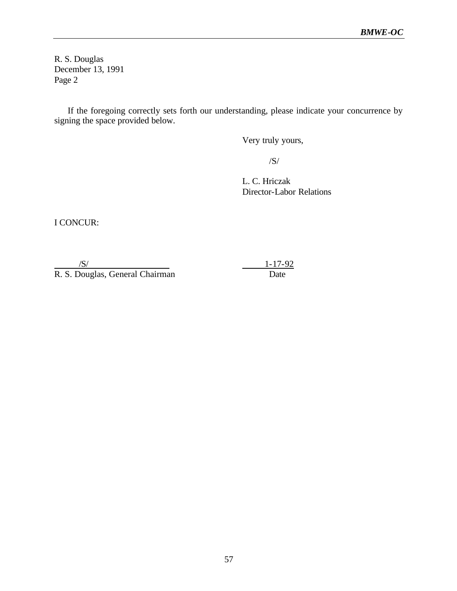R. S. Douglas December 13, 1991 Page 2

If the foregoing correctly sets forth our understanding, please indicate your concurrence by signing the space provided below.

Very truly yours,

/S/

L. C. Hriczak Director-Labor Relations

I CONCUR:

R. S. Douglas, General Chairman Date

 $/ \text{S} /$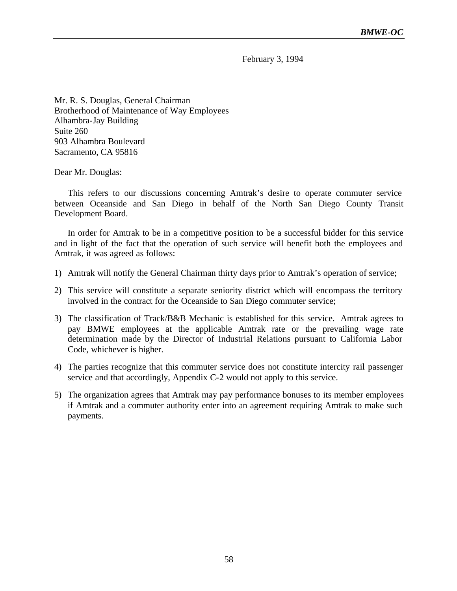February 3, 1994

Mr. R. S. Douglas, General Chairman Brotherhood of Maintenance of Way Employees Alhambra-Jay Building Suite 260 903 Alhambra Boulevard Sacramento, CA 95816

Dear Mr. Douglas:

This refers to our discussions concerning Amtrak's desire to operate commuter service between Oceanside and San Diego in behalf of the North San Diego County Transit Development Board.

In order for Amtrak to be in a competitive position to be a successful bidder for this service and in light of the fact that the operation of such service will benefit both the employees and Amtrak, it was agreed as follows:

- 1) Amtrak will notify the General Chairman thirty days prior to Amtrak's operation of service;
- 2) This service will constitute a separate seniority district which will encompass the territory involved in the contract for the Oceanside to San Diego commuter service;
- 3) The classification of Track/B&B Mechanic is established for this service. Amtrak agrees to pay BMWE employees at the applicable Amtrak rate or the prevailing wage rate determination made by the Director of Industrial Relations pursuant to California Labor Code, whichever is higher.
- 4) The parties recognize that this commuter service does not constitute intercity rail passenger service and that accordingly, Appendix C-2 would not apply to this service.
- 5) The organization agrees that Amtrak may pay performance bonuses to its member employees if Amtrak and a commuter authority enter into an agreement requiring Amtrak to make such payments.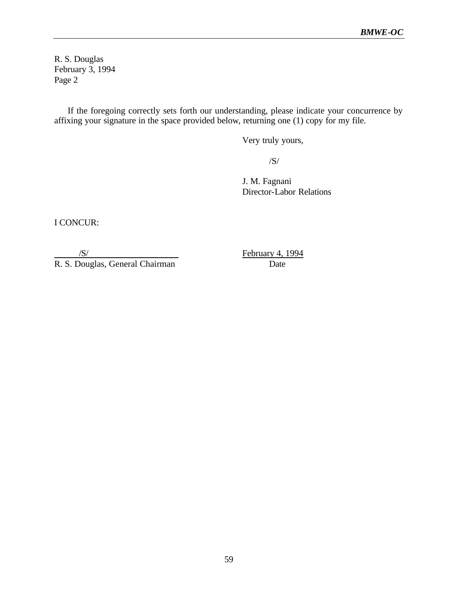R. S. Douglas February 3, 1994 Page 2

If the foregoing correctly sets forth our understanding, please indicate your concurrence by affixing your signature in the space provided below, returning one (1) copy for my file.

Very truly yours,

/S/

J. M. Fagnani Director-Labor Relations

I CONCUR:

/S/ February 4, 1994

R. S. Douglas, General Chairman Date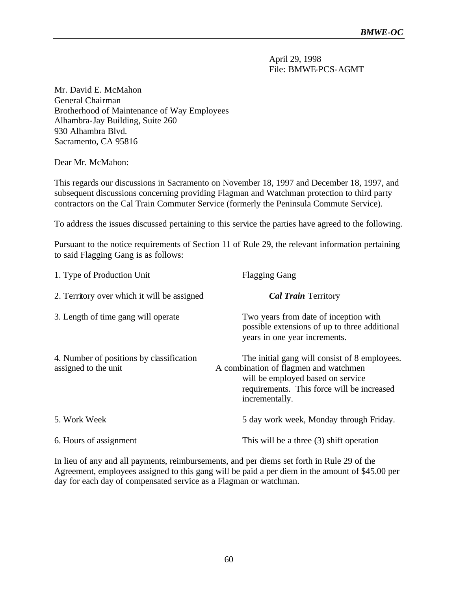April 29, 1998 File: BMWE-PCS-AGMT

Mr. David E. McMahon General Chairman Brotherhood of Maintenance of Way Employees Alhambra-Jay Building, Suite 260 930 Alhambra Blvd. Sacramento, CA 95816

Dear Mr. McMahon:

This regards our discussions in Sacramento on November 18, 1997 and December 18, 1997, and subsequent discussions concerning providing Flagman and Watchman protection to third party contractors on the Cal Train Commuter Service (formerly the Peninsula Commute Service).

To address the issues discussed pertaining to this service the parties have agreed to the following.

Pursuant to the notice requirements of Section 11 of Rule 29, the relevant information pertaining to said Flagging Gang is as follows:

| 1. Type of Production Unit                                       | <b>Flagging Gang</b>                                                                                                                                                                        |  |  |
|------------------------------------------------------------------|---------------------------------------------------------------------------------------------------------------------------------------------------------------------------------------------|--|--|
| 2. Territory over which it will be assigned                      | <b>Cal Train Territory</b>                                                                                                                                                                  |  |  |
| 3. Length of time gang will operate                              | Two years from date of inception with<br>possible extensions of up to three additional<br>years in one year increments.                                                                     |  |  |
| 4. Number of positions by classification<br>assigned to the unit | The initial gang will consist of 8 employees.<br>A combination of flagmen and watchmen<br>will be employed based on service<br>requirements. This force will be increased<br>incrementally. |  |  |
| 5. Work Week                                                     | 5 day work week, Monday through Friday.                                                                                                                                                     |  |  |
| 6. Hours of assignment                                           | This will be a three $(3)$ shift operation                                                                                                                                                  |  |  |

In lieu of any and all payments, reimbursements, and per diems set forth in Rule 29 of the Agreement, employees assigned to this gang will be paid a per diem in the amount of \$45.00 per day for each day of compensated service as a Flagman or watchman.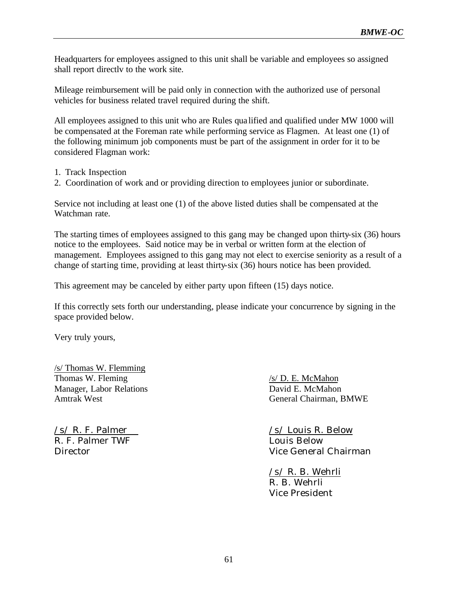Headquarters for employees assigned to this unit shall be variable and employees so assigned shall report directlv to the work site.

Mileage reimbursement will be paid only in connection with the authorized use of personal vehicles for business related travel required during the shift.

All employees assigned to this unit who are Rules qua lified and qualified under MW 1000 will be compensated at the Foreman rate while performing service as Flagmen. At least one (1) of the following minimum job components must be part of the assignment in order for it to be considered Flagman work:

- 1. Track Inspection
- 2. Coordination of work and or providing direction to employees junior or subordinate.

Service not including at least one (1) of the above listed duties shall be compensated at the Watchman rate.

The starting times of employees assigned to this gang may be changed upon thirty-six (36) hours notice to the employees. Said notice may be in verbal or written form at the election of management. Employees assigned to this gang may not elect to exercise seniority as a result of a change of starting time, providing at least thirty-six (36) hours notice has been provided.

This agreement may be canceled by either party upon fifteen (15) days notice.

If this correctly sets forth our understanding, please indicate your concurrence by signing in the space provided below.

Very truly yours,

/s/ Thomas W. Flemming Thomas W. Fleming /s/ D. E. McMahon Manager, Labor Relations David E. McMahon

R. F. Palmer TWF Louis Below

Amtrak West General Chairman, BMWE

/s/ R. F. Palmer /s/ Louis R. Below Director Vice General Chairman

> /s/ R. B. Wehrli R. B. Wehrli Vice President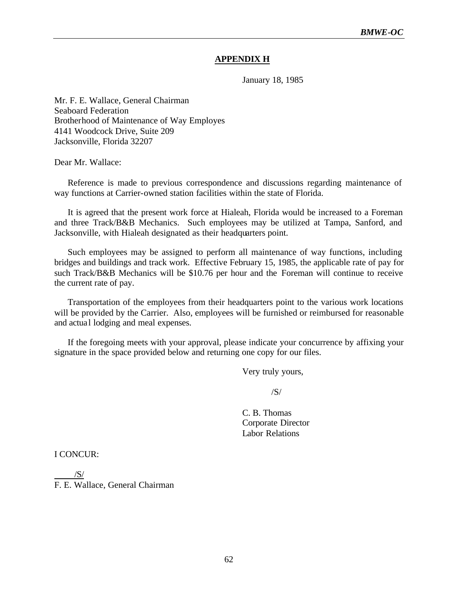## **APPENDIX H**

January 18, 1985

Mr. F. E. Wallace, General Chairman Seaboard Federation Brotherhood of Maintenance of Way Employes 4141 Woodcock Drive, Suite 209 Jacksonville, Florida 32207

Dear Mr. Wallace:

Reference is made to previous correspondence and discussions regarding maintenance of way functions at Carrier-owned station facilities within the state of Florida.

It is agreed that the present work force at Hialeah, Florida would be increased to a Foreman and three Track/B&B Mechanics. Such employees may be utilized at Tampa, Sanford, and Jacksonville, with Hialeah designated as their headquarters point.

Such employees may be assigned to perform all maintenance of way functions, including bridges and buildings and track work. Effective February 15, 1985, the applicable rate of pay for such Track/B&B Mechanics will be \$10.76 per hour and the Foreman will continue to receive the current rate of pay.

Transportation of the employees from their headquarters point to the various work locations will be provided by the Carrier. Also, employees will be furnished or reimbursed for reasonable and actual lodging and meal expenses.

If the foregoing meets with your approval, please indicate your concurrence by affixing your signature in the space provided below and returning one copy for our files.

Very truly yours,

/S/

C. B. Thomas Corporate Director Labor Relations

I CONCUR:

 $\frac{1}{\sqrt{S}}$ F. E. Wallace, General Chairman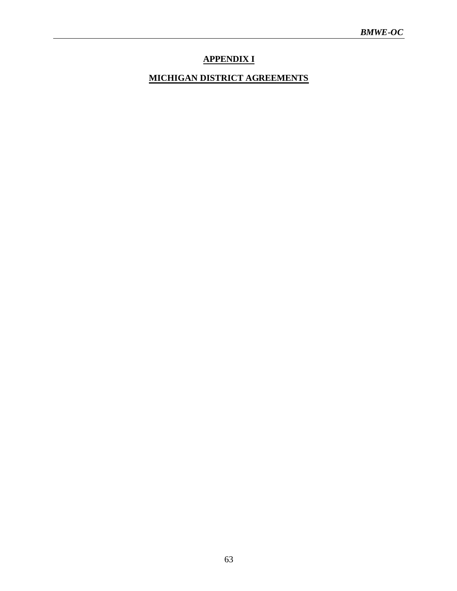## **APPENDIX I**

## **MICHIGAN DISTRICT AGREEMENTS**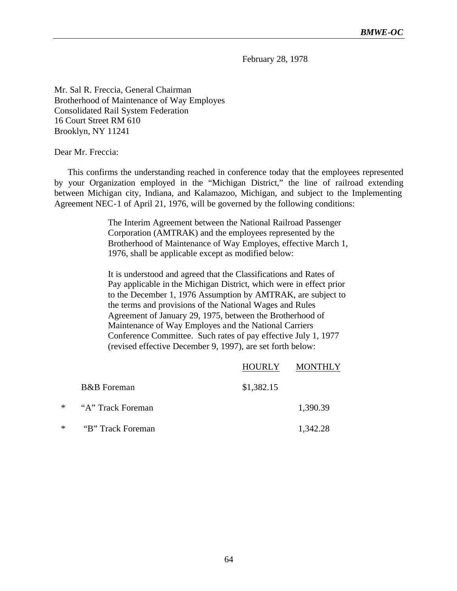February 28, 1978

Mr. Sal R. Freccia, General Chairman Brotherhood of Maintenance of Way Employes Consolidated Rail System Federation 16 Court Street RM 610 Brooklyn, NY 11241

Dear Mr. Freccia:

This confirms the understanding reached in conference today that the employees represented by your Organization employed in the "Michigan District," the line of railroad extending between Michigan city, Indiana, and Kalamazoo, Michigan, and subject to the Implementing Agreement NEC-1 of April 21, 1976, will be governed by the following conditions:

> The Interim Agreement between the National Railroad Passenger Corporation (AMTRAK) and the employees represented by the Brotherhood of Maintenance of Way Employes, effective March 1, 1976, shall be applicable except as modified below:

> It is understood and agreed that the Classifications and Rates of Pay applicable in the Michigan District, which were in effect prior to the December 1, 1976 Assumption by AMTRAK, are subject to the terms and provisions of the National Wages and Rules Agreement of January 29, 1975, between the Brotherhood of Maintenance of Way Employes and the National Carriers Conference Committee. Such rates of pay effective July 1, 1977 (revised effective December 9, 1997), are set forth below:

|   |                        | <b>HOURLY</b> | <b>MONTHLY</b> |
|---|------------------------|---------------|----------------|
|   | <b>B&amp;B</b> Foreman | \$1,382.15    |                |
| * | "A" Track Foreman      |               | 1,390.39       |
| * | "B" Track Foreman      |               | 1,342.28       |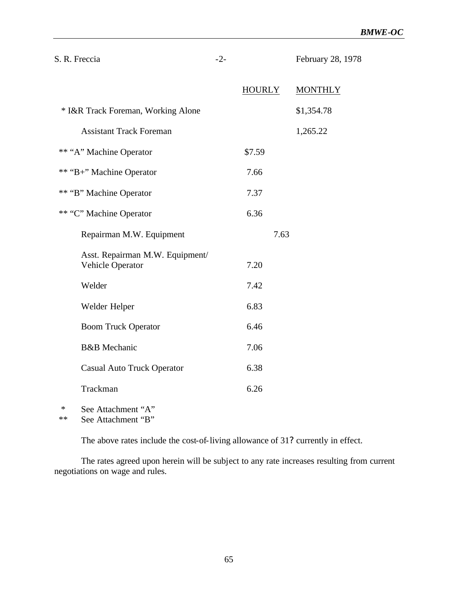| S. R. Freccia                                       | $-2-$ |               | February 28, 1978 |
|-----------------------------------------------------|-------|---------------|-------------------|
|                                                     |       | <b>HOURLY</b> | <b>MONTHLY</b>    |
| * I&R Track Foreman, Working Alone                  |       |               | \$1,354.78        |
| <b>Assistant Track Foreman</b>                      |       |               | 1,265.22          |
| ** "A" Machine Operator                             |       | \$7.59        |                   |
| ** "B+" Machine Operator                            |       | 7.66          |                   |
| ** "B" Machine Operator                             |       | 7.37          |                   |
| ** "C" Machine Operator                             |       | 6.36          |                   |
| Repairman M.W. Equipment                            |       | 7.63          |                   |
| Asst. Repairman M.W. Equipment/<br>Vehicle Operator |       | 7.20          |                   |
| Welder                                              |       | 7.42          |                   |
| Welder Helper                                       |       | 6.83          |                   |
| <b>Boom Truck Operator</b>                          |       | 6.46          |                   |
| <b>B&amp;B</b> Mechanic                             |       | 7.06          |                   |
| <b>Casual Auto Truck Operator</b>                   |       | 6.38          |                   |
| Trackman                                            |       | 6.26          |                   |
|                                                     |       |               |                   |

\* See Attachment "A"<br>\*\* See Attachment "B"

See Attachment "B"

The above rates include the cost-of-living allowance of 31? currently in effect.

The rates agreed upon herein will be subject to any rate increases resulting from current negotiations on wage and rules.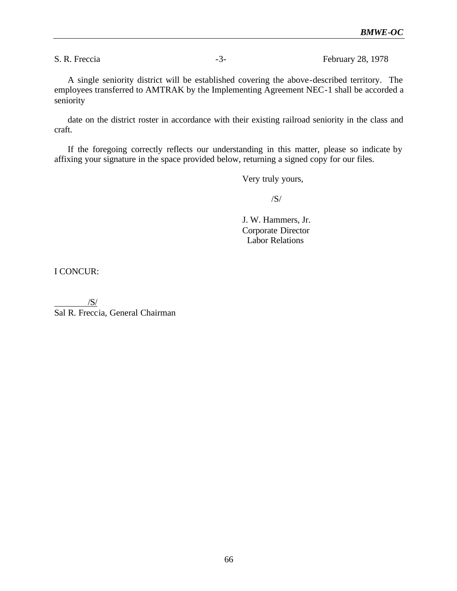S. R. Freccia **-3**- February 28, 1978

A single seniority district will be established covering the above-described territory. The employees transferred to AMTRAK by the Implementing Agreement NEC-1 shall be accorded a seniority

date on the district roster in accordance with their existing railroad seniority in the class and craft.

If the foregoing correctly reflects our understanding in this matter, please so indicate by affixing your signature in the space provided below, returning a signed copy for our files.

Very truly yours,

/S/

J. W. Hammers, Jr. Corporate Director Labor Relations

I CONCUR:

 $/S/$ Sal R. Freccia, General Chairman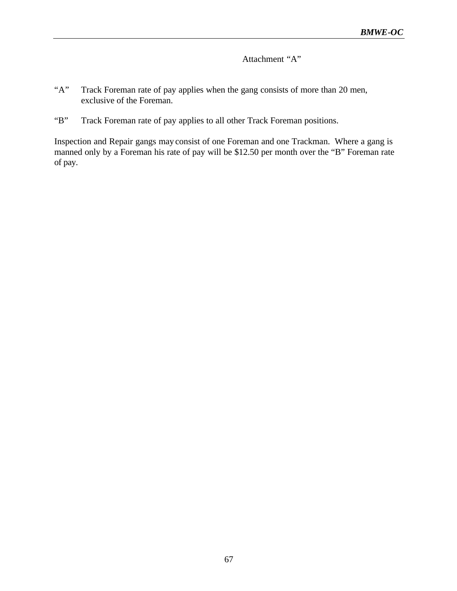Attachment "A"

- "A" Track Foreman rate of pay applies when the gang consists of more than 20 men, exclusive of the Foreman.
- "B" Track Foreman rate of pay applies to all other Track Foreman positions.

Inspection and Repair gangs may consist of one Foreman and one Trackman. Where a gang is manned only by a Foreman his rate of pay will be \$12.50 per month over the "B" Foreman rate of pay.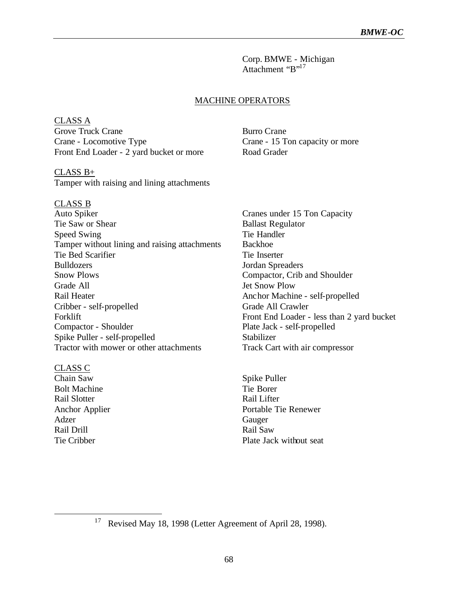Corp. BMWE - Michigan Attachment "B"<sup>17</sup>

#### MACHINE OPERATORS

CLASS A Grove Truck Crane Burro Crane Crane - Locomotive Type Crane - 15 Ton capacity or more Front End Loader - 2 yard bucket or more Road Grader

#### CLASS B+

Tamper with raising and lining attachments

#### CLASS B

Auto Spiker Cranes under 15 Ton Capacity Tie Saw or Shear Ballast Regulator Speed Swing Tie Handler Tamper without lining and raising attachments Backhoe Tie Bed Scarifier Tie Inserter Bulldozers Jordan Spreaders Snow Plows Compactor, Crib and Shoulder Grade All Jet Snow Plow Rail Heater Anchor Machine - self-propelled Cribber - self-propelled Grade All Crawler Forklift Front End Loader - less than 2 yard bucket Compactor - Shoulder Plate Jack - self-propelled Spike Puller - self-propelled Stabilizer Tractor with mower or other attachments Track Cart with air compressor

## CLASS C<br>Chain Saw

 $\overline{a}$ 

Bolt Machine Tie Borer Rail Slotter Rail Lifter Adzer Gauger Rail Drill Rail Saw

Spike Puller Anchor Applier Portable Tie Renewer Tie Cribber Plate Jack without seat

<sup>&</sup>lt;sup>17</sup> Revised May 18, 1998 (Letter Agreement of April 28, 1998).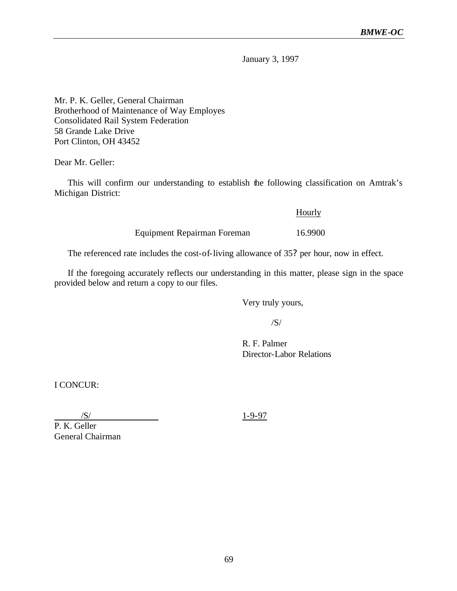January 3, 1997

Mr. P. K. Geller, General Chairman Brotherhood of Maintenance of Way Employes Consolidated Rail System Federation 58 Grande Lake Drive Port Clinton, OH 43452

Dear Mr. Geller:

This will confirm our understanding to establish the following classification on Amtrak's Michigan District:

**Hourly** 

Equipment Repairman Foreman 16.9900

The referenced rate includes the cost-of-living allowance of 35? per hour, now in effect.

If the foregoing accurately reflects our understanding in this matter, please sign in the space provided below and return a copy to our files.

Very truly yours,

 $/S/$ 

R. F. Palmer Director-Labor Relations

I CONCUR:

/S/ 1-9-97

P. K. Geller General Chairman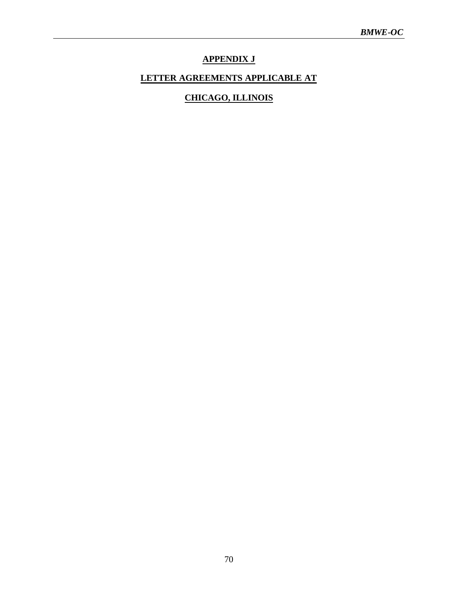## **APPENDIX J**

## **LETTER AGREEMENTS APPLICABLE AT**

## **CHICAGO, ILLINOIS**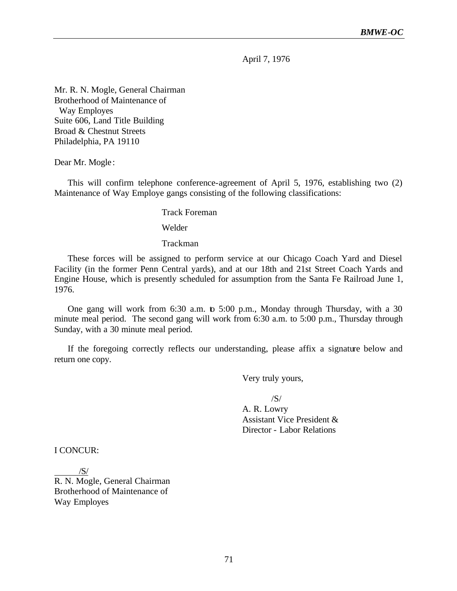April 7, 1976

Mr. R. N. Mogle, General Chairman Brotherhood of Maintenance of Way Employes Suite 606, Land Title Building Broad & Chestnut Streets Philadelphia, PA 19110

Dear Mr. Mogle :

This will confirm telephone conference-agreement of April 5, 1976, establishing two (2) Maintenance of Way Employe gangs consisting of the following classifications:

Track Foreman

Welder

Trackman

These forces will be assigned to perform service at our Chicago Coach Yard and Diesel Facility (in the former Penn Central yards), and at our 18th and 21st Street Coach Yards and Engine House, which is presently scheduled for assumption from the Santa Fe Railroad June 1, 1976.

One gang will work from 6:30 a.m. to 5:00 p.m., Monday through Thursday, with a 30 minute meal period. The second gang will work from 6:30 a.m. to 5:00 p.m., Thursday through Sunday, with a 30 minute meal period.

If the foregoing correctly reflects our understanding, please affix a signature below and return one copy.

Very truly yours,

/S/

A. R. Lowry Assistant Vice President & Director - Labor Relations

I CONCUR:

/S/

R. N. Mogle, General Chairman Brotherhood of Maintenance of Way Employes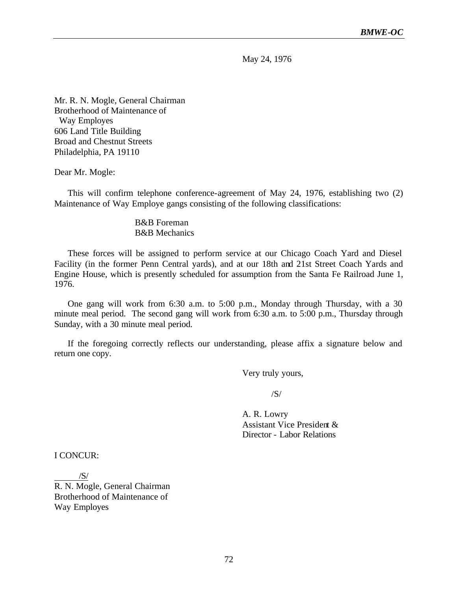May 24, 1976

Mr. R. N. Mogle, General Chairman Brotherhood of Maintenance of Way Employes 606 Land Title Building Broad and Chestnut Streets Philadelphia, PA 19110

Dear Mr. Mogle:

This will confirm telephone conference-agreement of May 24, 1976, establishing two (2) Maintenance of Way Employe gangs consisting of the following classifications:

> B&B Foreman B&B Mechanics

These forces will be assigned to perform service at our Chicago Coach Yard and Diesel Facility (in the former Penn Central yards), and at our 18th and 21st Street Coach Yards and Engine House, which is presently scheduled for assumption from the Santa Fe Railroad June 1, 1976.

One gang will work from 6:30 a.m. to 5:00 p.m., Monday through Thursday, with a 30 minute meal period. The second gang will work from 6:30 a.m. to 5:00 p.m., Thursday through Sunday, with a 30 minute meal period.

If the foregoing correctly reflects our understanding, please affix a signature below and return one copy.

Very truly yours,

/S/

A. R. Lowry Assistant Vice President & Director - Labor Relations

I CONCUR:

 /S/ R. N. Mogle, General Chairman Brotherhood of Maintenance of Way Employes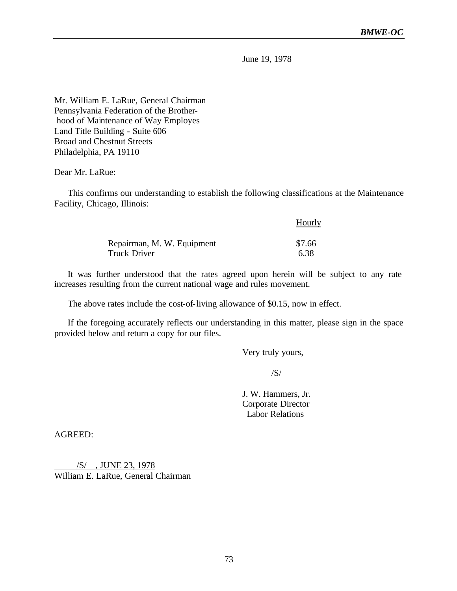June 19, 1978

Mr. William E. LaRue, General Chairman Pennsylvania Federation of the Brother hood of Maintenance of Way Employes Land Title Building - Suite 606 Broad and Chestnut Streets Philadelphia, PA 19110

### Dear Mr. LaRue:

This confirms our understanding to establish the following classifications at the Maintenance Facility, Chicago, Illinois:

|                            | Hourly |
|----------------------------|--------|
| Repairman, M. W. Equipment | \$7.66 |
| Truck Driver               | 6.38   |

It was further understood that the rates agreed upon herein will be subject to any rate increases resulting from the current national wage and rules movement.

The above rates include the cost-of-living allowance of \$0.15, now in effect.

If the foregoing accurately reflects our understanding in this matter, please sign in the space provided below and return a copy for our files.

Very truly yours,

/S/

J. W. Hammers, Jr. Corporate Director Labor Relations

AGREED:

 /S/ , JUNE 23, 1978 William E. LaRue, General Chairman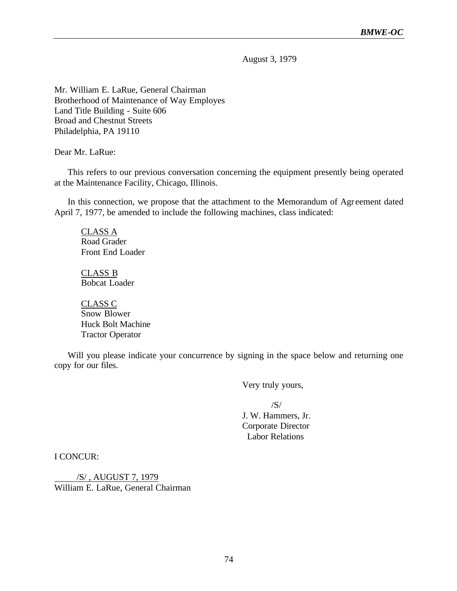August 3, 1979

Mr. William E. LaRue, General Chairman Brotherhood of Maintenance of Way Employes Land Title Building - Suite 606 Broad and Chestnut Streets Philadelphia, PA 19110

Dear Mr. LaRue:

This refers to our previous conversation concerning the equipment presently being operated at the Maintenance Facility, Chicago, Illinois.

In this connection, we propose that the attachment to the Memorandum of Agr eement dated April 7, 1977, be amended to include the following machines, class indicated:

CLASS A Road Grader Front End Loader

CLASS B Bobcat Loader

CLASS C Snow Blower Huck Bolt Machine Tractor Operator

Will you please indicate your concurrence by signing in the space below and returning one copy for our files.

Very truly yours,

/S/

J. W. Hammers, Jr. Corporate Director Labor Relations

I CONCUR:

 /S/ , AUGUST 7, 1979 William E. LaRue, General Chairman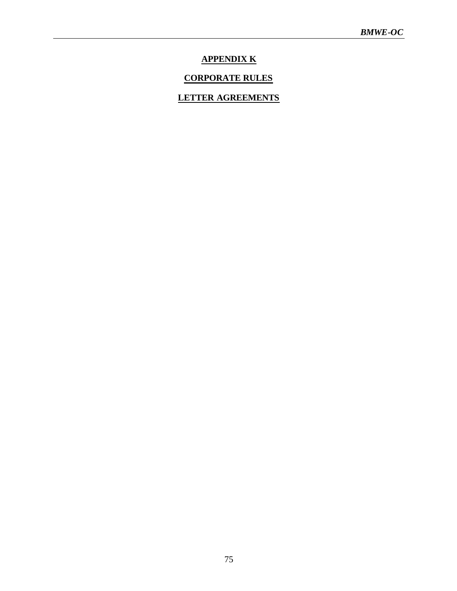# **APPENDIX K**

## **CORPORATE RULES**

## **LETTER AGREEMENTS**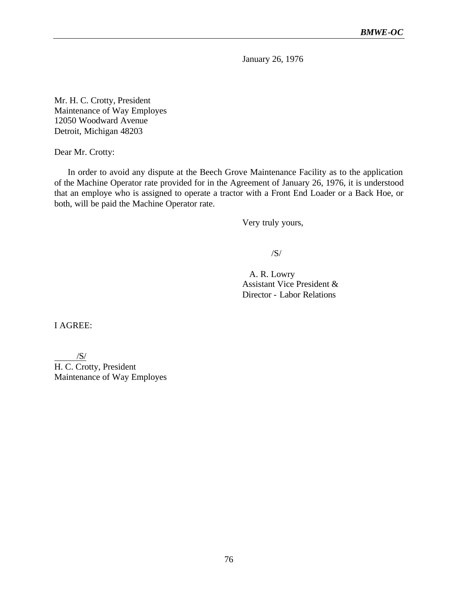January 26, 1976

Mr. H. C. Crotty, President Maintenance of Way Employes 12050 Woodward Avenue Detroit, Michigan 48203

Dear Mr. Crotty:

In order to avoid any dispute at the Beech Grove Maintenance Facility as to the application of the Machine Operator rate provided for in the Agreement of January 26, 1976, it is understood that an employe who is assigned to operate a tractor with a Front End Loader or a Back Hoe, or both, will be paid the Machine Operator rate.

Very truly yours,

/S/

 A. R. Lowry Assistant Vice President & Director - Labor Relations

I AGREE:

/S/

H. C. Crotty, President Maintenance of Way Employes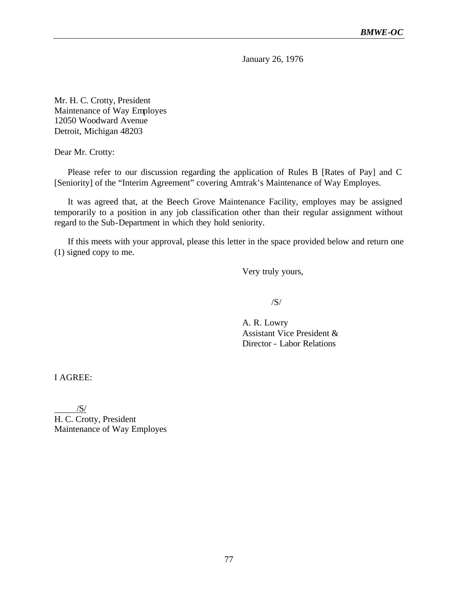January 26, 1976

Mr. H. C. Crotty, President Maintenance of Way Employes 12050 Woodward Avenue Detroit, Michigan 48203

Dear Mr. Crotty:

Please refer to our discussion regarding the application of Rules B [Rates of Pay] and C [Seniority] of the "Interim Agreement" covering Amtrak's Maintenance of Way Employes.

It was agreed that, at the Beech Grove Maintenance Facility, employes may be assigned temporarily to a position in any job classification other than their regular assignment without regard to the Sub-Department in which they hold seniority.

If this meets with your approval, please this letter in the space provided below and return one (1) signed copy to me.

Very truly yours,

/S/

A. R. Lowry Assistant Vice President & Director - Labor Relations

I AGREE:

 /S/ H. C. Crotty, President Maintenance of Way Employes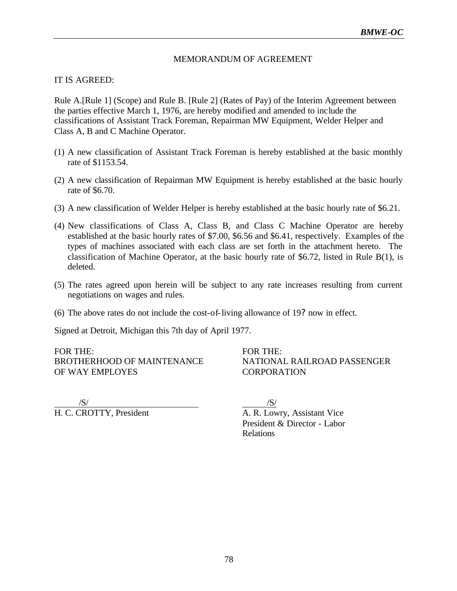#### MEMORANDUM OF AGREEMENT

#### IT IS AGREED:

Rule A.[Rule 1] (Scope) and Rule B. [Rule 2] (Rates of Pay) of the Interim Agreement between the parties effective March 1, 1976, are hereby modified and amended to include the classifications of Assistant Track Foreman, Repairman MW Equipment, Welder Helper and Class A, B and C Machine Operator.

- (1) A new classification of Assistant Track Foreman is hereby established at the basic monthly rate of \$1153.54.
- (2) A new classification of Repairman MW Equipment is hereby established at the basic hourly rate of \$6.70.
- (3) A new classification of Welder Helper is hereby established at the basic hourly rate of \$6.21.
- (4) New classifications of Class A, Class B, and Class C Machine Operator are hereby established at the basic hourly rates of \$7.00, \$6.56 and \$6.41, respectively. Examples of the types of machines associated with each class are set forth in the attachment hereto. The classification of Machine Operator, at the basic hourly rate of \$6.72, listed in Rule B(1), is deleted.
- (5) The rates agreed upon herein will be subject to any rate increases resulting from current negotiations on wages and rules.
- (6) The above rates do not include the cost-of-living allowance of 19? now in effect.

Signed at Detroit, Michigan this 7th day of April 1977.

FOR THE: FOR THE: BROTHERHOOD OF MAINTENANCE NATIONAL RAILROAD PASSENGER OF WAY EMPLOYES CORPORATION

 $\sqrt{S/}$  /S/ H. C. CROTTY, President A. R. Lowry, Assistant Vice President & Director - Labor Relations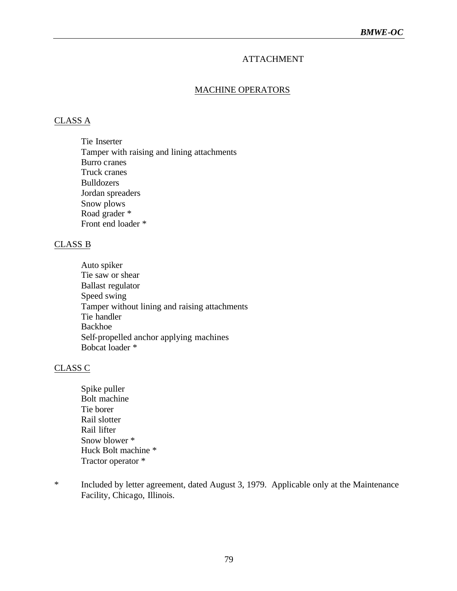## ATTACHMENT

#### MACHINE OPERATORS

#### CLASS A

Tie Inserter Tamper with raising and lining attachments Burro cranes Truck cranes Bulldozers Jordan spreaders Snow plows Road grader \* Front end loader \*

#### CLASS B

Auto spiker Tie saw or shear Ballast regulator Speed swing Tamper without lining and raising attachments Tie handler Backhoe Self-propelled anchor applying machines Bobcat loader \*

#### CLASS C

- Spike puller Bolt machine Tie borer Rail slotter Rail lifter Snow blower \* Huck Bolt machine \* Tractor operator \*
- \* Included by letter agreement, dated August 3, 1979. Applicable only at the Maintenance Facility, Chicago, Illinois.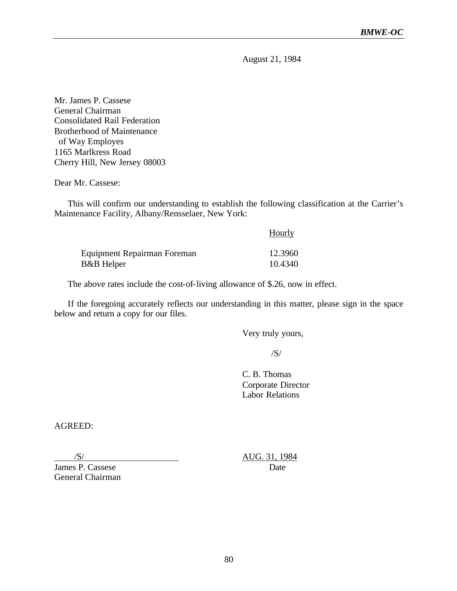August 21, 1984

Mr. James P. Cassese General Chairman Consolidated Rail Federation Brotherhood of Maintenance of Way Employes 1165 Marlkress Road Cherry Hill, New Jersey 08003

Dear Mr. Cassese:

This will confirm our understanding to establish the following classification at the Carrier's Maintenance Facility, Albany/Rensselaer, New York:

|                             | Hourly  |
|-----------------------------|---------|
| Equipment Repairman Foreman | 12.3960 |
| B&B Helper                  | 10.4340 |

The above rates include the cost-of-living allowance of \$.26, now in effect.

If the foregoing accurately reflects our understanding in this matter, please sign in the space below and return a copy for our files.

Very truly yours,

/S/

C. B. Thomas Corporate Director Labor Relations

AGREED:

**James P. Cassese** Date General Chairman

/S/ AUG. 31, 1984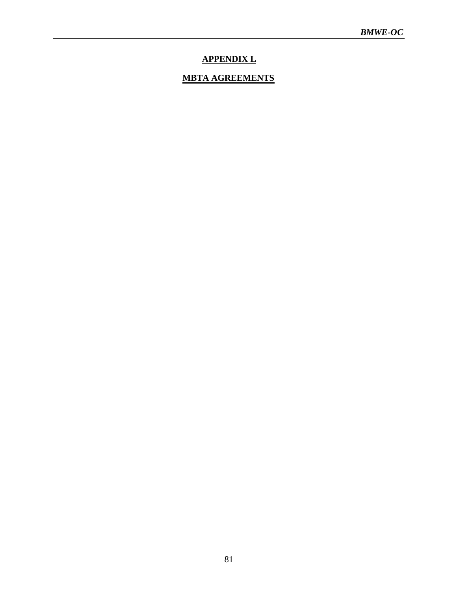# **APPENDIX L**

## **MBTA AGREEMENTS**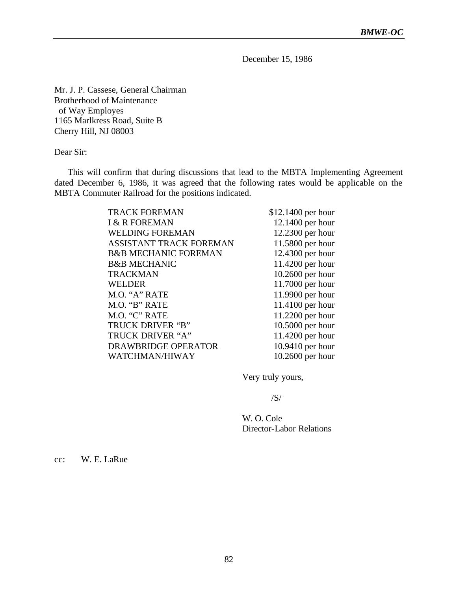December 15, 1986

Mr. J. P. Cassese, General Chairman Brotherhood of Maintenance of Way Employes 1165 Marlkress Road, Suite B Cherry Hill, NJ 08003

Dear Sir:

This will confirm that during discussions that lead to the MBTA Implementing Agreement dated December 6, 1986, it was agreed that the following rates would be applicable on the MBTA Commuter Railroad for the positions indicated.

| <b>TRACK FOREMAN</b>            | \$12.1400 per hour |
|---------------------------------|--------------------|
| <b>I &amp; R FOREMAN</b>        | $12.1400$ per hour |
| <b>WELDING FOREMAN</b>          | 12.2300 per hour   |
| ASSISTANT TRACK FOREMAN         | 11.5800 per hour   |
| <b>B&amp;B MECHANIC FOREMAN</b> | 12.4300 per hour   |
| <b>B&amp;B MECHANIC</b>         | 11.4200 per hour   |
| <b>TRACKMAN</b>                 | 10.2600 per hour   |
| <b>WELDER</b>                   | 11.7000 per hour   |
| M.O. "A" RATE                   | 11.9900 per hour   |
| M.O. "B" RATE                   | 11.4100 per hour   |
| M.O. "C" RATE                   | 11.2200 per hour   |
| TRUCK DRIVER "B"                | $10.5000$ per hour |
| TRUCK DRIVER "A"                | 11.4200 per hour   |
| DRAWBRIDGE OPERATOR             | 10.9410 per hour   |
| WATCHMAN/HIWAY                  | $10.2600$ per hour |
|                                 |                    |

Very truly yours,

/S/

W. O. Cole Director-Labor Relations

cc: W. E. LaRue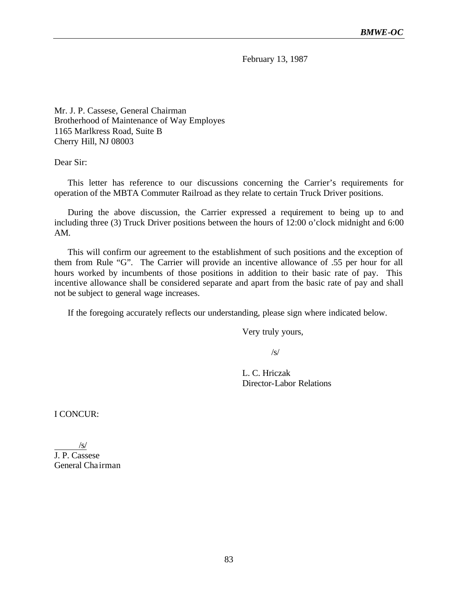February 13, 1987

Mr. J. P. Cassese, General Chairman Brotherhood of Maintenance of Way Employes 1165 Marlkress Road, Suite B Cherry Hill, NJ 08003

Dear Sir:

This letter has reference to our discussions concerning the Carrier's requirements for operation of the MBTA Commuter Railroad as they relate to certain Truck Driver positions.

During the above discussion, the Carrier expressed a requirement to being up to and including three (3) Truck Driver positions between the hours of 12:00 o'clock midnight and 6:00 AM.

This will confirm our agreement to the establishment of such positions and the exception of them from Rule "G". The Carrier will provide an incentive allowance of .55 per hour for all hours worked by incumbents of those positions in addition to their basic rate of pay. This incentive allowance shall be considered separate and apart from the basic rate of pay and shall not be subject to general wage increases.

If the foregoing accurately reflects our understanding, please sign where indicated below.

Very truly yours,

/s/

L. C. Hriczak Director-Labor Relations

I CONCUR:

 /s/ J. P. Cassese General Chairman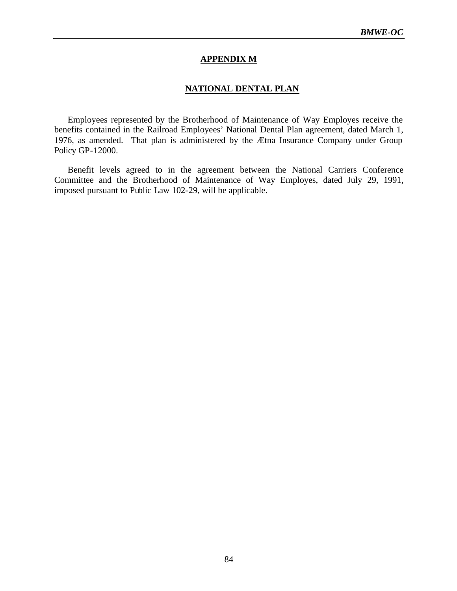#### **APPENDIX M**

#### **NATIONAL DENTAL PLAN**

Employees represented by the Brotherhood of Maintenance of Way Employes receive the benefits contained in the Railroad Employees' National Dental Plan agreement, dated March 1, 1976, as amended. That plan is administered by the Ætna Insurance Company under Group Policy GP-12000.

Benefit levels agreed to in the agreement between the National Carriers Conference Committee and the Brotherhood of Maintenance of Way Employes, dated July 29, 1991, imposed pursuant to Public Law 102-29, will be applicable.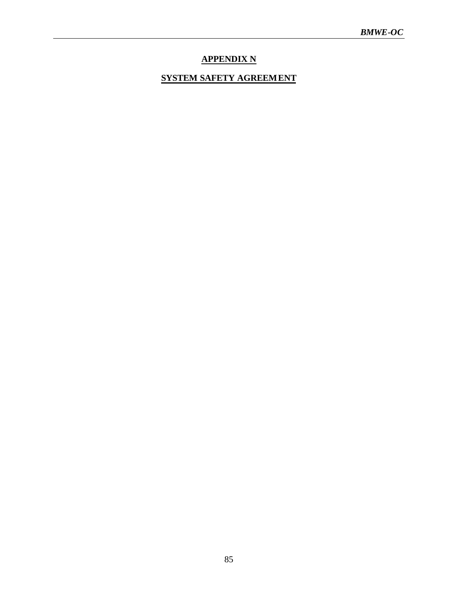# **APPENDIX N**

# **SYSTEM SAFETY AGREEMENT**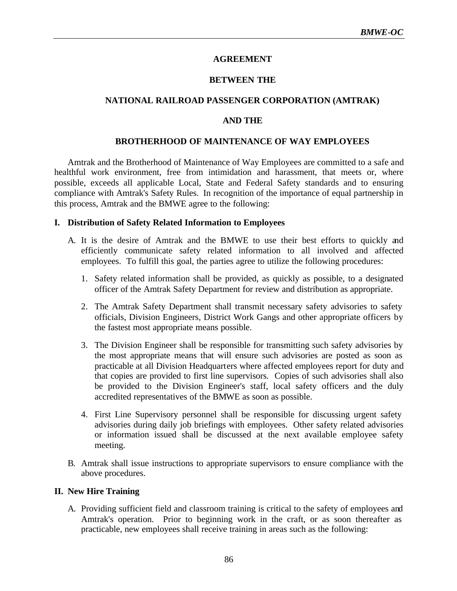## **AGREEMENT**

## **BETWEEN THE**

## **NATIONAL RAILROAD PASSENGER CORPORATION (AMTRAK)**

## **AND THE**

#### **BROTHERHOOD OF MAINTENANCE OF WAY EMPLOYEES**

Amtrak and the Brotherhood of Maintenance of Way Employees are committed to a safe and healthful work environment, free from intimidation and harassment, that meets or, where possible, exceeds all applicable Local, State and Federal Safety standards and to ensuring compliance with Amtrak's Safety Rules. In recognition of the importance of equal partnership in this process, Amtrak and the BMWE agree to the following:

#### **I. Distribution of Safety Related Information to Employees**

- A. It is the desire of Amtrak and the BMWE to use their best efforts to quickly and efficiently communicate safety related information to all involved and affected employees. To fulfill this goal, the parties agree to utilize the following procedures:
	- 1. Safety related information shall be provided, as quickly as possible, to a designated officer of the Amtrak Safety Department for review and distribution as appropriate.
	- 2. The Amtrak Safety Department shall transmit necessary safety advisories to safety officials, Division Engineers, District Work Gangs and other appropriate officers by the fastest most appropriate means possible.
	- 3. The Division Engineer shall be responsible for transmitting such safety advisories by the most appropriate means that will ensure such advisories are posted as soon as practicable at all Division Headquarters where affected employees report for duty and that copies are provided to first line supervisors. Copies of such advisories shall also be provided to the Division Engineer's staff, local safety officers and the duly accredited representatives of the BMWE as soon as possible.
	- 4. First Line Supervisory personnel shall be responsible for discussing urgent safety advisories during daily job briefings with employees. Other safety related advisories or information issued shall be discussed at the next available employee safety meeting.
- B. Amtrak shall issue instructions to appropriate supervisors to ensure compliance with the above procedures.

#### **II. New Hire Training**

A. Providing sufficient field and classroom training is critical to the safety of employees and Amtrak's operation. Prior to beginning work in the craft, or as soon thereafter as practicable, new employees shall receive training in areas such as the following: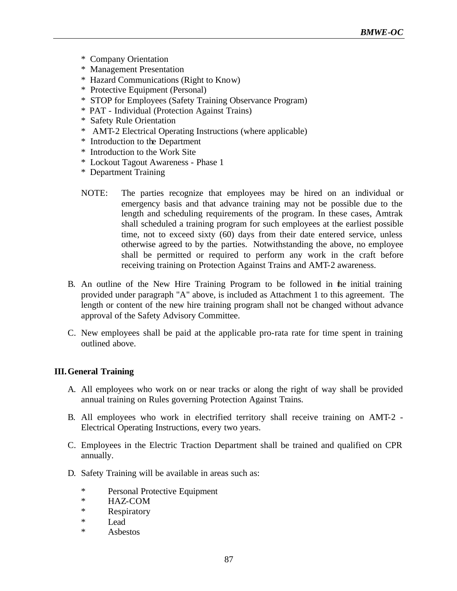- \* Company Orientation
- \* Management Presentation
- \* Hazard Communications (Right to Know)
- \* Protective Equipment (Personal)
- \* STOP for Employees (Safety Training Observance Program)
- \* PAT Individual (Protection Against Trains)
- \* Safety Rule Orientation
- \* AMT-2 Electrical Operating Instructions (where applicable)
- \* Introduction to the Department
- \* Introduction to the Work Site
- \* Lockout Tagout Awareness Phase 1
- \* Department Training
- NOTE: The parties recognize that employees may be hired on an individual or emergency basis and that advance training may not be possible due to the length and scheduling requirements of the program. In these cases, Amtrak shall scheduled a training program for such employees at the earliest possible time, not to exceed sixty (60) days from their date entered service, unless otherwise agreed to by the parties. Notwithstanding the above, no employee shall be permitted or required to perform any work in the craft before receiving training on Protection Against Trains and AMT-2 awareness.
- B. An outline of the New Hire Training Program to be followed in the initial training provided under paragraph "A" above, is included as Attachment 1 to this agreement. The length or content of the new hire training program shall not be changed without advance approval of the Safety Advisory Committee.
- C. New employees shall be paid at the applicable pro-rata rate for time spent in training outlined above.

### **III.General Training**

- A. All employees who work on or near tracks or along the right of way shall be provided annual training on Rules governing Protection Against Trains.
- B. All employees who work in electrified territory shall receive training on AMT-2 Electrical Operating Instructions, every two years.
- C. Employees in the Electric Traction Department shall be trained and qualified on CPR annually.
- D. Safety Training will be available in areas such as:
	- \* Personal Protective Equipment<br>\* HAZCOM
	- HAZ-COM
	- \* Respiratory
	- \* Lead
	- \* Asbestos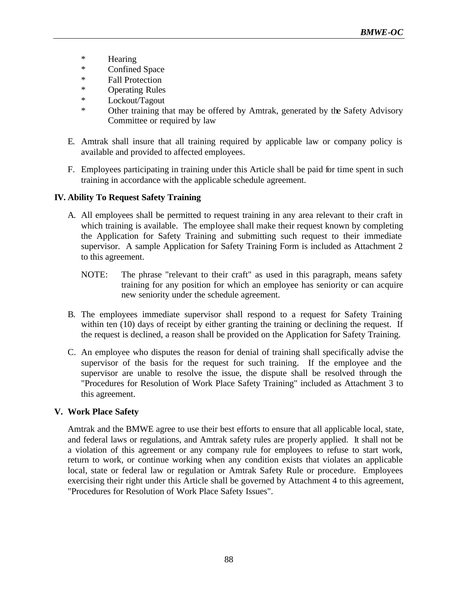- \* Hearing
- Confined Space
- \* Fall Protection
- \* Operating Rules
- \* Lockout/Tagout
- \* Other training that may be offered by Amtrak, generated by the Safety Advisory Committee or required by law
- E. Amtrak shall insure that all training required by applicable law or company policy is available and provided to affected employees.
- F. Employees participating in training under this Article shall be paid for time spent in such training in accordance with the applicable schedule agreement.

## **IV. Ability To Request Safety Training**

- A. All employees shall be permitted to request training in any area relevant to their craft in which training is available. The employee shall make their request known by completing the Application for Safety Training and submitting such request to their immediate supervisor. A sample Application for Safety Training Form is included as Attachment 2 to this agreement.
	- NOTE: The phrase "relevant to their craft" as used in this paragraph, means safety training for any position for which an employee has seniority or can acquire new seniority under the schedule agreement.
- B. The employees immediate supervisor shall respond to a request for Safety Training within ten (10) days of receipt by either granting the training or declining the request. If the request is declined, a reason shall be provided on the Application for Safety Training.
- C. An employee who disputes the reason for denial of training shall specifically advise the supervisor of the basis for the request for such training. If the employee and the supervisor are unable to resolve the issue, the dispute shall be resolved through the "Procedures for Resolution of Work Place Safety Training" included as Attachment 3 to this agreement.

### **V. Work Place Safety**

Amtrak and the BMWE agree to use their best efforts to ensure that all applicable local, state, and federal laws or regulations, and Amtrak safety rules are properly applied. It shall not be a violation of this agreement or any company rule for employees to refuse to start work, return to work, or continue working when any condition exists that violates an applicable local, state or federal law or regulation or Amtrak Safety Rule or procedure. Employees exercising their right under this Article shall be governed by Attachment 4 to this agreement, "Procedures for Resolution of Work Place Safety Issues".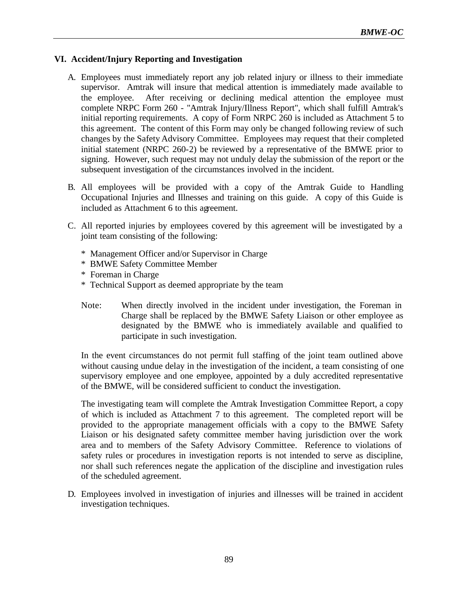## **VI. Accident/Injury Reporting and Investigation**

- A. Employees must immediately report any job related injury or illness to their immediate supervisor. Amtrak will insure that medical attention is immediately made available to the employee. After receiving or declining medical attention the employee must complete NRPC Form 260 - "Amtrak Injury/Illness Report", which shall fulfill Amtrak's initial reporting requirements. A copy of Form NRPC 260 is included as Attachment 5 to this agreement. The content of this Form may only be changed following review of such changes by the Safety Advisory Committee. Employees may request that their completed initial statement (NRPC 260-2) be reviewed by a representative of the BMWE prior to signing. However, such request may not unduly delay the submission of the report or the subsequent investigation of the circumstances involved in the incident.
- B. All employees will be provided with a copy of the Amtrak Guide to Handling Occupational Injuries and Illnesses and training on this guide. A copy of this Guide is included as Attachment 6 to this agreement.
- C. All reported injuries by employees covered by this agreement will be investigated by a joint team consisting of the following:
	- \* Management Officer and/or Supervisor in Charge
	- \* BMWE Safety Committee Member
	- \* Foreman in Charge
	- \* Technical Support as deemed appropriate by the team
	- Note: When directly involved in the incident under investigation, the Foreman in Charge shall be replaced by the BMWE Safety Liaison or other employee as designated by the BMWE who is immediately available and qualified to participate in such investigation.

In the event circumstances do not permit full staffing of the joint team outlined above without causing undue delay in the investigation of the incident, a team consisting of one supervisory employee and one employee, appointed by a duly accredited representative of the BMWE, will be considered sufficient to conduct the investigation.

The investigating team will complete the Amtrak Investigation Committee Report, a copy of which is included as Attachment 7 to this agreement. The completed report will be provided to the appropriate management officials with a copy to the BMWE Safety Liaison or his designated safety committee member having jurisdiction over the work area and to members of the Safety Advisory Committee. Reference to violations of safety rules or procedures in investigation reports is not intended to serve as discipline, nor shall such references negate the application of the discipline and investigation rules of the scheduled agreement.

D. Employees involved in investigation of injuries and illnesses will be trained in accident investigation techniques.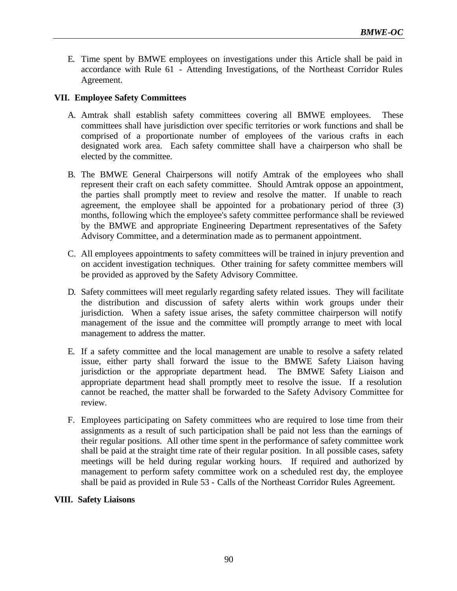E. Time spent by BMWE employees on investigations under this Article shall be paid in accordance with Rule 61 - Attending Investigations, of the Northeast Corridor Rules Agreement.

#### **VII. Employee Safety Committees**

- A. Amtrak shall establish safety committees covering all BMWE employees. These committees shall have jurisdiction over specific territories or work functions and shall be comprised of a proportionate number of employees of the various crafts in each designated work area. Each safety committee shall have a chairperson who shall be elected by the committee.
- B. The BMWE General Chairpersons will notify Amtrak of the employees who shall represent their craft on each safety committee. Should Amtrak oppose an appointment, the parties shall promptly meet to review and resolve the matter. If unable to reach agreement, the employee shall be appointed for a probationary period of three (3) months, following which the employee's safety committee performance shall be reviewed by the BMWE and appropriate Engineering Department representatives of the Safety Advisory Committee, and a determination made as to permanent appointment.
- C. All employees appointments to safety committees will be trained in injury prevention and on accident investigation techniques. Other training for safety committee members will be provided as approved by the Safety Advisory Committee.
- D. Safety committees will meet regularly regarding safety related issues. They will facilitate the distribution and discussion of safety alerts within work groups under their jurisdiction. When a safety issue arises, the safety committee chairperson will notify management of the issue and the committee will promptly arrange to meet with local management to address the matter.
- E. If a safety committee and the local management are unable to resolve a safety related issue, either party shall forward the issue to the BMWE Safety Liaison having jurisdiction or the appropriate department head. The BMWE Safety Liaison and appropriate department head shall promptly meet to resolve the issue. If a resolution cannot be reached, the matter shall be forwarded to the Safety Advisory Committee for review.
- F. Employees participating on Safety committees who are required to lose time from their assignments as a result of such participation shall be paid not less than the earnings of their regular positions. All other time spent in the performance of safety committee work shall be paid at the straight time rate of their regular position. In all possible cases, safety meetings will be held during regular working hours. If required and authorized by management to perform safety committee work on a scheduled rest day, the employee shall be paid as provided in Rule 53 - Calls of the Northeast Corridor Rules Agreement.

#### **VIII. Safety Liaisons**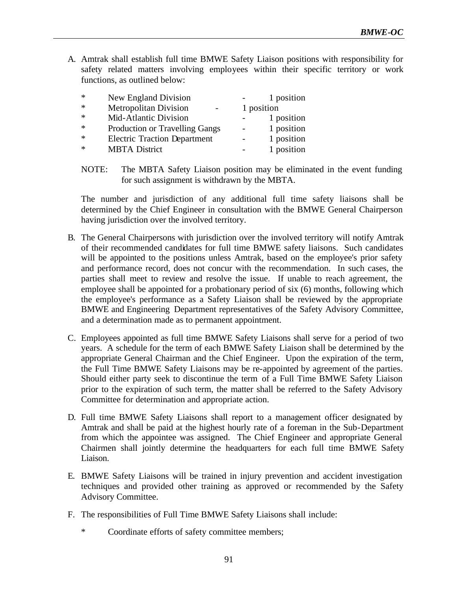A. Amtrak shall establish full time BMWE Safety Liaison positions with responsibility for safety related matters involving employees within their specific territory or work functions, as outlined below:

| $\ast$ | New England Division                |                          | 1 position |
|--------|-------------------------------------|--------------------------|------------|
| $\ast$ | <b>Metropolitan Division</b>        | 1 position               |            |
| $\ast$ | Mid-Atlantic Division               |                          | 1 position |
| $\ast$ | Production or Travelling Gangs      | $\overline{\phantom{0}}$ | 1 position |
| $\ast$ | <b>Electric Traction Department</b> |                          | 1 position |
| $\ast$ | <b>MBTA</b> District                |                          | 1 position |

NOTE: The MBTA Safety Liaison position may be eliminated in the event funding for such assignment is withdrawn by the MBTA.

The number and jurisdiction of any additional full time safety liaisons shall be determined by the Chief Engineer in consultation with the BMWE General Chairperson having jurisdiction over the involved territory.

- B. The General Chairpersons with jurisdiction over the involved territory will notify Amtrak of their recommended candidates for full time BMWE safety liaisons. Such candidates will be appointed to the positions unless Amtrak, based on the employee's prior safety and performance record, does not concur with the recommendation. In such cases, the parties shall meet to review and resolve the issue. If unable to reach agreement, the employee shall be appointed for a probationary period of six (6) months, following which the employee's performance as a Safety Liaison shall be reviewed by the appropriate BMWE and Engineering Department representatives of the Safety Advisory Committee, and a determination made as to permanent appointment.
- C. Employees appointed as full time BMWE Safety Liaisons shall serve for a period of two years. A schedule for the term of each BMWE Safety Liaison shall be determined by the appropriate General Chairman and the Chief Engineer. Upon the expiration of the term, the Full Time BMWE Safety Liaisons may be re-appointed by agreement of the parties. Should either party seek to discontinue the term of a Full Time BMWE Safety Liaison prior to the expiration of such term, the matter shall be referred to the Safety Advisory Committee for determination and appropriate action.
- D. Full time BMWE Safety Liaisons shall report to a management officer designated by Amtrak and shall be paid at the highest hourly rate of a foreman in the Sub-Department from which the appointee was assigned. The Chief Engineer and appropriate General Chairmen shall jointly determine the headquarters for each full time BMWE Safety Liaison.
- E. BMWE Safety Liaisons will be trained in injury prevention and accident investigation techniques and provided other training as approved or recommended by the Safety Advisory Committee.
- F. The responsibilities of Full Time BMWE Safety Liaisons shall include:
	- \* Coordinate efforts of safety committee members;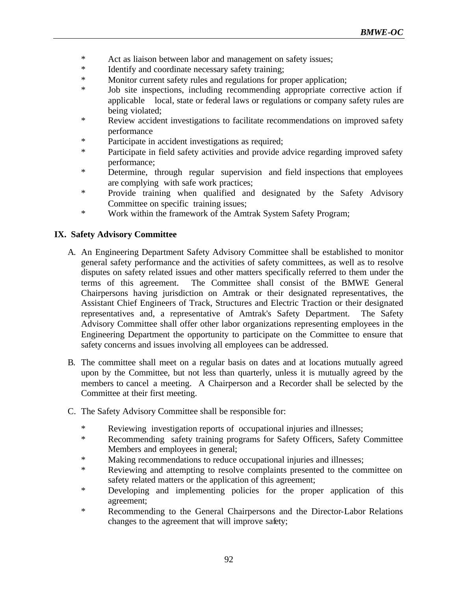- \* Act as liaison between labor and management on safety issues;<br>Neutrity and coordinate necessary safety training:
- Identify and coordinate necessary safety training;
- \* Monitor current safety rules and regulations for proper application;
- \* Job site inspections, including recommending appropriate corrective action if applicable local, state or federal laws or regulations or company safety rules are being violated;
- \* Review accident investigations to facilitate recommendations on improved safety performance
- \* Participate in accident investigations as required;
- \* Participate in field safety activities and provide advice regarding improved safety performance;
- \* Determine, through regular supervision and field inspections that employees are complying with safe work practices;
- \* Provide training when qualified and designated by the Safety Advisory Committee on specific training issues;
- \* Work within the framework of the Amtrak System Safety Program;

## **IX. Safety Advisory Committee**

- A. An Engineering Department Safety Advisory Committee shall be established to monitor general safety performance and the activities of safety committees, as well as to resolve disputes on safety related issues and other matters specifically referred to them under the terms of this agreement. The Committee shall consist of the BMWE General Chairpersons having jurisdiction on Amtrak or their designated representatives, the Assistant Chief Engineers of Track, Structures and Electric Traction or their designated representatives and, a representative of Amtrak's Safety Department. The Safety Advisory Committee shall offer other labor organizations representing employees in the Engineering Department the opportunity to participate on the Committee to ensure that safety concerns and issues involving all employees can be addressed.
- B. The committee shall meet on a regular basis on dates and at locations mutually agreed upon by the Committee, but not less than quarterly, unless it is mutually agreed by the members to cancel a meeting. A Chairperson and a Recorder shall be selected by the Committee at their first meeting.
- C. The Safety Advisory Committee shall be responsible for:
	- \* Reviewing investigation reports of occupational injuries and illnesses;
	- \* Recommending safety training programs for Safety Officers, Safety Committee Members and employees in general;
	- \* Making recommendations to reduce occupational injuries and illnesses;
	- \* Reviewing and attempting to resolve complaints presented to the committee on safety related matters or the application of this agreement;
	- \* Developing and implementing policies for the proper application of this agreement;
	- \* Recommending to the General Chairpersons and the Director-Labor Relations changes to the agreement that will improve safety;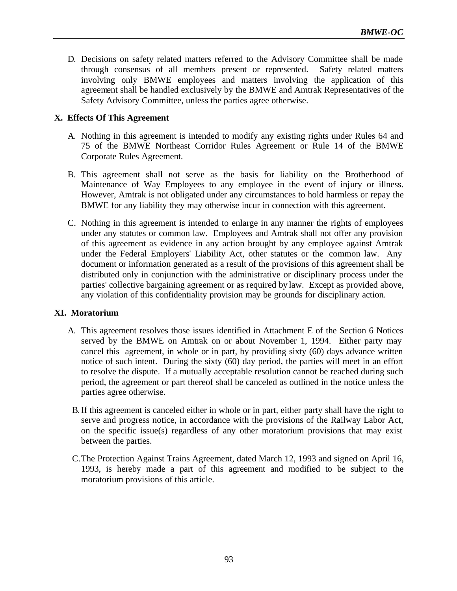D. Decisions on safety related matters referred to the Advisory Committee shall be made through consensus of all members present or represented. Safety related matters involving only BMWE employees and matters involving the application of this agreement shall be handled exclusively by the BMWE and Amtrak Representatives of the Safety Advisory Committee, unless the parties agree otherwise.

## **X. Effects Of This Agreement**

- A. Nothing in this agreement is intended to modify any existing rights under Rules 64 and 75 of the BMWE Northeast Corridor Rules Agreement or Rule 14 of the BMWE Corporate Rules Agreement.
- B. This agreement shall not serve as the basis for liability on the Brotherhood of Maintenance of Way Employees to any employee in the event of injury or illness. However, Amtrak is not obligated under any circumstances to hold harmless or repay the BMWE for any liability they may otherwise incur in connection with this agreement.
- C. Nothing in this agreement is intended to enlarge in any manner the rights of employees under any statutes or common law. Employees and Amtrak shall not offer any provision of this agreement as evidence in any action brought by any employee against Amtrak under the Federal Employers' Liability Act, other statutes or the common law. Any document or information generated as a result of the provisions of this agreement shall be distributed only in conjunction with the administrative or disciplinary process under the parties' collective bargaining agreement or as required by law. Except as provided above, any violation of this confidentiality provision may be grounds for disciplinary action.

### **XI. Moratorium**

- A. This agreement resolves those issues identified in Attachment E of the Section 6 Notices served by the BMWE on Amtrak on or about November 1, 1994. Either party may cancel this agreement, in whole or in part, by providing sixty (60) days advance written notice of such intent. During the sixty (60) day period, the parties will meet in an effort to resolve the dispute. If a mutually acceptable resolution cannot be reached during such period, the agreement or part thereof shall be canceled as outlined in the notice unless the parties agree otherwise.
- B.If this agreement is canceled either in whole or in part, either party shall have the right to serve and progress notice, in accordance with the provisions of the Railway Labor Act, on the specific issue(s) regardless of any other moratorium provisions that may exist between the parties.
- C.The Protection Against Trains Agreement, dated March 12, 1993 and signed on April 16, 1993, is hereby made a part of this agreement and modified to be subject to the moratorium provisions of this article.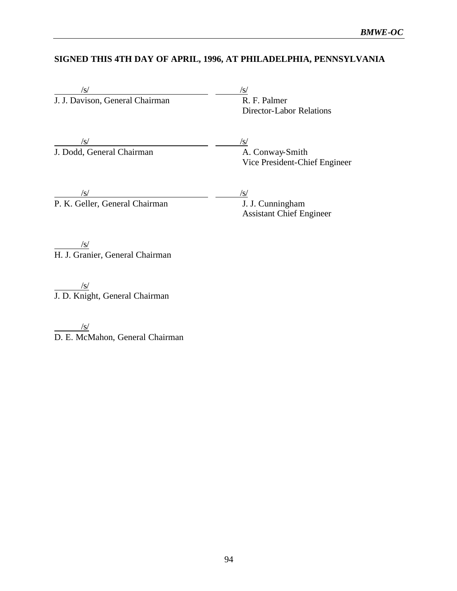# **SIGNED THIS 4TH DAY OF APRIL, 1996, AT PHILADELPHIA, PENNSYLVANIA**

 $\sqrt{s/1}$  /s/ J. J. Davison, General Chairman R. F. Palmer

Director-Labor Relations

 $\sqrt{s/1}$  /s/

J. Dodd, General Chairman A. Conway-Smith

Vice President-Chief Engineer

 $\sqrt{s/1}$  /s/ P. K. Geller, General Chairman J. J. Cunningham

Assistant Chief Engineer

 $/$ s/ H. J. Granier, General Chairman

 $/$ s/ J. D. Knight, General Chairman

 /s/ D. E. McMahon, General Chairman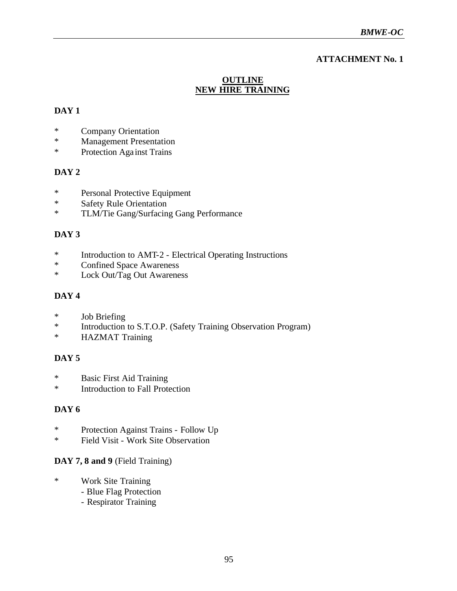## **ATTACHMENT No. 1**

## **OUTLINE NEW HIRE TRAINING**

# **DAY 1**

- \* Company Orientation<br>\* Management Presenta
- Management Presentation
- \* Protection Aga inst Trains

# **DAY 2**

- \* Personal Protective Equipment
- \* Safety Rule Orientation<br>\* TI M/Tie Gang/Surfacin
- TLM/Tie Gang/Surfacing Gang Performance

# **DAY 3**

- \* Introduction to AMT-2 Electrical Operating Instructions<br>\* Confined Space Awareness
- Confined Space Awareness
- \* Lock Out/Tag Out Awareness

# **DAY 4**

- \* Job Briefing
- Introduction to S.T.O.P. (Safety Training Observation Program)
- \* HAZMAT Training

# **DAY 5**

- \* Basic First Aid Training
- \* Introduction to Fall Protection

# **DAY 6**

- \* Protection Against Trains Follow Up<br>
\* Field Visit Work Site Observation
- Field Visit Work Site Observation

# **DAY 7, 8 and 9** (Field Training)

- \* Work Site Training
	- Blue Flag Protection
	- Respirator Training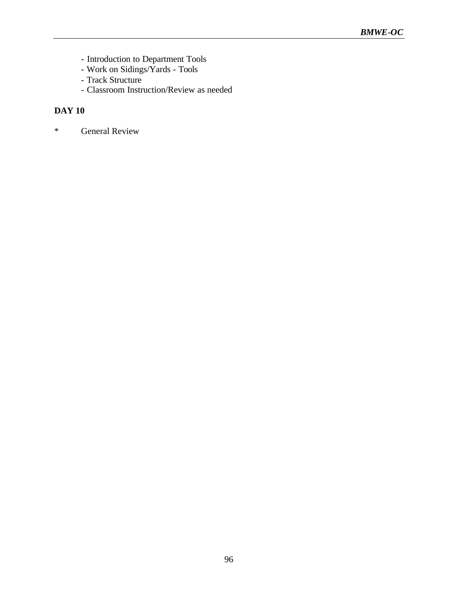- Introduction to Department Tools
- Work on Sidings/Yards Tools
- Track Structure
- Classroom Instruction/Review as needed

# **DAY 10**

\* General Review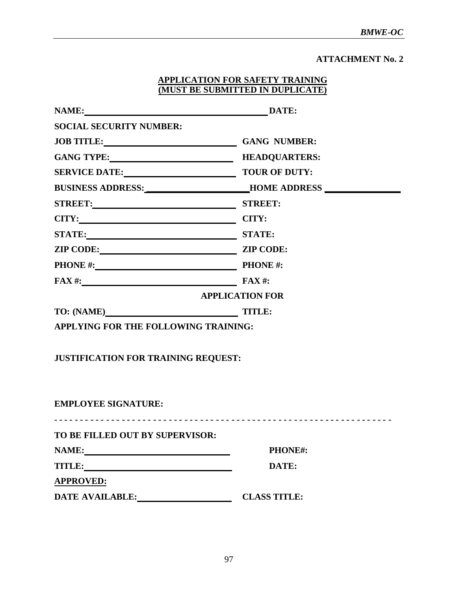## **ATTACHMENT No. 2**

## **APPLICATION FOR SAFETY TRAINING (MUST BE SUBMITTED IN DUPLICATE)**

| NAME: NAME:                                | DATE:                                                                             |  |
|--------------------------------------------|-----------------------------------------------------------------------------------|--|
| <b>SOCIAL SECURITY NUMBER:</b>             |                                                                                   |  |
| JOB TITLE: GANG NUMBER:                    |                                                                                   |  |
|                                            |                                                                                   |  |
| SERVICE DATE: TOUR OF DUTY:                |                                                                                   |  |
|                                            | BUSINESS ADDRESS: ______________________HOME ADDRESS ____________________________ |  |
| STREET: STREET:                            |                                                                                   |  |
| CITY: CITY:                                |                                                                                   |  |
| STATE: STATE:                              |                                                                                   |  |
| ZIP CODE: ZIP CODE:                        |                                                                                   |  |
| PHONE #: PHONE #:                          |                                                                                   |  |
| FAX #: $\qquad \qquad$ FAX #:              |                                                                                   |  |
|                                            | <b>APPLICATION FOR</b>                                                            |  |
|                                            |                                                                                   |  |
| APPLYING FOR THE FOLLOWING TRAINING:       |                                                                                   |  |
| <b>JUSTIFICATION FOR TRAINING REQUEST:</b> |                                                                                   |  |

# **- - - - - - - - - - - - - - - - - - - - - - - - - - - - - - - - - - - - - - - - - - - - - - - - - - - - - - - - - - - - - - - - - TO BE FILLED OUT BY SUPERVISOR: NAME:** PHONE#: **TITLE: DATE: APPROVED: DATE AVAILABLE: CLASS TITLE:**

**EMPLOYEE SIGNATURE:**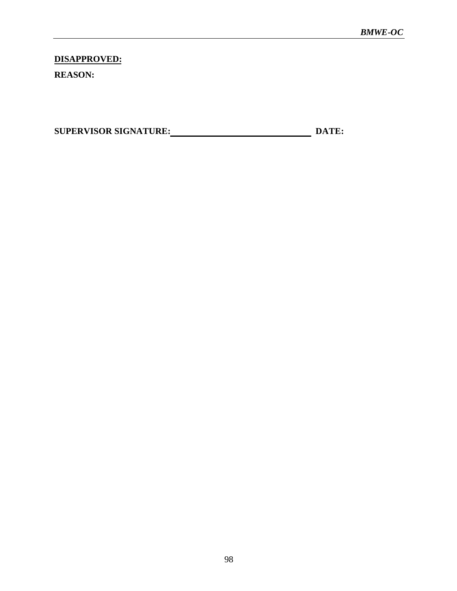# **DISAPPROVED:**

**REASON:** 

**SUPERVISOR SIGNATURE:** DATE: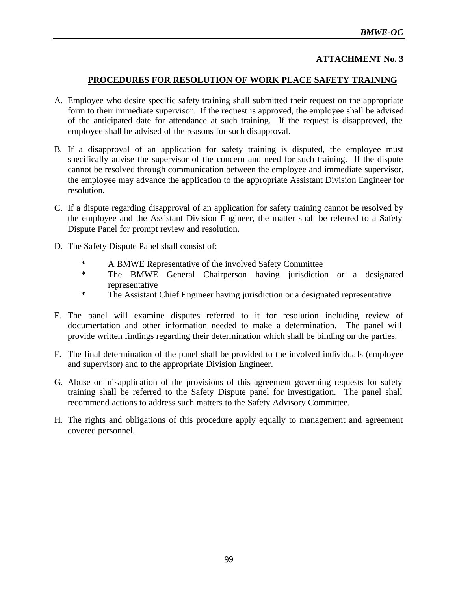## **ATTACHMENT No. 3**

## **PROCEDURES FOR RESOLUTION OF WORK PLACE SAFETY TRAINING**

- A. Employee who desire specific safety training shall submitted their request on the appropriate form to their immediate supervisor. If the request is approved, the employee shall be advised of the anticipated date for attendance at such training. If the request is disapproved, the employee shall be advised of the reasons for such disapproval.
- B. If a disapproval of an application for safety training is disputed, the employee must specifically advise the supervisor of the concern and need for such training. If the dispute cannot be resolved through communication between the employee and immediate supervisor, the employee may advance the application to the appropriate Assistant Division Engineer for resolution.
- C. If a dispute regarding disapproval of an application for safety training cannot be resolved by the employee and the Assistant Division Engineer, the matter shall be referred to a Safety Dispute Panel for prompt review and resolution.
- D. The Safety Dispute Panel shall consist of:
	- \* A BMWE Representative of the involved Safety Committee
	- \* The BMWE General Chairperson having jurisdiction or a designated representative
	- \* The Assistant Chief Engineer having jurisdiction or a designated representative
- E. The panel will examine disputes referred to it for resolution including review of documentation and other information needed to make a determination. The panel will provide written findings regarding their determination which shall be binding on the parties.
- F. The final determination of the panel shall be provided to the involved individua ls (employee and supervisor) and to the appropriate Division Engineer.
- G. Abuse or misapplication of the provisions of this agreement governing requests for safety training shall be referred to the Safety Dispute panel for investigation. The panel shall recommend actions to address such matters to the Safety Advisory Committee.
- H. The rights and obligations of this procedure apply equally to management and agreement covered personnel.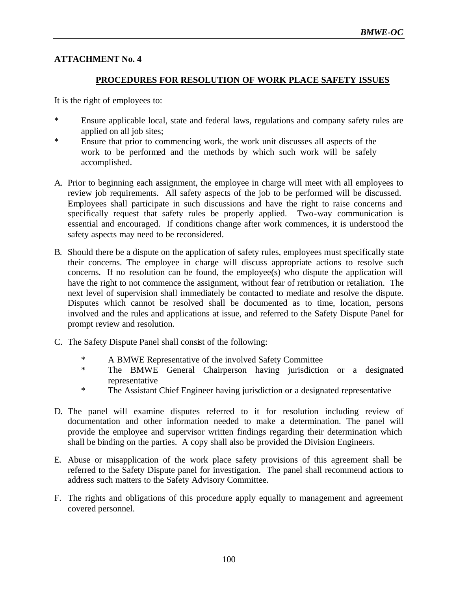## **ATTACHMENT No. 4**

## **PROCEDURES FOR RESOLUTION OF WORK PLACE SAFETY ISSUES**

It is the right of employees to:

- \* Ensure applicable local, state and federal laws, regulations and company safety rules are applied on all job sites;
- \* Ensure that prior to commencing work, the work unit discusses all aspects of the work to be performed and the methods by which such work will be safely accomplished.
- A. Prior to beginning each assignment, the employee in charge will meet with all employees to review job requirements. All safety aspects of the job to be performed will be discussed. Employees shall participate in such discussions and have the right to raise concerns and specifically request that safety rules be properly applied. Two-way communication is essential and encouraged. If conditions change after work commences, it is understood the safety aspects may need to be reconsidered.
- B. Should there be a dispute on the application of safety rules, employees must specifically state their concerns. The employee in charge will discuss appropriate actions to resolve such concerns. If no resolution can be found, the employee(s) who dispute the application will have the right to not commence the assignment, without fear of retribution or retaliation. The next level of supervision shall immediately be contacted to mediate and resolve the dispute. Disputes which cannot be resolved shall be documented as to time, location, persons involved and the rules and applications at issue, and referred to the Safety Dispute Panel for prompt review and resolution.
- C. The Safety Dispute Panel shall consist of the following:
	- \* A BMWE Representative of the involved Safety Committee<br>
	\* The BMWE General Chairperson having jurisdiction
	- The BMWE General Chairperson having jurisdiction or a designated representative
	- \* The Assistant Chief Engineer having jurisdiction or a designated representative
- D. The panel will examine disputes referred to it for resolution including review of documentation and other information needed to make a determination. The panel will provide the employee and supervisor written findings regarding their determination which shall be binding on the parties. A copy shall also be provided the Division Engineers.
- E. Abuse or misapplication of the work place safety provisions of this agreement shall be referred to the Safety Dispute panel for investigation. The panel shall recommend actions to address such matters to the Safety Advisory Committee.
- F. The rights and obligations of this procedure apply equally to management and agreement covered personnel.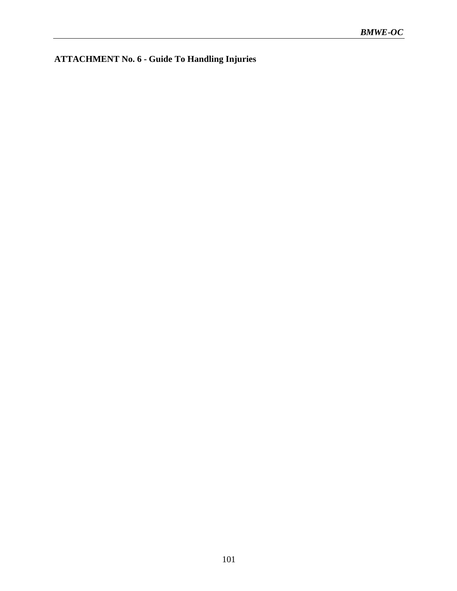**ATTACHMENT No. 6 - Guide To Handling Injuries**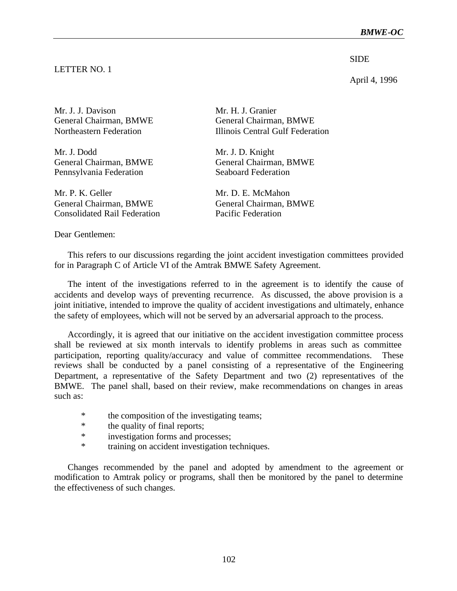#### SIDE

April 4, 1996

LETTER NO. 1

Mr. J. J. Davison Mr. H. J. Granier

Mr. J. Dodd Mr. J. D. Knight General Chairman, BMWE General Chairman, BMWE Pennsylvania Federation Seaboard Federation

Mr. P. K. Geller Mr. D. E. McMahon General Chairman, BMWE General Chairman, BMWE Consolidated Rail Federation Pacific Federation

General Chairman, BMWE General Chairman, BMWE Northeastern Federation Illinois Central Gulf Federation

Dear Gentlemen:

This refers to our discussions regarding the joint accident investigation committees provided for in Paragraph C of Article VI of the Amtrak BMWE Safety Agreement.

The intent of the investigations referred to in the agreement is to identify the cause of accidents and develop ways of preventing recurrence. As discussed, the above provision is a joint initiative, intended to improve the quality of accident investigations and ultimately, enhance the safety of employees, which will not be served by an adversarial approach to the process.

Accordingly, it is agreed that our initiative on the accident investigation committee process shall be reviewed at six month intervals to identify problems in areas such as committee participation, reporting quality/accuracy and value of committee recommendations. These reviews shall be conducted by a panel consisting of a representative of the Engineering Department, a representative of the Safety Department and two (2) representatives of the BMWE. The panel shall, based on their review, make recommendations on changes in areas such as:

- \* the composition of the investigating teams;<br>\* the quality of final reports:
- the quality of final reports;
- \* investigation forms and processes;
- \* training on accident investigation techniques.

Changes recommended by the panel and adopted by amendment to the agreement or modification to Amtrak policy or programs, shall then be monitored by the panel to determine the effectiveness of such changes.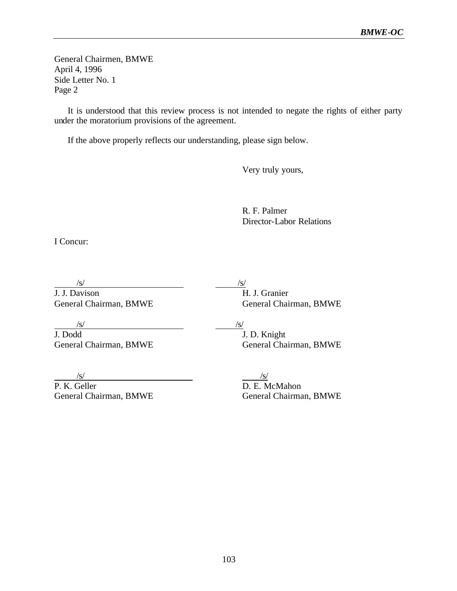General Chairmen, BMWE April 4, 1996 Side Letter No. 1 Page 2

It is understood that this review process is not intended to negate the rights of either party under the moratorium provisions of the agreement.

If the above properly reflects our understanding, please sign below.

Very truly yours,

R. F. Palmer Director-Labor Relations

I Concur:

 $\sqrt{s/}$  /s/

J. J. Davison H. J. Granier

General Chairman, BMWE General Chairman, BMWE

 $\frac{\sqrt{s}}{J. \text{ Dodd}}$   $\frac{\sqrt{s}}{J}$ 

P. K. Geller D. E. McMahon General Chairman, BMWE General Chairman, BMWE

J. D. Knight General Chairman, BMWE General Chairman, BMWE

 $\sqrt{s}$ /s/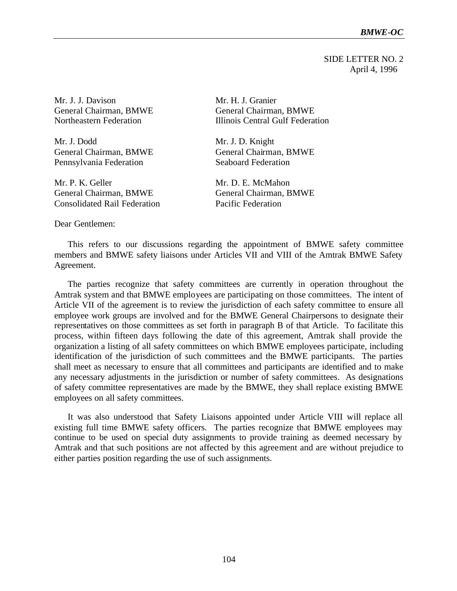SIDE LETTER NO. 2 April 4, 1996

Mr. J. J. Davison Mr. H. J. Granier

Mr. J. Dodd Mr. J. D. Knight General Chairman, BMWE General Chairman, BMWE Pennsylvania Federation Seaboard Federation

Mr. P. K. Geller Mr. D. E. McMahon General Chairman, BMWE General Chairman, BMWE Consolidated Rail Federation Pacific Federation

General Chairman, BMWE General Chairman, BMWE Northeastern Federation Illinois Central Gulf Federation

Dear Gentlemen:

This refers to our discussions regarding the appointment of BMWE safety committee members and BMWE safety liaisons under Articles VII and VIII of the Amtrak BMWE Safety Agreement.

The parties recognize that safety committees are currently in operation throughout the Amtrak system and that BMWE employees are participating on those committees. The intent of Article VII of the agreement is to review the jurisdiction of each safety committee to ensure all employee work groups are involved and for the BMWE General Chairpersons to designate their representatives on those committees as set forth in paragraph B of that Article. To facilitate this process, within fifteen days following the date of this agreement, Amtrak shall provide the organization a listing of all safety committees on which BMWE employees participate, including identification of the jurisdiction of such committees and the BMWE participants. The parties shall meet as necessary to ensure that all committees and participants are identified and to make any necessary adjustments in the jurisdiction or number of safety committees. As designations of safety committee representatives are made by the BMWE, they shall replace existing BMWE employees on all safety committees.

It was also understood that Safety Liaisons appointed under Article VIII will replace all existing full time BMWE safety officers. The parties recognize that BMWE employees may continue to be used on special duty assignments to provide training as deemed necessary by Amtrak and that such positions are not affected by this agreement and are without prejudice to either parties position regarding the use of such assignments.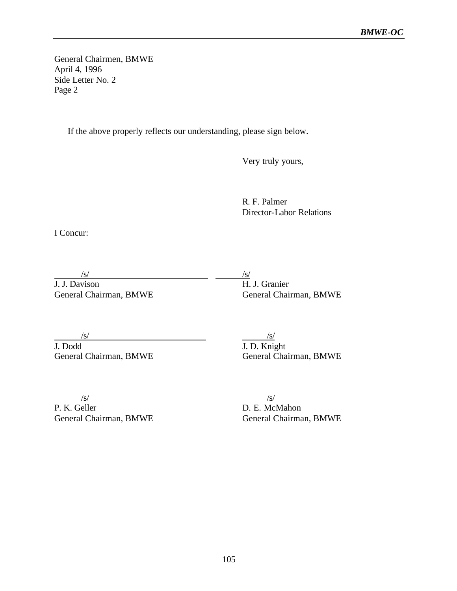General Chairmen, BMWE April 4, 1996 Side Letter No. 2 Page 2

If the above properly reflects our understanding, please sign below.

Very truly yours,

R. F. Palmer Director-Labor Relations

I Concur:

 $\frac{S}{J. J. \text{Davison}}$ 

 $\frac{1}{\sqrt{S}}$  /s/<br>H. J. Granier General Chairman, BMWE General Chairman, BMWE

J. Dodd J. D. Knight

 $\sqrt{s/}$ 

General Chairman, BMWE General Chairman, BMWE

 $\frac{1}{P}$ . K. Geller  $\frac{1}{P}$ . K. Geller General Chairman, BMWE General Chairman, BMWE

D. E. McMahon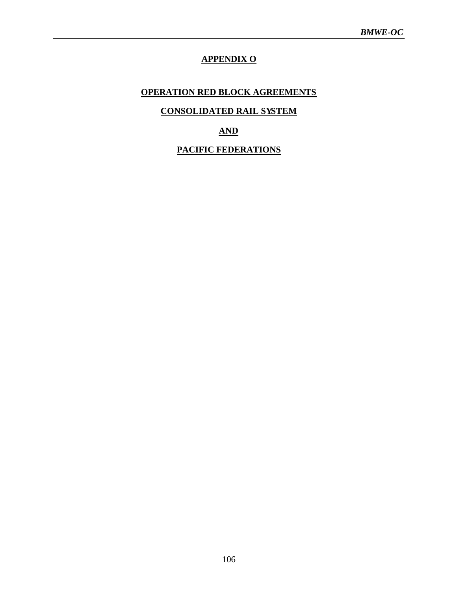## **APPENDIX O**

## **OPERATION RED BLOCK AGREEMENTS**

## **CONSOLIDATED RAIL SYSTEM**

## **AND**

# **PACIFIC FEDERATIONS**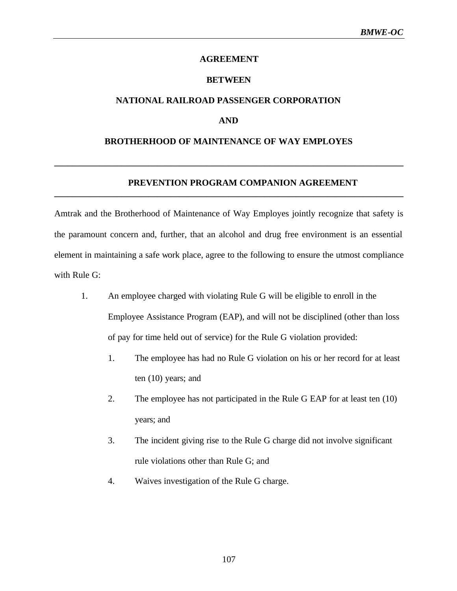#### **AGREEMENT**

#### **BETWEEN**

#### **NATIONAL RAILROAD PASSENGER CORPORATION**

#### **AND**

#### **BROTHERHOOD OF MAINTENANCE OF WAY EMPLOYES**

**\_\_\_\_\_\_\_\_\_\_\_\_\_\_\_\_\_\_\_\_\_\_\_\_\_\_\_\_\_\_\_\_\_\_\_\_\_\_\_\_\_\_\_\_\_\_\_\_\_\_\_\_\_\_\_\_\_\_\_\_\_\_\_\_\_\_\_\_\_\_\_\_\_\_\_\_\_\_**

**\_\_\_\_\_\_\_\_\_\_\_\_\_\_\_\_\_\_\_\_\_\_\_\_\_\_\_\_\_\_\_\_\_\_\_\_\_\_\_\_\_\_\_\_\_\_\_\_\_\_\_\_\_\_\_\_\_\_\_\_\_\_\_\_\_\_\_\_\_\_\_\_\_\_\_\_\_\_**

#### **PREVENTION PROGRAM COMPANION AGREEMENT**

Amtrak and the Brotherhood of Maintenance of Way Employes jointly recognize that safety is the paramount concern and, further, that an alcohol and drug free environment is an essential element in maintaining a safe work place, agree to the following to ensure the utmost compliance with Rule G:

- 1. An employee charged with violating Rule G will be eligible to enroll in the Employee Assistance Program (EAP), and will not be disciplined (other than loss of pay for time held out of service) for the Rule G violation provided:
	- 1. The employee has had no Rule G violation on his or her record for at least ten (10) years; and
	- 2. The employee has not participated in the Rule G EAP for at least ten (10) years; and
	- 3. The incident giving rise to the Rule G charge did not involve significant rule violations other than Rule G; and
	- 4. Waives investigation of the Rule G charge.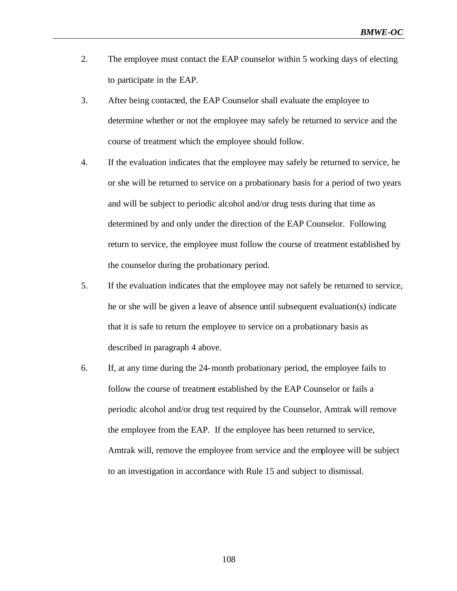- 2. The employee must contact the EAP counselor within 5 working days of electing to participate in the EAP.
- 3. After being contacted, the EAP Counselor shall evaluate the employee to determine whether or not the employee may safely be returned to service and the course of treatment which the employee should follow.
- 4. If the evaluation indicates that the employee may safely be returned to service, he or she will be returned to service on a probationary basis for a period of two years and will be subject to periodic alcohol and/or drug tests during that time as determined by and only under the direction of the EAP Counselor. Following return to service, the employee must follow the course of treatment established by the counselor during the probationary period.
- 5. If the evaluation indicates that the employee may not safely be returned to service, he or she will be given a leave of absence until subsequent evaluation(s) indicate that it is safe to return the employee to service on a probationary basis as described in paragraph 4 above.
- 6. If, at any time during the 24-month probationary period, the employee fails to follow the course of treatment established by the EAP Counselor or fails a periodic alcohol and/or drug test required by the Counselor, Amtrak will remove the employee from the EAP. If the employee has been returned to service, Amtrak will, remove the employee from service and the employee will be subject to an investigation in accordance with Rule 15 and subject to dismissal.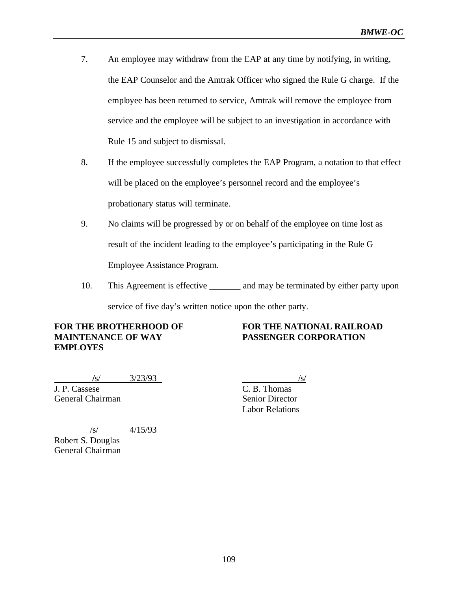- 7. An employee may withdraw from the EAP at any time by notifying, in writing, the EAP Counselor and the Amtrak Officer who signed the Rule G charge. If the employee has been returned to service, Amtrak will remove the employee from service and the employee will be subject to an investigation in accordance with Rule 15 and subject to dismissal.
- 8. If the employee successfully completes the EAP Program, a notation to that effect will be placed on the employee's personnel record and the employee's probationary status will terminate.
- 9. No claims will be progressed by or on behalf of the employee on time lost as result of the incident leading to the employee's participating in the Rule G Employee Assistance Program.
- 10. This Agreement is effective \_\_\_\_\_\_\_ and may be terminated by either party upon service of five day's written notice upon the other party.

# **MAINTENANCE OF WAY PASSENGER CORPORATION EMPLOYES**

# **FOR THE BROTHERHOOD OF FOR THE NATIONAL RAILROAD**

 **/**s/ 3/23/93 /s/

J. P. Cassese C. B. Thomas General Chairman Senior Director

 $\sqrt{s}$  4/15/93

Robert S. Douglas General Chairman

Labor Relations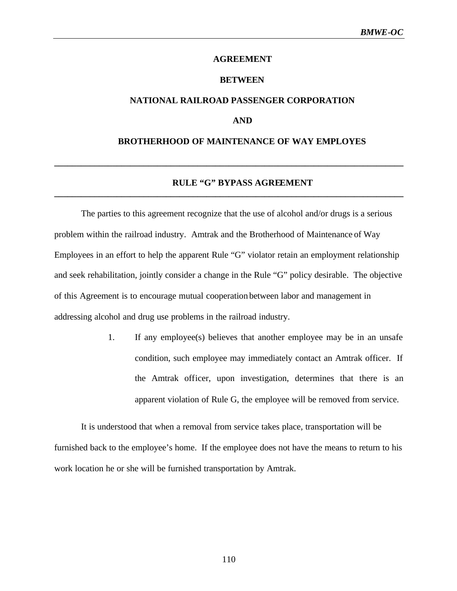#### **AGREEMENT**

#### **BETWEEN**

#### **NATIONAL RAILROAD PASSENGER CORPORATION**

#### **AND**

#### **BROTHERHOOD OF MAINTENANCE OF WAY EMPLOYES**

**\_\_\_\_\_\_\_\_\_\_\_\_\_\_\_\_\_\_\_\_\_\_\_\_\_\_\_\_\_\_\_\_\_\_\_\_\_\_\_\_\_\_\_\_\_\_\_\_\_\_\_\_\_\_\_\_\_\_\_\_\_\_\_\_\_\_\_\_\_\_\_\_\_\_\_\_\_\_**

**\_\_\_\_\_\_\_\_\_\_\_\_\_\_\_\_\_\_\_\_\_\_\_\_\_\_\_\_\_\_\_\_\_\_\_\_\_\_\_\_\_\_\_\_\_\_\_\_\_\_\_\_\_\_\_\_\_\_\_\_\_\_\_\_\_\_\_\_\_\_\_\_\_\_\_\_\_\_**

#### **RULE "G" BYPASS AGREEMENT**

The parties to this agreement recognize that the use of alcohol and/or drugs is a serious problem within the railroad industry. Amtrak and the Brotherhood of Maintenance of Way Employees in an effort to help the apparent Rule "G" violator retain an employment relationship and seek rehabilitation, jointly consider a change in the Rule "G" policy desirable. The objective of this Agreement is to encourage mutual cooperation between labor and management in addressing alcohol and drug use problems in the railroad industry.

> 1. If any employee(s) believes that another employee may be in an unsafe condition, such employee may immediately contact an Amtrak officer. If the Amtrak officer, upon investigation, determines that there is an apparent violation of Rule G, the employee will be removed from service.

It is understood that when a removal from service takes place, transportation will be furnished back to the employee's home. If the employee does not have the means to return to his work location he or she will be furnished transportation by Amtrak.

110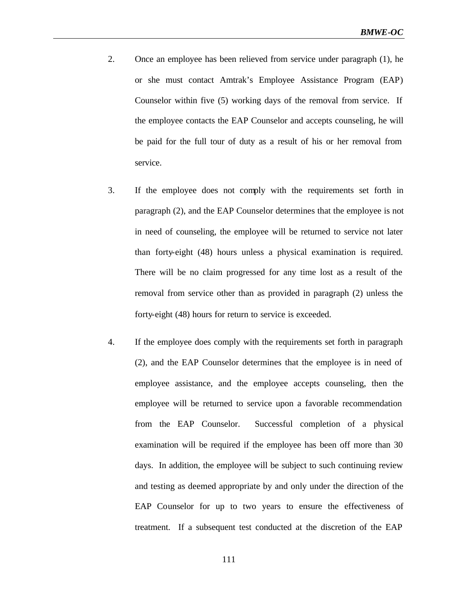- 2. Once an employee has been relieved from service under paragraph (1), he or she must contact Amtrak's Employee Assistance Program (EAP) Counselor within five (5) working days of the removal from service. If the employee contacts the EAP Counselor and accepts counseling, he will be paid for the full tour of duty as a result of his or her removal from service.
- 3. If the employee does not comply with the requirements set forth in paragraph (2), and the EAP Counselor determines that the employee is not in need of counseling, the employee will be returned to service not later than forty-eight (48) hours unless a physical examination is required. There will be no claim progressed for any time lost as a result of the removal from service other than as provided in paragraph (2) unless the forty-eight (48) hours for return to service is exceeded.
- 4. If the employee does comply with the requirements set forth in paragraph (2), and the EAP Counselor determines that the employee is in need of employee assistance, and the employee accepts counseling, then the employee will be returned to service upon a favorable recommendation from the EAP Counselor. Successful completion of a physical examination will be required if the employee has been off more than 30 days. In addition, the employee will be subject to such continuing review and testing as deemed appropriate by and only under the direction of the EAP Counselor for up to two years to ensure the effectiveness of treatment. If a subsequent test conducted at the discretion of the EAP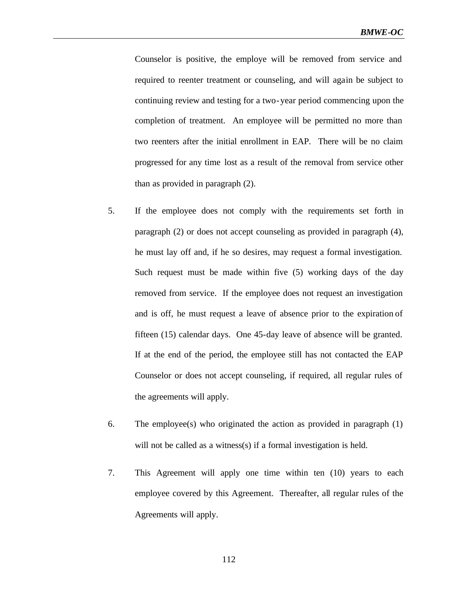Counselor is positive, the employe will be removed from service and required to reenter treatment or counseling, and will again be subject to continuing review and testing for a two-year period commencing upon the completion of treatment. An employee will be permitted no more than two reenters after the initial enrollment in EAP. There will be no claim progressed for any time lost as a result of the removal from service other than as provided in paragraph (2).

- 5. If the employee does not comply with the requirements set forth in paragraph (2) or does not accept counseling as provided in paragraph (4), he must lay off and, if he so desires, may request a formal investigation. Such request must be made within five (5) working days of the day removed from service. If the employee does not request an investigation and is off, he must request a leave of absence prior to the expiration of fifteen (15) calendar days. One 45-day leave of absence will be granted. If at the end of the period, the employee still has not contacted the EAP Counselor or does not accept counseling, if required, all regular rules of the agreements will apply.
- 6. The employee(s) who originated the action as provided in paragraph (1) will not be called as a witness(s) if a formal investigation is held.
- 7. This Agreement will apply one time within ten (10) years to each employee covered by this Agreement. Thereafter, all regular rules of the Agreements will apply.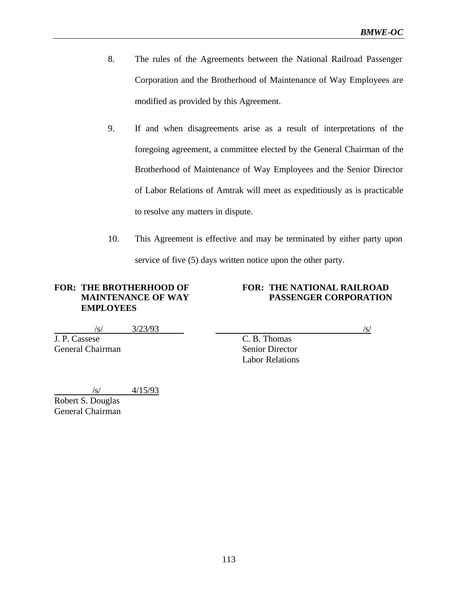- 8. The rules of the Agreements between the National Railroad Passenger Corporation and the Brotherhood of Maintenance of Way Employees are modified as provided by this Agreement.
- 9. If and when disagreements arise as a result of interpretations of the foregoing agreement, a committee elected by the General Chairman of the Brotherhood of Maintenance of Way Employees and the Senior Director of Labor Relations of Amtrak will meet as expeditiously as is practicable to resolve any matters in dispute.
- 10. This Agreement is effective and may be terminated by either party upon service of five (5) days written notice upon the other party.

# **EMPLOYEES**

#### **FOR: THE BROTHERHOOD OF FOR: THE NATIONAL RAILROAD MAINTENANCE OF WAY PASSENGER CORPORATION**

 $\frac{3}{23/93}$  /s/

J. P. Cassese C. B. Thomas General Chairman Senior Director

Labor Relations

 $\frac{1}{5}$ /s/  $\frac{4}{15}$ /93

Robert S. Douglas General Chairman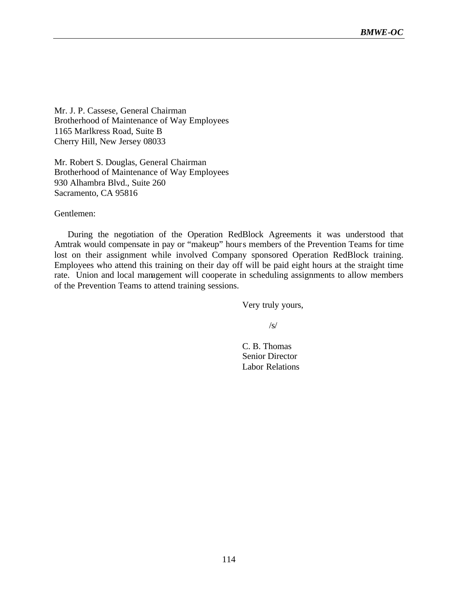Mr. J. P. Cassese, General Chairman Brotherhood of Maintenance of Way Employees 1165 Marlkress Road, Suite B Cherry Hill, New Jersey 08033

Mr. Robert S. Douglas, General Chairman Brotherhood of Maintenance of Way Employees 930 Alhambra Blvd., Suite 260 Sacramento, CA 95816

Gentlemen:

During the negotiation of the Operation RedBlock Agreements it was understood that Amtrak would compensate in pay or "makeup" hours members of the Prevention Teams for time lost on their assignment while involved Company sponsored Operation RedBlock training. Employees who attend this training on their day off will be paid eight hours at the straight time rate. Union and local management will cooperate in scheduling assignments to allow members of the Prevention Teams to attend training sessions.

Very truly yours,

/s/

C. B. Thomas Senior Director Labor Relations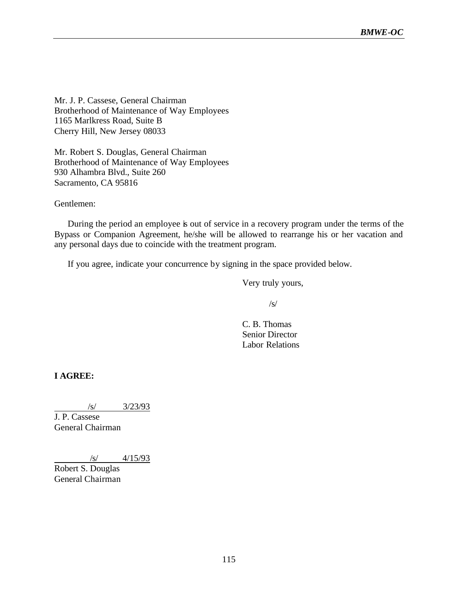Mr. J. P. Cassese, General Chairman Brotherhood of Maintenance of Way Employees 1165 Marlkress Road, Suite B Cherry Hill, New Jersey 08033

Mr. Robert S. Douglas, General Chairman Brotherhood of Maintenance of Way Employees 930 Alhambra Blvd., Suite 260 Sacramento, CA 95816

Gentlemen:

During the period an employee is out of service in a recovery program under the terms of the Bypass or Companion Agreement, he/she will be allowed to rearrange his or her vacation and any personal days due to coincide with the treatment program.

If you agree, indicate your concurrence by signing in the space provided below.

Very truly yours,

/s/

C. B. Thomas Senior Director Labor Relations

**I AGREE:**

/s/ 3/23/93

J. P. Cassese General Chairman

 $\frac{\text{S}}{\text{S}}$  4/15/93

Robert S. Douglas General Chairman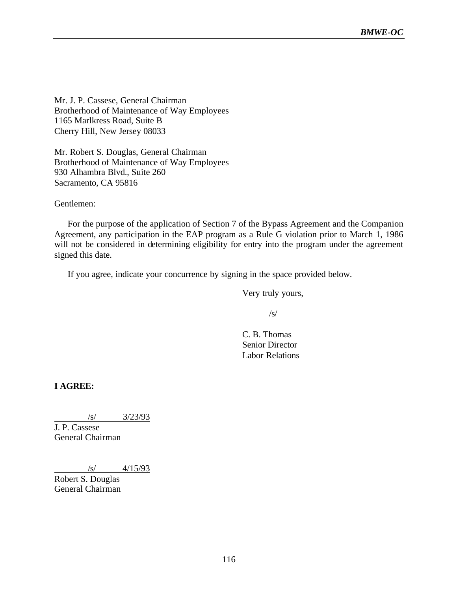Mr. J. P. Cassese, General Chairman Brotherhood of Maintenance of Way Employees 1165 Marlkress Road, Suite B Cherry Hill, New Jersey 08033

Mr. Robert S. Douglas, General Chairman Brotherhood of Maintenance of Way Employees 930 Alhambra Blvd., Suite 260 Sacramento, CA 95816

Gentlemen:

For the purpose of the application of Section 7 of the Bypass Agreement and the Companion Agreement, any participation in the EAP program as a Rule G violation prior to March 1, 1986 will not be considered in determining eligibility for entry into the program under the agreement signed this date.

If you agree, indicate your concurrence by signing in the space provided below.

Very truly yours,

/s/

C. B. Thomas Senior Director Labor Relations

**I AGREE:**

/s/ 3/23/93

J. P. Cassese General Chairman

 $\frac{\text{S}}{\text{S}}$  4/15/93

Robert S. Douglas General Chairman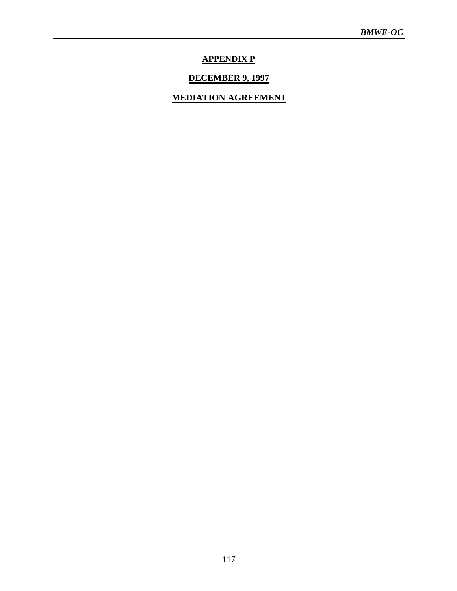# **APPENDIX P**

# **DECEMBER 9, 1997**

# **MEDIATION AGREEMENT**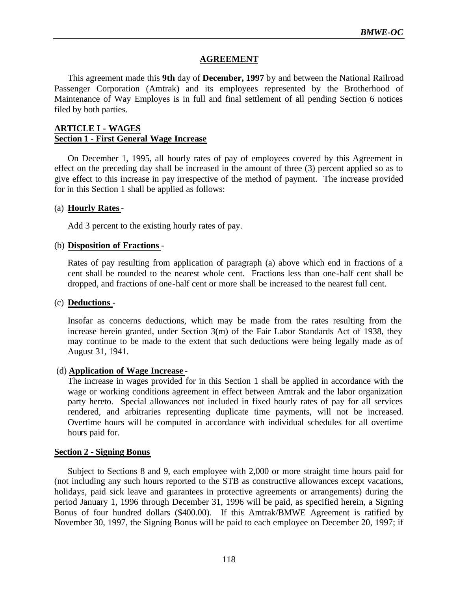#### **AGREEMENT**

This agreement made this **9th** day of **December, 1997** by and between the National Railroad Passenger Corporation (Amtrak) and its employees represented by the Brotherhood of Maintenance of Way Employes is in full and final settlement of all pending Section 6 notices filed by both parties.

#### **ARTICLE I - WAGES Section 1 - First General Wage Increase**

On December 1, 1995, all hourly rates of pay of employees covered by this Agreement in effect on the preceding day shall be increased in the amount of three (3) percent applied so as to give effect to this increase in pay irrespective of the method of payment. The increase provided for in this Section 1 shall be applied as follows:

#### (a) **Hourly Rates** -

Add 3 percent to the existing hourly rates of pay.

#### (b) **Disposition of Fractions** -

Rates of pay resulting from application of paragraph (a) above which end in fractions of a cent shall be rounded to the nearest whole cent. Fractions less than one-half cent shall be dropped, and fractions of one-half cent or more shall be increased to the nearest full cent.

#### (c) **Deductions** -

Insofar as concerns deductions, which may be made from the rates resulting from the increase herein granted, under Section 3(m) of the Fair Labor Standards Act of 1938, they may continue to be made to the extent that such deductions were being legally made as of August 31, 1941.

#### (d) **Application of Wage Increase** -

The increase in wages provided for in this Section 1 shall be applied in accordance with the wage or working conditions agreement in effect between Amtrak and the labor organization party hereto. Special allowances not included in fixed hourly rates of pay for all services rendered, and arbitraries representing duplicate time payments, will not be increased. Overtime hours will be computed in accordance with individual schedules for all overtime hours paid for.

#### **Section 2 - Signing Bonus**

Subject to Sections 8 and 9, each employee with 2,000 or more straight time hours paid for (not including any such hours reported to the STB as constructive allowances except vacations, holidays, paid sick leave and guarantees in protective agreements or arrangements) during the period January 1, 1996 through December 31, 1996 will be paid, as specified herein, a Signing Bonus of four hundred dollars (\$400.00). If this Amtrak/BMWE Agreement is ratified by November 30, 1997, the Signing Bonus will be paid to each employee on December 20, 1997; if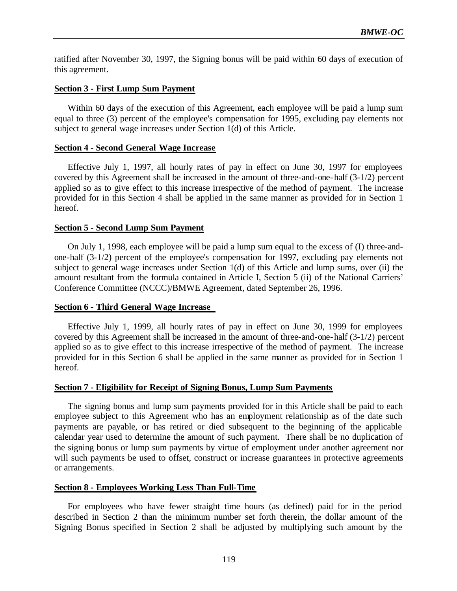ratified after November 30, 1997, the Signing bonus will be paid within 60 days of execution of this agreement.

#### **Section 3 - First Lump Sum Payment**

Within 60 days of the execution of this Agreement, each employee will be paid a lump sum equal to three (3) percent of the employee's compensation for 1995, excluding pay elements not subject to general wage increases under Section 1(d) of this Article.

#### **Section 4 - Second General Wage Increase**

Effective July 1, 1997, all hourly rates of pay in effect on June 30, 1997 for employees covered by this Agreement shall be increased in the amount of three-and-one-half (3-1/2) percent applied so as to give effect to this increase irrespective of the method of payment. The increase provided for in this Section 4 shall be applied in the same manner as provided for in Section 1 hereof.

#### **Section 5 - Second Lump Sum Payment**

On July 1, 1998, each employee will be paid a lump sum equal to the excess of (I) three-andone-half (3-1/2) percent of the employee's compensation for 1997, excluding pay elements not subject to general wage increases under Section 1(d) of this Article and lump sums, over (ii) the amount resultant from the formula contained in Article I, Section 5 (ii) of the National Carriers' Conference Committee (NCCC)/BMWE Agreement, dated September 26, 1996.

#### **Section 6 - Third General Wage Increase**

Effective July 1, 1999, all hourly rates of pay in effect on June 30, 1999 for employees covered by this Agreement shall be increased in the amount of three-and-one-half (3-1/2) percent applied so as to give effect to this increase irrespective of the method of payment. The increase provided for in this Section 6 shall be applied in the same manner as provided for in Section 1 hereof.

#### **Section 7 - Eligibility for Receipt of Signing Bonus, Lump Sum Payments**

The signing bonus and lump sum payments provided for in this Article shall be paid to each employee subject to this Agreement who has an employment relationship as of the date such payments are payable, or has retired or died subsequent to the beginning of the applicable calendar year used to determine the amount of such payment. There shall be no duplication of the signing bonus or lump sum payments by virtue of employment under another agreement nor will such payments be used to offset, construct or increase guarantees in protective agreements or arrangements.

#### **Section 8 - Employees Working Less Than Full-Time**

For employees who have fewer straight time hours (as defined) paid for in the period described in Section 2 than the minimum number set forth therein, the dollar amount of the Signing Bonus specified in Section 2 shall be adjusted by multiplying such amount by the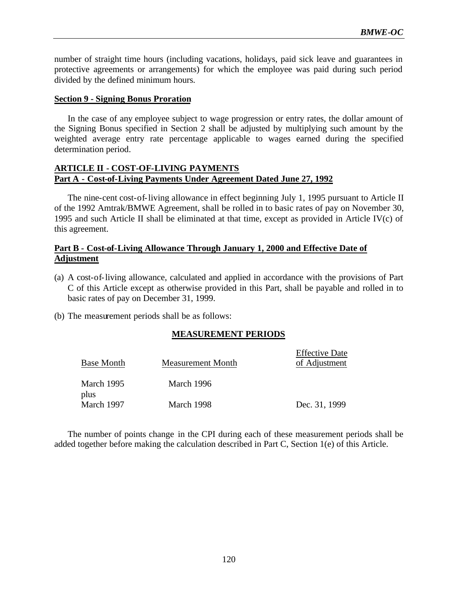number of straight time hours (including vacations, holidays, paid sick leave and guarantees in protective agreements or arrangements) for which the employee was paid during such period divided by the defined minimum hours.

#### **Section 9 - Signing Bonus Proration**

In the case of any employee subject to wage progression or entry rates, the dollar amount of the Signing Bonus specified in Section 2 shall be adjusted by multiplying such amount by the weighted average entry rate percentage applicable to wages earned during the specified determination period.

#### **ARTICLE II - COST-OF-LIVING PAYMENTS Part A - Cost-of-Living Payments Under Agreement Dated June 27, 1992**

The nine-cent cost-of-living allowance in effect beginning July 1, 1995 pursuant to Article II of the 1992 Amtrak/BMWE Agreement, shall be rolled in to basic rates of pay on November 30, 1995 and such Article II shall be eliminated at that time, except as provided in Article IV(c) of this agreement.

#### **Part B - Cost-of-Living Allowance Through January 1, 2000 and Effective Date of Adjustment**

- (a) A cost-of-living allowance, calculated and applied in accordance with the provisions of Part C of this Article except as otherwise provided in this Part, shall be payable and rolled in to basic rates of pay on December 31, 1999.
- (b) The measurement periods shall be as follows:

#### **MEASUREMENT PERIODS**

| <b>Base Month</b>  | Measurement Month | <b>Effective Date</b><br>of Adjustment |
|--------------------|-------------------|----------------------------------------|
| March 1995<br>plus | March 1996        |                                        |
| March 1997         | March 1998        | Dec. 31, 1999                          |

The number of points change in the CPI during each of these measurement periods shall be added together before making the calculation described in Part C, Section 1(e) of this Article.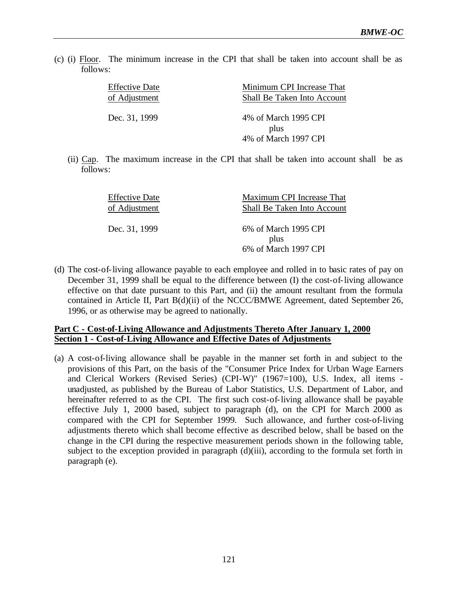(c) (i) Floor. The minimum increase in the CPI that shall be taken into account shall be as follows:

| <b>Effective Date</b> | Minimum CPI Increase That    |
|-----------------------|------------------------------|
| of Adjustment         | Shall Be Taken Into Account  |
| Dec. 31, 1999         | 4% of March 1995 CPI         |
|                       | plus<br>4% of March 1997 CPI |
|                       |                              |

(ii) Cap. The maximum increase in the CPI that shall be taken into account shall be as follows:

| <b>Effective Date</b> | Maximum CPI Increase That    |  |
|-----------------------|------------------------------|--|
| of Adjustment         | Shall Be Taken Into Account  |  |
| Dec. 31, 1999         | 6% of March 1995 CPI         |  |
|                       | plus<br>6% of March 1997 CPI |  |

(d) The cost-of-living allowance payable to each employee and rolled in to basic rates of pay on December 31, 1999 shall be equal to the difference between (I) the cost-of-living allowance effective on that date pursuant to this Part, and (ii) the amount resultant from the formula contained in Article II, Part B(d)(ii) of the NCCC/BMWE Agreement, dated September 26, 1996, or as otherwise may be agreed to nationally.

#### **Part C - Cost-of-Living Allowance and Adjustments Thereto After January 1, 2000 Section 1 - Cost-of-Living Allowance and Effective Dates of Adjustments**

(a) A cost-of-living allowance shall be payable in the manner set forth in and subject to the provisions of this Part, on the basis of the "Consumer Price Index for Urban Wage Earners and Clerical Workers (Revised Series) (CPI-W)" (1967=100), U.S. Index, all items unadjusted, as published by the Bureau of Labor Statistics, U.S. Department of Labor, and hereinafter referred to as the CPI. The first such cost-of-living allowance shall be payable effective July 1, 2000 based, subject to paragraph (d), on the CPI for March 2000 as compared with the CPI for September 1999. Such allowance, and further cost-of-living adjustments thereto which shall become effective as described below, shall be based on the change in the CPI during the respective measurement periods shown in the following table, subject to the exception provided in paragraph (d)(iii), according to the formula set forth in paragraph (e).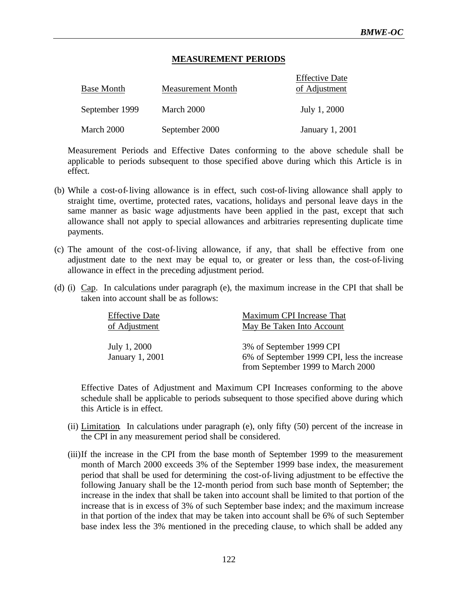#### **MEASUREMENT PERIODS**

| <b>Base Month</b> | <b>Measurement Month</b> | <b>Effective Date</b><br>of Adjustment |
|-------------------|--------------------------|----------------------------------------|
| September 1999    | March 2000               | July 1, 2000                           |
| March 2000        | September 2000           | January 1, 2001                        |

Measurement Periods and Effective Dates conforming to the above schedule shall be applicable to periods subsequent to those specified above during which this Article is in effect.

- (b) While a cost-of-living allowance is in effect, such cost-of-living allowance shall apply to straight time, overtime, protected rates, vacations, holidays and personal leave days in the same manner as basic wage adjustments have been applied in the past, except that such allowance shall not apply to special allowances and arbitraries representing duplicate time payments.
- (c) The amount of the cost-of-living allowance, if any, that shall be effective from one adjustment date to the next may be equal to, or greater or less than, the cost-of-living allowance in effect in the preceding adjustment period.
- (d) (i) Cap. In calculations under paragraph (e), the maximum increase in the CPI that shall be taken into account shall be as follows:

| <b>Effective Date</b>           | Maximum CPI Increase That                                                                                    |
|---------------------------------|--------------------------------------------------------------------------------------------------------------|
| of Adjustment                   | May Be Taken Into Account                                                                                    |
| July 1, 2000<br>January 1, 2001 | 3% of September 1999 CPI<br>6% of September 1999 CPI, less the increase<br>from September 1999 to March 2000 |

Effective Dates of Adjustment and Maximum CPI Increases conforming to the above schedule shall be applicable to periods subsequent to those specified above during which this Article is in effect.

- (ii) Limitation. In calculations under paragraph (e), only fifty (50) percent of the increase in the CPI in any measurement period shall be considered.
- (iii)If the increase in the CPI from the base month of September 1999 to the measurement month of March 2000 exceeds 3% of the September 1999 base index, the measurement period that shall be used for determining the cost-of-living adjustment to be effective the following January shall be the 12-month period from such base month of September; the increase in the index that shall be taken into account shall be limited to that portion of the increase that is in excess of 3% of such September base index; and the maximum increase in that portion of the index that may be taken into account shall be 6% of such September base index less the 3% mentioned in the preceding clause, to which shall be added any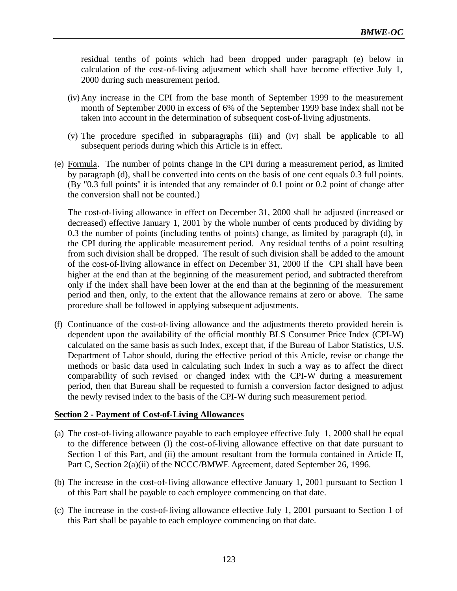residual tenths of points which had been dropped under paragraph (e) below in calculation of the cost-of-living adjustment which shall have become effective July 1, 2000 during such measurement period.

- (iv) Any increase in the CPI from the base month of September 1999 to the measurement month of September 2000 in excess of 6% of the September 1999 base index shall not be taken into account in the determination of subsequent cost-of-living adjustments.
- (v) The procedure specified in subparagraphs (iii) and (iv) shall be applicable to all subsequent periods during which this Article is in effect.
- (e) Formula. The number of points change in the CPI during a measurement period, as limited by paragraph (d), shall be converted into cents on the basis of one cent equals 0.3 full points. (By "0.3 full points" it is intended that any remainder of 0.1 point or 0.2 point of change after the conversion shall not be counted.)

The cost-of-living allowance in effect on December 31, 2000 shall be adjusted (increased or decreased) effective January 1, 2001 by the whole number of cents produced by dividing by 0.3 the number of points (including tenths of points) change, as limited by paragraph (d), in the CPI during the applicable measurement period. Any residual tenths of a point resulting from such division shall be dropped. The result of such division shall be added to the amount of the cost-of-living allowance in effect on December 31, 2000 if the CPI shall have been higher at the end than at the beginning of the measurement period, and subtracted therefrom only if the index shall have been lower at the end than at the beginning of the measurement period and then, only, to the extent that the allowance remains at zero or above. The same procedure shall be followed in applying subsequent adjustments.

(f) Continuance of the cost-of-living allowance and the adjustments thereto provided herein is dependent upon the availability of the official monthly BLS Consumer Price Index (CPI-W) calculated on the same basis as such Index, except that, if the Bureau of Labor Statistics, U.S. Department of Labor should, during the effective period of this Article, revise or change the methods or basic data used in calculating such Index in such a way as to affect the direct comparability of such revised or changed index with the CPI-W during a measurement period, then that Bureau shall be requested to furnish a conversion factor designed to adjust the newly revised index to the basis of the CPI-W during such measurement period.

#### **Section 2 - Payment of Cost-of-Living Allowances**

- (a) The cost-of-living allowance payable to each employee effective July 1, 2000 shall be equal to the difference between (I) the cost-of-living allowance effective on that date pursuant to Section 1 of this Part, and (ii) the amount resultant from the formula contained in Article II, Part C, Section 2(a)(ii) of the NCCC/BMWE Agreement, dated September 26, 1996.
- (b) The increase in the cost-of-living allowance effective January 1, 2001 pursuant to Section 1 of this Part shall be payable to each employee commencing on that date.
- (c) The increase in the cost-of-living allowance effective July 1, 2001 pursuant to Section 1 of this Part shall be payable to each employee commencing on that date.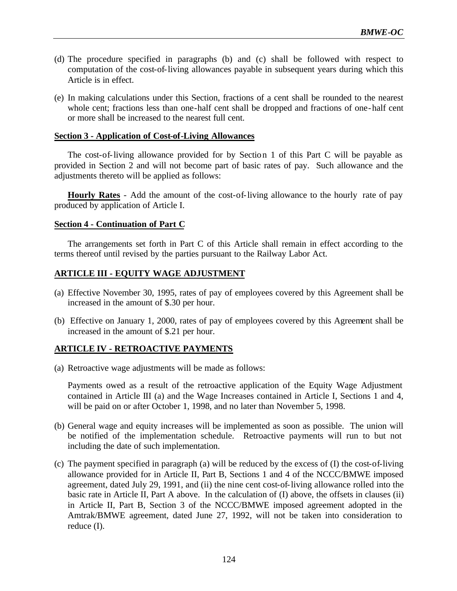- (d) The procedure specified in paragraphs (b) and (c) shall be followed with respect to computation of the cost-of-living allowances payable in subsequent years during which this Article is in effect.
- (e) In making calculations under this Section, fractions of a cent shall be rounded to the nearest whole cent; fractions less than one-half cent shall be dropped and fractions of one-half cent or more shall be increased to the nearest full cent.

#### **Section 3 - Application of Cost-of-Living Allowances**

The cost-of-living allowance provided for by Section 1 of this Part C will be payable as provided in Section 2 and will not become part of basic rates of pay. Such allowance and the adjustments thereto will be applied as follows:

**Hourly Rates** - Add the amount of the cost-of-living allowance to the hourly rate of pay produced by application of Article I.

#### **Section 4 - Continuation of Part C**

The arrangements set forth in Part C of this Article shall remain in effect according to the terms thereof until revised by the parties pursuant to the Railway Labor Act.

#### **ARTICLE III - EQUITY WAGE ADJUSTMENT**

- (a) Effective November 30, 1995, rates of pay of employees covered by this Agreement shall be increased in the amount of \$.30 per hour.
- (b) Effective on January 1, 2000, rates of pay of employees covered by this Agreement shall be increased in the amount of \$.21 per hour.

#### **ARTICLE IV - RETROACTIVE PAYMENTS**

(a) Retroactive wage adjustments will be made as follows:

Payments owed as a result of the retroactive application of the Equity Wage Adjustment contained in Article III (a) and the Wage Increases contained in Article I, Sections 1 and 4, will be paid on or after October 1, 1998, and no later than November 5, 1998.

- (b) General wage and equity increases will be implemented as soon as possible. The union will be notified of the implementation schedule. Retroactive payments will run to but not including the date of such implementation.
- (c) The payment specified in paragraph (a) will be reduced by the excess of (I) the cost-of-living allowance provided for in Article II, Part B, Sections 1 and 4 of the NCCC/BMWE imposed agreement, dated July 29, 1991, and (ii) the nine cent cost-of-living allowance rolled into the basic rate in Article II, Part A above. In the calculation of (I) above, the offsets in clauses (ii) in Article II, Part B, Section 3 of the NCCC/BMWE imposed agreement adopted in the Amtrak/BMWE agreement, dated June 27, 1992, will not be taken into consideration to reduce (I).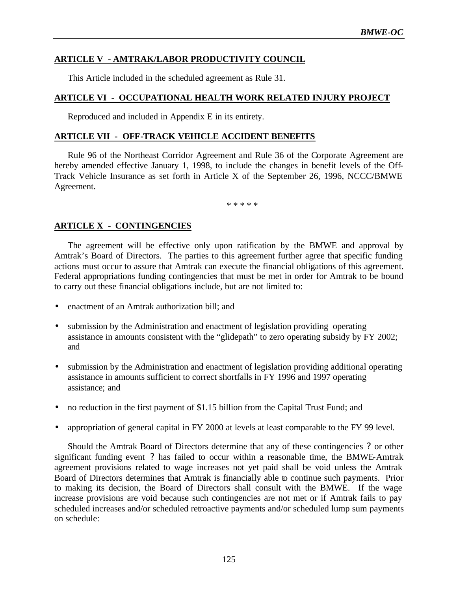#### **ARTICLE V - AMTRAK/LABOR PRODUCTIVITY COUNCIL**

This Article included in the scheduled agreement as Rule 31.

#### **ARTICLE VI - OCCUPATIONAL HEALTH WORK RELATED INJURY PROJECT**

Reproduced and included in Appendix E in its entirety.

#### **ARTICLE VII - OFF-TRACK VEHICLE ACCIDENT BENEFITS**

Rule 96 of the Northeast Corridor Agreement and Rule 36 of the Corporate Agreement are hereby amended effective January 1, 1998, to include the changes in benefit levels of the Off-Track Vehicle Insurance as set forth in Article X of the September 26, 1996, NCCC/BMWE Agreement.

\* \* \* \* \*

#### **ARTICLE X - CONTINGENCIES**

The agreement will be effective only upon ratification by the BMWE and approval by Amtrak's Board of Directors. The parties to this agreement further agree that specific funding actions must occur to assure that Amtrak can execute the financial obligations of this agreement. Federal appropriations funding contingencies that must be met in order for Amtrak to be bound to carry out these financial obligations include, but are not limited to:

- enactment of an Amtrak authorization bill; and
- submission by the Administration and enactment of legislation providing operating assistance in amounts consistent with the "glidepath" to zero operating subsidy by FY 2002; and
- submission by the Administration and enactment of legislation providing additional operating assistance in amounts sufficient to correct shortfalls in FY 1996 and 1997 operating assistance; and
- no reduction in the first payment of \$1.15 billion from the Capital Trust Fund; and
- appropriation of general capital in FY 2000 at levels at least comparable to the FY 99 level.

Should the Amtrak Board of Directors determine that any of these contingencies ? or other significant funding event ? has failed to occur within a reasonable time, the BMWE-Amtrak agreement provisions related to wage increases not yet paid shall be void unless the Amtrak Board of Directors determines that Amtrak is financially able to continue such payments. Prior to making its decision, the Board of Directors shall consult with the BMWE. If the wage increase provisions are void because such contingencies are not met or if Amtrak fails to pay scheduled increases and/or scheduled retroactive payments and/or scheduled lump sum payments on schedule: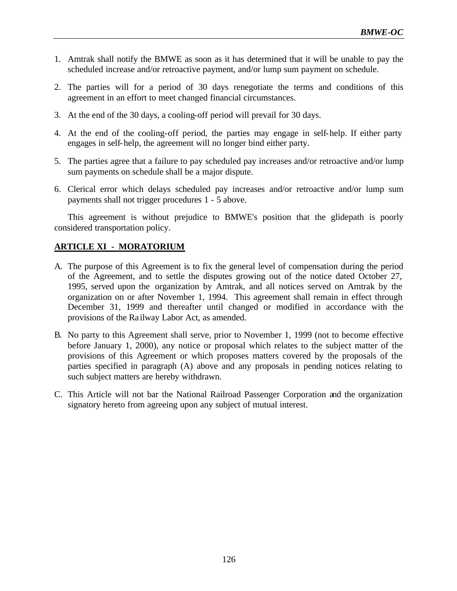- 1. Amtrak shall notify the BMWE as soon as it has determined that it will be unable to pay the scheduled increase and/or retroactive payment, and/or lump sum payment on schedule.
- 2. The parties will for a period of 30 days renegotiate the terms and conditions of this agreement in an effort to meet changed financial circumstances.
- 3. At the end of the 30 days, a cooling-off period will prevail for 30 days.
- 4. At the end of the cooling-off period, the parties may engage in self-help. If either party engages in self-help, the agreement will no longer bind either party.
- 5. The parties agree that a failure to pay scheduled pay increases and/or retroactive and/or lump sum payments on schedule shall be a major dispute.
- 6. Clerical error which delays scheduled pay increases and/or retroactive and/or lump sum payments shall not trigger procedures 1 - 5 above.

This agreement is without prejudice to BMWE's position that the glidepath is poorly considered transportation policy.

#### **ARTICLE XI - MORATORIUM**

- A. The purpose of this Agreement is to fix the general level of compensation during the period of the Agreement, and to settle the disputes growing out of the notice dated October 27, 1995, served upon the organization by Amtrak, and all notices served on Amtrak by the organization on or after November 1, 1994. This agreement shall remain in effect through December 31, 1999 and thereafter until changed or modified in accordance with the provisions of the Ra ilway Labor Act, as amended.
- B. No party to this Agreement shall serve, prior to November 1, 1999 (not to become effective before January 1, 2000), any notice or proposal which relates to the subject matter of the provisions of this Agreement or which proposes matters covered by the proposals of the parties specified in paragraph (A) above and any proposals in pending notices relating to such subject matters are hereby withdrawn.
- C. This Article will not bar the National Railroad Passenger Corporation and the organization signatory hereto from agreeing upon any subject of mutual interest.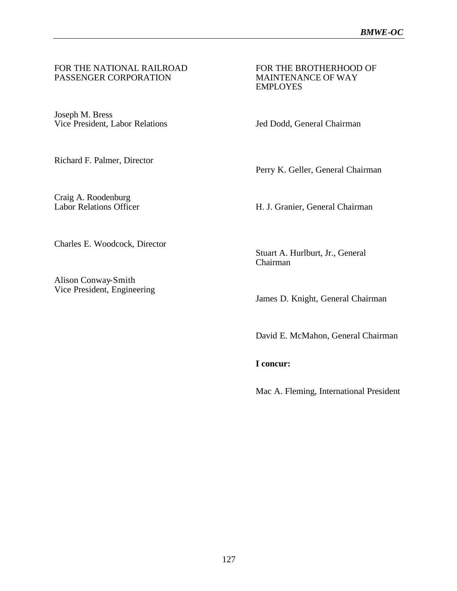#### FOR THE NATIONAL RAILROAD PASSENGER CORPORATION

Joseph M. Bress Vice President, Labor Relations

Richard F. Palmer, Director

Craig A. Roodenburg Labor Relations Officer

Charles E. Woodcock, Director

Alison Conway-Smith Vice President, Engineering FOR THE BROTHERHOOD OF MAINTENANCE OF WAY EMPLOYES

Jed Dodd, General Chairman

Perry K. Geller, General Chairman

H. J. Granier, General Chairman

Stuart A. Hurlburt, Jr., General Chairman

James D. Knight, General Chairman

David E. McMahon, General Chairman

**I concur:**

Mac A. Fleming, International President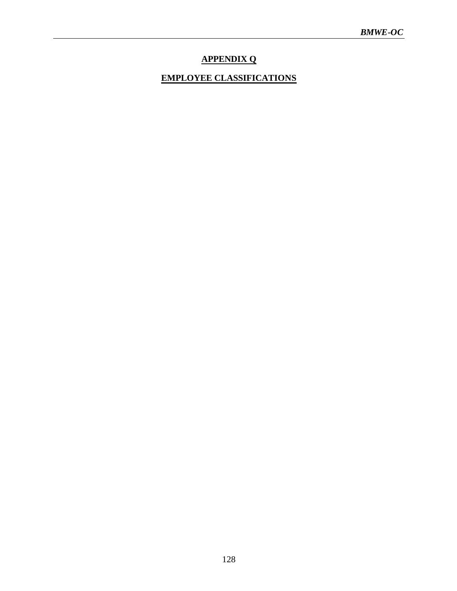# **APPENDIX Q**

# **EMPLOYEE CLASSIFICATIONS**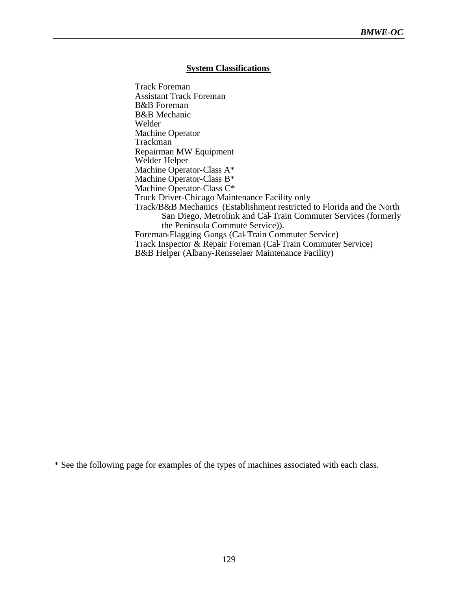#### **System Classifications**

Track Foreman Assistant Track Foreman B&B Foreman B&B Mechanic Welder Machine Operator Trackman Repairman MW Equipment Welder Helper Machine Operator-Class A\* Machine Operator-Class B\* Machine Operator-Class C\* Truck Driver-Chicago Maintenance Facility only Track/B&B Mechanics (Establishment restricted to Florida and the North San Diego, Metrolink and Cal-Train Commuter Services (formerly the Peninsula Commute Service)). Foreman-Flagging Gangs (Cal-Train Commuter Service) Track Inspector & Repair Foreman (Cal-Train Commuter Service) B&B Helper (Albany-Rensselaer Maintenance Facility)

\* See the following page for examples of the types of machines associated with each class.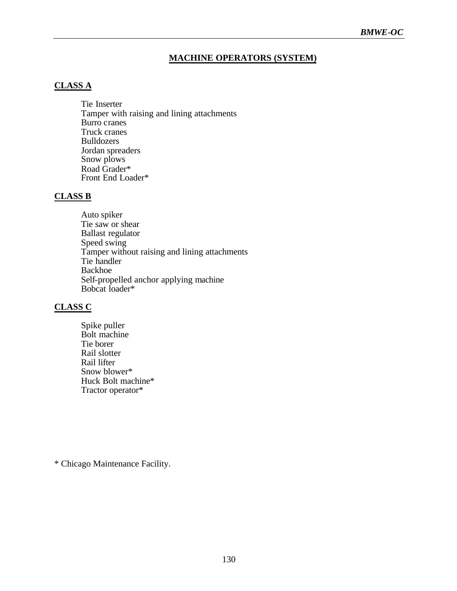### **MACHINE OPERATORS (SYSTEM)**

#### **CLASS A**

Tie Inserter Tamper with raising and lining attachments Burro cranes Truck cranes Bulldozers Jordan spreaders Snow plows Road Grader\* Front End Loader\*

#### **CLASS B**

Auto spiker Tie saw or shear Ballast regulator Speed swing Tamper without raising and lining attachments Tie handler Backhoe Self-propelled anchor applying machine Bobcat loader\*

#### **CLASS C**

Spike puller Bolt machine Tie borer Rail slotter Rail lifter Snow blower\* Huck Bolt machine\* Tractor operator\*

\* Chicago Maintenance Facility.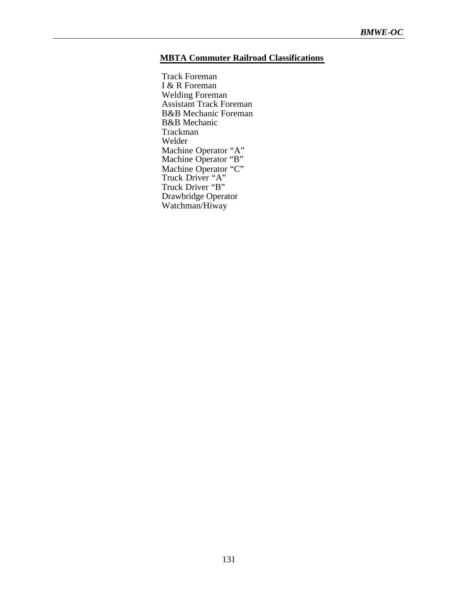#### **MBTA Commuter Railroad Classifications**

Track Foreman I & R Foreman Welding Foreman Assistant Track Foreman B&B Mechanic Foreman B&B Mechanic Trackman Welder Machine Operator "A" Machine Operator "B" Machine Operator "C" Truck Driver "A" Truck Driver "B" Drawbridge Operator Watchman/Hiway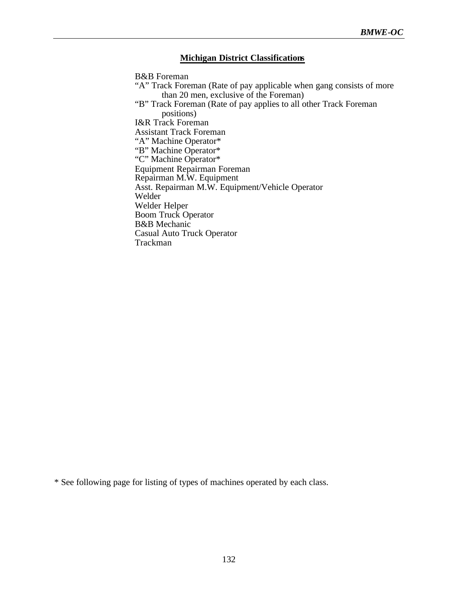#### **Michigan District Classifications**

B&B Foreman

- "A" Track Foreman (Rate of pay applicable when gang consists of more than 20 men, exclusive of the Foreman)
- "B" Track Foreman (Rate of pay applies to all other Track Foreman positions)

I&R Track Foreman

Assistant Track Foreman

"A" Machine Operator\*

"B" Machine Operator\*

"C" Machine Operator\*

Equipment Repairman Foreman

Repairman M.W. Equipment

Asst. Repairman M.W. Equipment/Vehicle Operator

Welder

Welder Helper

Boom Truck Operator

B&B Mechanic

Casual Auto Truck Operator Trackman

\* See following page for listing of types of machines operated by each class.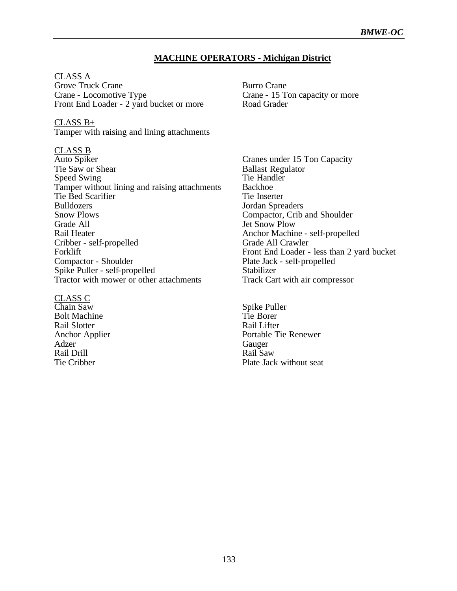#### **MACHINE OPERATORS - Michigan District**

CLASS A Grove Truck Crane<br>
Crane - Locomotive Type<br>
Crane - 15 To Front End Loader - 2 yard bucket or more

CLASS B+ Tamper with raising and lining attachments

CLASS B<br>Auto Spiker Auto Spiker Cranes under 15 Ton Capacity<br>
Tie Saw or Shear Ballast Regulator Speed Swing Tamper without lining and raising attachments Backhoe<br>Tie Bed Scarifier Fie Inserter Tie Bed Scarifier Bulldozers Jordan Spreaders<br>
Snow Plows Compactor, Crib Grade All Jet Snow Plow<br>
Rail Heater Anchor Machin Cribber - self-propelled Grade All Crawler<br>Forklift Front End Loader -Compactor - Shoulder<br>
Suite Puller - self-propelled<br>
Stabilizer<br>
Stabilizer Spike Puller - self-propelled Tractor with mower or other attachments Track Cart with air compressor

CLASS C<br>Chain Saw Bolt Machine Rail Slotter Rail Lifter

Adzer Gauger Rail Drill<br>Tie Cribber

Crane - 15 Ton capacity or more<br>Road Grader

Ballast Regulator<br>Tie Handler Compactor, Crib and Shoulder Anchor Machine - self-propelled Front End Loader - less than 2 yard bucket

Spike Puller<br>Tie Borer Anchor Applier Portable Tie Renewer Plate Jack without seat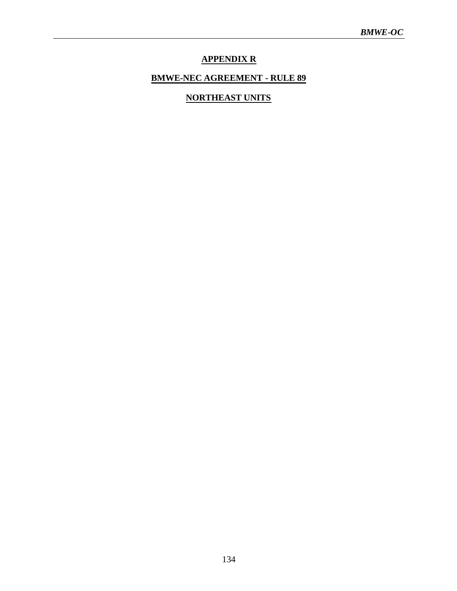# **APPENDIX R**

# **BMWE-NEC AGREEMENT - RULE 89**

# **NORTHEAST UNITS**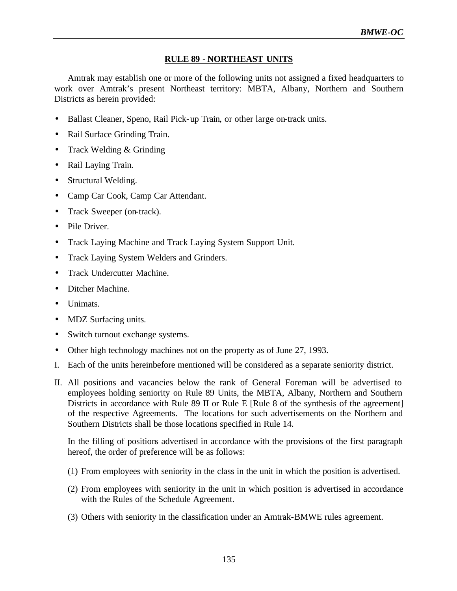#### **RULE 89 - NORTHEAST UNITS**

Amtrak may establish one or more of the following units not assigned a fixed headquarters to work over Amtrak's present Northeast territory: MBTA, Albany, Northern and Southern Districts as herein provided:

- Ballast Cleaner, Speno, Rail Pick-up Train, or other large on-track units.
- Rail Surface Grinding Train.
- Track Welding & Grinding
- Rail Laying Train.
- Structural Welding.
- Camp Car Cook, Camp Car Attendant.
- Track Sweeper (on-track).
- Pile Driver.
- Track Laying Machine and Track Laying System Support Unit.
- Track Laying System Welders and Grinders.
- Track Undercutter Machine.
- Ditcher Machine.
- Unimats.
- MDZ Surfacing units.
- Switch turnout exchange systems.
- Other high technology machines not on the property as of June 27, 1993.
- I. Each of the units hereinbefore mentioned will be considered as a separate seniority district.
- II. All positions and vacancies below the rank of General Foreman will be advertised to employees holding seniority on Rule 89 Units, the MBTA, Albany, Northern and Southern Districts in accordance with Rule 89 II or Rule E [Rule 8 of the synthesis of the agreement] of the respective Agreements. The locations for such advertisements on the Northern and Southern Districts shall be those locations specified in Rule 14.

In the filling of positions advertised in accordance with the provisions of the first paragraph hereof, the order of preference will be as follows:

- (1) From employees with seniority in the class in the unit in which the position is advertised.
- (2) From employees with seniority in the unit in which position is advertised in accordance with the Rules of the Schedule Agreement.
- (3) Others with seniority in the classification under an Amtrak-BMWE rules agreement.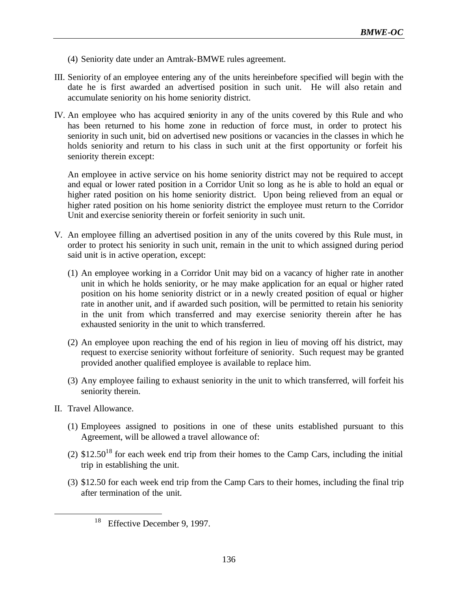- (4) Seniority date under an Amtrak-BMWE rules agreement.
- III. Seniority of an employee entering any of the units hereinbefore specified will begin with the date he is first awarded an advertised position in such unit. He will also retain and accumulate seniority on his home seniority district.
- IV. An employee who has acquired seniority in any of the units covered by this Rule and who has been returned to his home zone in reduction of force must, in order to protect his seniority in such unit, bid on advertised new positions or vacancies in the classes in which he holds seniority and return to his class in such unit at the first opportunity or forfeit his seniority therein except:

An employee in active service on his home seniority district may not be required to accept and equal or lower rated position in a Corridor Unit so long as he is able to hold an equal or higher rated position on his home seniority district. Upon being relieved from an equal or higher rated position on his home seniority district the employee must return to the Corridor Unit and exercise seniority therein or forfeit seniority in such unit.

- V. An employee filling an advertised position in any of the units covered by this Rule must, in order to protect his seniority in such unit, remain in the unit to which assigned during period said unit is in active operation, except:
	- (1) An employee working in a Corridor Unit may bid on a vacancy of higher rate in another unit in which he holds seniority, or he may make application for an equal or higher rated position on his home seniority district or in a newly created position of equal or higher rate in another unit, and if awarded such position, will be permitted to retain his seniority in the unit from which transferred and may exercise seniority therein after he has exhausted seniority in the unit to which transferred.
	- (2) An employee upon reaching the end of his region in lieu of moving off his district, may request to exercise seniority without forfeiture of seniority. Such request may be granted provided another qualified employee is available to replace him.
	- (3) Any employee failing to exhaust seniority in the unit to which transferred, will forfeit his seniority therein.
- II. Travel Allowance.

 $\overline{a}$ 

- (1) Employees assigned to positions in one of these units established pursuant to this Agreement, will be allowed a travel allowance of:
- (2)  $$12.50<sup>18</sup>$  for each week end trip from their homes to the Camp Cars, including the initial trip in establishing the unit.
- (3) \$12.50 for each week end trip from the Camp Cars to their homes, including the final trip after termination of the unit.

<sup>18</sup> Effective December 9, 1997.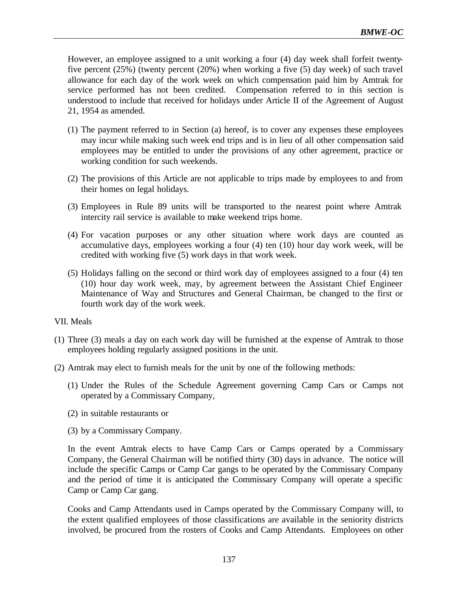However, an employee assigned to a unit working a four (4) day week shall forfeit twentyfive percent (25%) (twenty percent (20%) when working a five (5) day week) of such travel allowance for each day of the work week on which compensation paid him by Amtrak for service performed has not been credited. Compensation referred to in this section is understood to include that received for holidays under Article II of the Agreement of August 21, 1954 as amended.

- (1) The payment referred to in Section (a) hereof, is to cover any expenses these employees may incur while making such week end trips and is in lieu of all other compensation said employees may be entitled to under the provisions of any other agreement, practice or working condition for such weekends.
- (2) The provisions of this Article are not applicable to trips made by employees to and from their homes on legal holidays.
- (3) Employees in Rule 89 units will be transported to the nearest point where Amtrak intercity rail service is available to make weekend trips home.
- (4) For vacation purposes or any other situation where work days are counted as accumulative days, employees working a four (4) ten (10) hour day work week, will be credited with working five (5) work days in that work week.
- (5) Holidays falling on the second or third work day of employees assigned to a four (4) ten (10) hour day work week, may, by agreement between the Assistant Chief Engineer Maintenance of Way and Structures and General Chairman, be changed to the first or fourth work day of the work week.

#### VII. Meals

- (1) Three (3) meals a day on each work day will be furnished at the expense of Amtrak to those employees holding regularly assigned positions in the unit.
- (2) Amtrak may elect to furnish meals for the unit by one of the following methods:
	- (1) Under the Rules of the Schedule Agreement governing Camp Cars or Camps not operated by a Commissary Company,
	- (2) in suitable restaurants or
	- (3) by a Commissary Company.

In the event Amtrak elects to have Camp Cars or Camps operated by a Commissary Company, the General Chairman will be notified thirty (30) days in advance. The notice will include the specific Camps or Camp Car gangs to be operated by the Commissary Company and the period of time it is anticipated the Commissary Company will operate a specific Camp or Camp Car gang.

Cooks and Camp Attendants used in Camps operated by the Commissary Company will, to the extent qualified employees of those classifications are available in the seniority districts involved, be procured from the rosters of Cooks and Camp Attendants. Employees on other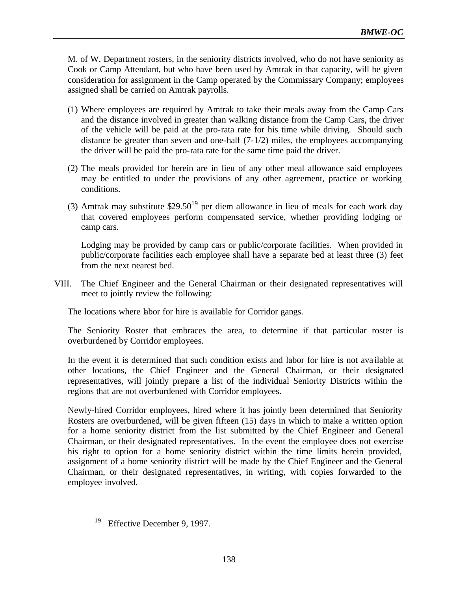M. of W. Department rosters, in the seniority districts involved, who do not have seniority as Cook or Camp Attendant, but who have been used by Amtrak in that capacity, will be given consideration for assignment in the Camp operated by the Commissary Company; employees assigned shall be carried on Amtrak payrolls.

- (1) Where employees are required by Amtrak to take their meals away from the Camp Cars and the distance involved in greater than walking distance from the Camp Cars, the driver of the vehicle will be paid at the pro-rata rate for his time while driving. Should such distance be greater than seven and one-half (7-1/2) miles, the employees accompanying the driver will be paid the pro-rata rate for the same time paid the driver.
- (2) The meals provided for herein are in lieu of any other meal allowance said employees may be entitled to under the provisions of any other agreement, practice or working conditions.
- (3) Amtrak may substitute  $$29.50^{19}$  per diem allowance in lieu of meals for each work day that covered employees perform compensated service, whether providing lodging or camp cars.

Lodging may be provided by camp cars or public/corporate facilities. When provided in public/corporate facilities each employee shall have a separate bed at least three (3) feet from the next nearest bed.

VIII. The Chief Engineer and the General Chairman or their designated representatives will meet to jointly review the following:

The locations where labor for hire is available for Corridor gangs.

The Seniority Roster that embraces the area, to determine if that particular roster is overburdened by Corridor employees.

In the event it is determined that such condition exists and labor for hire is not ava ilable at other locations, the Chief Engineer and the General Chairman, or their designated representatives, will jointly prepare a list of the individual Seniority Districts within the regions that are not overburdened with Corridor employees.

Newly-hired Corridor employees, hired where it has jointly been determined that Seniority Rosters are overburdened, will be given fifteen (15) days in which to make a written option for a home seniority district from the list submitted by the Chief Engineer and General Chairman, or their designated representatives. In the event the employee does not exercise his right to option for a home seniority district within the time limits herein provided, assignment of a home seniority district will be made by the Chief Engineer and the General Chairman, or their designated representatives, in writing, with copies forwarded to the employee involved.

 $\overline{a}$ 

<sup>&</sup>lt;sup>19</sup> Effective December 9, 1997.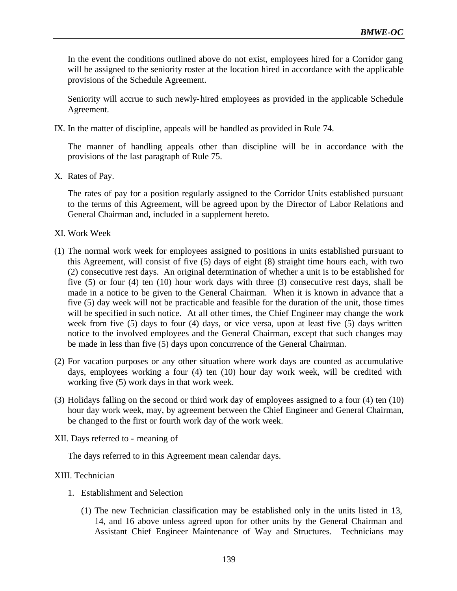In the event the conditions outlined above do not exist, employees hired for a Corridor gang will be assigned to the seniority roster at the location hired in accordance with the applicable provisions of the Schedule Agreement.

Seniority will accrue to such newly-hired employees as provided in the applicable Schedule Agreement.

IX. In the matter of discipline, appeals will be handled as provided in Rule 74.

The manner of handling appeals other than discipline will be in accordance with the provisions of the last paragraph of Rule 75.

X. Rates of Pay.

The rates of pay for a position regularly assigned to the Corridor Units established pursuant to the terms of this Agreement, will be agreed upon by the Director of Labor Relations and General Chairman and, included in a supplement hereto.

- XI. Work Week
- (1) The normal work week for employees assigned to positions in units established pursuant to this Agreement, will consist of five (5) days of eight (8) straight time hours each, with two (2) consecutive rest days. An original determination of whether a unit is to be established for five (5) or four (4) ten (10) hour work days with three (3) consecutive rest days, shall be made in a notice to be given to the General Chairman. When it is known in advance that a five (5) day week will not be practicable and feasible for the duration of the unit, those times will be specified in such notice. At all other times, the Chief Engineer may change the work week from five (5) days to four (4) days, or vice versa, upon at least five (5) days written notice to the involved employees and the General Chairman, except that such changes may be made in less than five (5) days upon concurrence of the General Chairman.
- (2) For vacation purposes or any other situation where work days are counted as accumulative days, employees working a four (4) ten (10) hour day work week, will be credited with working five (5) work days in that work week.
- (3) Holidays falling on the second or third work day of employees assigned to a four (4) ten (10) hour day work week, may, by agreement between the Chief Engineer and General Chairman, be changed to the first or fourth work day of the work week.

XII. Days referred to - meaning of

The days referred to in this Agreement mean calendar days.

#### XIII. Technician

- 1. Establishment and Selection
	- (1) The new Technician classification may be established only in the units listed in 13, 14, and 16 above unless agreed upon for other units by the General Chairman and Assistant Chief Engineer Maintenance of Way and Structures. Technicians may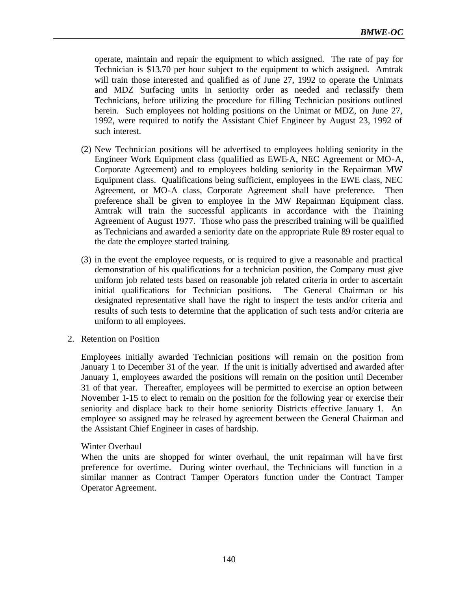operate, maintain and repair the equipment to which assigned. The rate of pay for Technician is \$13.70 per hour subject to the equipment to which assigned. Amtrak will train those interested and qualified as of June 27, 1992 to operate the Unimats and MDZ Surfacing units in seniority order as needed and reclassify them Technicians, before utilizing the procedure for filling Technician positions outlined herein. Such employees not holding positions on the Unimat or MDZ, on June 27, 1992, were required to notify the Assistant Chief Engineer by August 23, 1992 of such interest.

- (2) New Technician positions will be advertised to employees holding seniority in the Engineer Work Equipment class (qualified as EWE-A, NEC Agreement or MO-A, Corporate Agreement) and to employees holding seniority in the Repairman MW Equipment class. Qualifications being sufficient, employees in the EWE class, NEC Agreement, or MO-A class, Corporate Agreement shall have preference. Then preference shall be given to employee in the MW Repairman Equipment class. Amtrak will train the successful applicants in accordance with the Training Agreement of August 1977. Those who pass the prescribed training will be qualified as Technicians and awarded a seniority date on the appropriate Rule 89 roster equal to the date the employee started training.
- (3) in the event the employee requests, or is required to give a reasonable and practical demonstration of his qualifications for a technician position, the Company must give uniform job related tests based on reasonable job related criteria in order to ascertain initial qualifications for Technician positions. The General Chairman or his designated representative shall have the right to inspect the tests and/or criteria and results of such tests to determine that the application of such tests and/or criteria are uniform to all employees.
- 2. Retention on Position

Employees initially awarded Technician positions will remain on the position from January 1 to December 31 of the year. If the unit is initially advertised and awarded after January 1, employees awarded the positions will remain on the position until December 31 of that year. Thereafter, employees will be permitted to exercise an option between November 1-15 to elect to remain on the position for the following year or exercise their seniority and displace back to their home seniority Districts effective January 1. An employee so assigned may be released by agreement between the General Chairman and the Assistant Chief Engineer in cases of hardship.

#### Winter Overhaul

When the units are shopped for winter overhaul, the unit repairman will have first preference for overtime. During winter overhaul, the Technicians will function in a similar manner as Contract Tamper Operators function under the Contract Tamper Operator Agreement.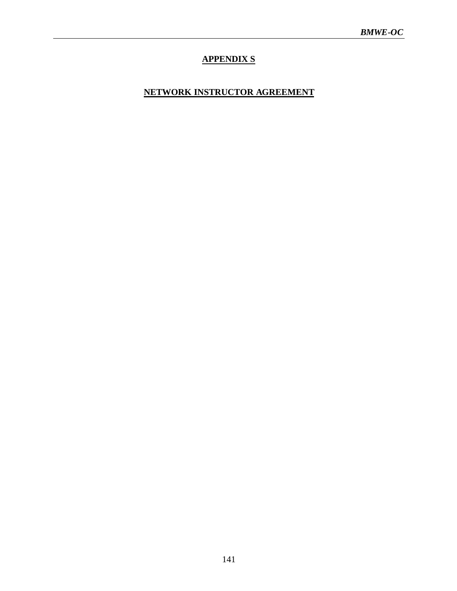# **APPENDIX S**

# **NETWORK INSTRUCTOR AGREEMENT**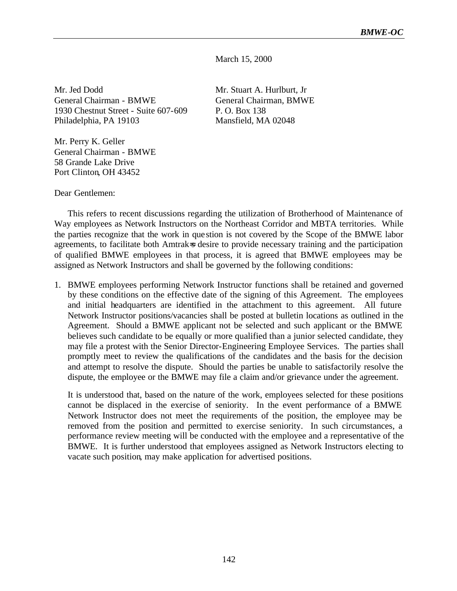March 15, 2000

Mr. Jed Dodd Mr. Stuart A. Hurlburt, Jr General Chairman - BMWE General Chairman, BMWE 1930 Chestnut Street - Suite 607-609 P. O. Box 138 Philadelphia, PA 19103 Mansfield, MA 02048

Mr. Perry K. Geller General Chairman - BMWE 58 Grande Lake Drive Port Clinton, OH 43452

Dear Gentlemen:

This refers to recent discussions regarding the utilization of Brotherhood of Maintenance of Way employees as Network Instructors on the Northeast Corridor and MBTA territories. While the parties recognize that the work in que stion is not covered by the Scope of the BMWE labor agreements, to facilitate both Amtrak=s desire to provide necessary training and the participation of qualified BMWE employees in that process, it is agreed that BMWE employees may be assigned as Network Instructors and shall be governed by the following conditions:

1. BMWE employees performing Network Instructor functions shall be retained and governed by these conditions on the effective date of the signing of this Agreement. The employees and initial headquarters are identified in the attachment to this agreement. All future Network Instructor positions/vacancies shall be posted at bulletin locations as outlined in the Agreement. Should a BMWE applicant not be selected and such applicant or the BMWE believes such candidate to be equally or more qualified than a junior selected candidate, they may file a protest with the Senior Director-Engineering Employee Services. The parties shall promptly meet to review the qualifications of the candidates and the basis for the decision and attempt to resolve the dispute. Should the parties be unable to satisfactorily resolve the dispute, the employee or the BMWE may file a claim and/or grievance under the agreement.

It is understood that, based on the nature of the work, employees selected for these positions cannot be displaced in the exercise of seniority. In the event performance of a BMWE Network Instructor does not meet the requirements of the position, the employee may be removed from the position and permitted to exercise seniority. In such circumstances, a performance review meeting will be conducted with the employee and a representative of the BMWE. It is further understood that employees assigned as Network Instructors electing to vacate such position, may make application for advertised positions.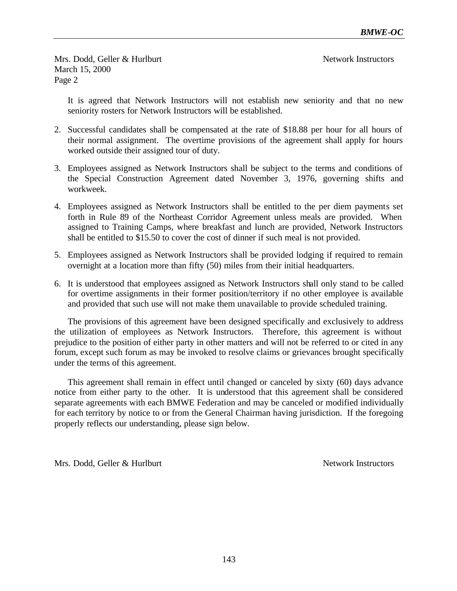Mrs. Dodd, Geller & Hurlburt Network Instructors March 15, 2000 Page 2

It is agreed that Network Instructors will not establish new seniority and that no new seniority rosters for Network Instructors will be established.

- 2. Successful candidates shall be compensated at the rate of \$18.88 per hour for all hours of their normal assignment. The overtime provisions of the agreement shall apply for hours worked outside their assigned tour of duty.
- 3. Employees assigned as Network Instructors shall be subject to the terms and conditions of the Special Construction Agreement dated November 3, 1976, governing shifts and workweek.
- 4. Employees assigned as Network Instructors shall be entitled to the per diem payments set forth in Rule 89 of the Northeast Corridor Agreement unless meals are provided. When assigned to Training Camps, where breakfast and lunch are provided, Network Instructors shall be entitled to \$15.50 to cover the cost of dinner if such meal is not provided.
- 5. Employees assigned as Network Instructors shall be provided lodging if required to remain overnight at a location more than fifty (50) miles from their initial headquarters.
- 6. It is understood that employees assigned as Network Instructors shall only stand to be called for overtime assignments in their former position/territory if no other employee is available and provided that such use will not make them unavailable to provide scheduled training.

The provisions of this agreement have been designed specifically and exclusively to address the utilization of employees as Network Instructors. Therefore, this agreement is without prejudice to the position of either party in other matters and will not be referred to or cited in any forum, except such forum as may be invoked to resolve claims or grievances brought specifically under the terms of this agreement.

This agreement shall remain in effect until changed or canceled by sixty (60) days advance notice from either party to the other. It is understood that this agreement shall be considered separate agreements with each BMWE Federation and may be canceled or modified individually for each territory by notice to or from the General Chairman having jurisdiction. If the foregoing properly reflects our understanding, please sign below.

Mrs. Dodd, Geller & Hurlburt Network Instructors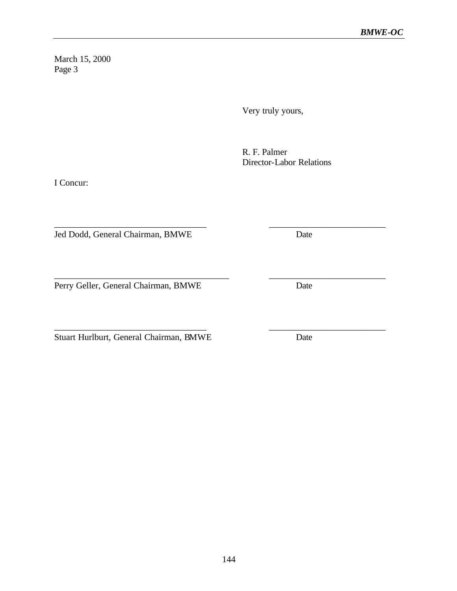March 15, 2000 Page 3

Very truly yours,

 R. F. Palmer Director-Labor Relations

I Concur:

Jed Dodd, General Chairman, BMWE Date

Perry Geller, General Chairman, BMWE Date

Stuart Hurlburt, General Chairman, BMWE Date

\_\_\_\_\_\_\_\_\_\_\_\_\_\_\_\_\_\_\_\_\_\_\_\_\_\_\_\_\_\_\_\_\_\_ \_\_\_\_\_\_\_\_\_\_\_\_\_\_\_\_\_\_\_\_\_\_\_\_\_\_

\_\_\_\_\_\_\_\_\_\_\_\_\_\_\_\_\_\_\_\_\_\_\_\_\_\_\_\_\_\_\_\_\_\_\_\_\_\_\_ \_\_\_\_\_\_\_\_\_\_\_\_\_\_\_\_\_\_\_\_\_\_\_\_\_\_

\_\_\_\_\_\_\_\_\_\_\_\_\_\_\_\_\_\_\_\_\_\_\_\_\_\_\_\_\_\_\_\_\_\_ \_\_\_\_\_\_\_\_\_\_\_\_\_\_\_\_\_\_\_\_\_\_\_\_\_\_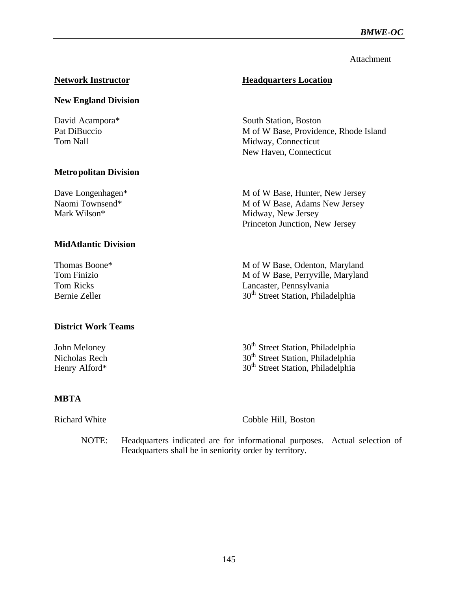## **Attachment**

# **Network Instructor Meadquarters Location**

# **New England Division**

| David Acampora* | <b>South Station, Boston</b>          |
|-----------------|---------------------------------------|
| Pat DiBuccio    | M of W Base, Providence, Rhode Island |
| Tom Nall        | Midway, Connecticut                   |
|                 | New Haven, Connecticut                |

# **Metropolitan Division**

| Dave Longenhagen* | M of W Base, Hunter, New Jersey |
|-------------------|---------------------------------|
| Naomi Townsend*   | M of W Base, Adams New Jersey   |
| Mark Wilson*      | Midway, New Jersey              |
|                   | Princeton Junction, New Jersey  |

# **MidAtlantic Division**

Thomas Boone\* M of W Base, Odenton, Maryland Tom Finizio M of W Base, Perryville, Maryland Tom Ricks<br>Bernie Zeller and The Communication Contractor Contractor Communication Contractor Contractor Communication Communication Communication Communication Communication Communication Communication Communication Commun

# **District Work Teams**

John Meloney 30<sup>th</sup> Street Station, Philadelphia Nicholas Rech 30<sup>th</sup> Street Station, Philadelphia Henry Alford\* 30<sup>th</sup> Street Station, Philadelphia

**MBTA**

Richard White Cobble Hill, Boston

30<sup>th</sup> Street Station, Philadelphia

NOTE: Headquarters indicated are for informational purposes. Actual selection of Headquarters shall be in seniority order by territory.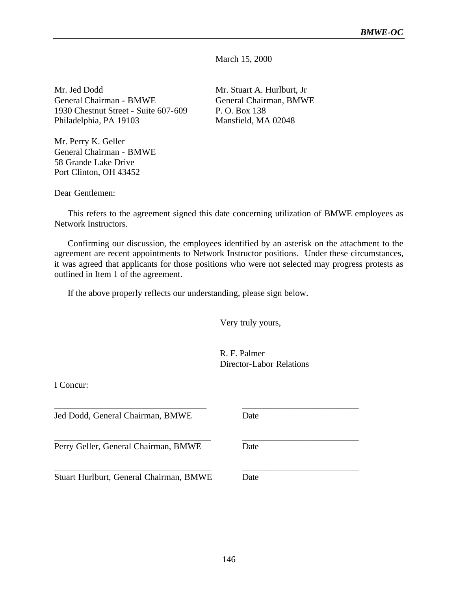March 15, 2000

Mr. Jed Dodd Mr. Stuart A. Hurlburt, Jr General Chairman - BMWE General Chairman, BMWE 1930 Chestnut Street - Suite 607-609 P. O. Box 138 Philadelphia, PA 19103 Mansfield, MA 02048

Mr. Perry K. Geller General Chairman - BMWE 58 Grande Lake Drive Port Clinton, OH 43452

Dear Gentlemen:

This refers to the agreement signed this date concerning utilization of BMWE employees as Network Instructors.

Confirming our discussion, the employees identified by an asterisk on the attachment to the agreement are recent appointments to Network Instructor positions. Under these circumstances, it was agreed that applicants for those positions who were not selected may progress protests as outlined in Item 1 of the agreement.

If the above properly reflects our understanding, please sign below.

\_\_\_\_\_\_\_\_\_\_\_\_\_\_\_\_\_\_\_\_\_\_\_\_\_\_\_\_\_\_\_\_\_\_ \_\_\_\_\_\_\_\_\_\_\_\_\_\_\_\_\_\_\_\_\_\_\_\_\_\_

\_\_\_\_\_\_\_\_\_\_\_\_\_\_\_\_\_\_\_\_\_\_\_\_\_\_\_\_\_\_\_\_\_\_\_ \_\_\_\_\_\_\_\_\_\_\_\_\_\_\_\_\_\_\_\_\_\_\_\_\_\_

\_\_\_\_\_\_\_\_\_\_\_\_\_\_\_\_\_\_\_\_\_\_\_\_\_\_\_\_\_\_\_\_\_\_\_ \_\_\_\_\_\_\_\_\_\_\_\_\_\_\_\_\_\_\_\_\_\_\_\_\_\_

Very truly yours,

 R. F. Palmer Director-Labor Relations

I Concur:

Jed Dodd, General Chairman, BMWE Date

Perry Geller, General Chairman, BMWE Date

Stuart Hurlburt, General Chairman, BMWE Date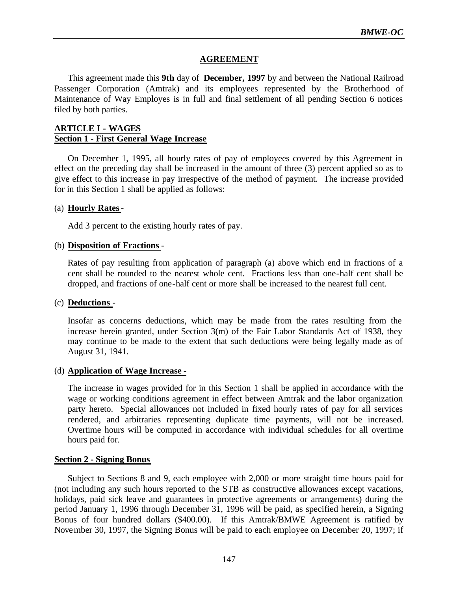## **AGREEMENT**

This agreement made this **9th** day of **December, 1997** by and between the National Railroad Passenger Corporation (Amtrak) and its employees represented by the Brotherhood of Maintenance of Way Employes is in full and final settlement of all pending Section 6 notices filed by both parties.

## **ARTICLE I - WAGES Section 1 - First General Wage Increase**

On December 1, 1995, all hourly rates of pay of employees covered by this Agreement in effect on the preceding day shall be increased in the amount of three (3) percent applied so as to give effect to this increase in pay irrespective of the method of payment. The increase provided for in this Section 1 shall be applied as follows:

## (a) **Hourly Rates** -

Add 3 percent to the existing hourly rates of pay.

## (b) **Disposition of Fractions** -

Rates of pay resulting from application of paragraph (a) above which end in fractions of a cent shall be rounded to the nearest whole cent. Fractions less than one-half cent shall be dropped, and fractions of one-half cent or more shall be increased to the nearest full cent.

#### (c) **Deductions** -

Insofar as concerns deductions, which may be made from the rates resulting from the increase herein granted, under Section 3(m) of the Fair Labor Standards Act of 1938, they may continue to be made to the extent that such deductions were being legally made as of August 31, 1941.

## (d) **Application of Wage Increase -**

The increase in wages provided for in this Section 1 shall be applied in accordance with the wage or working conditions agreement in effect between Amtrak and the labor organization party hereto. Special allowances not included in fixed hourly rates of pay for all services rendered, and arbitraries representing duplicate time payments, will not be increased. Overtime hours will be computed in accordance with individual schedules for all overtime hours paid for.

## **Section 2 - Signing Bonus**

Subject to Sections 8 and 9, each employee with 2,000 or more straight time hours paid for (not including any such hours reported to the STB as constructive allowances except vacations, holidays, paid sick leave and guarantees in protective agreements or arrangements) during the period January 1, 1996 through December 31, 1996 will be paid, as specified herein, a Signing Bonus of four hundred dollars (\$400.00). If this Amtrak/BMWE Agreement is ratified by November 30, 1997, the Signing Bonus will be paid to each employee on December 20, 1997; if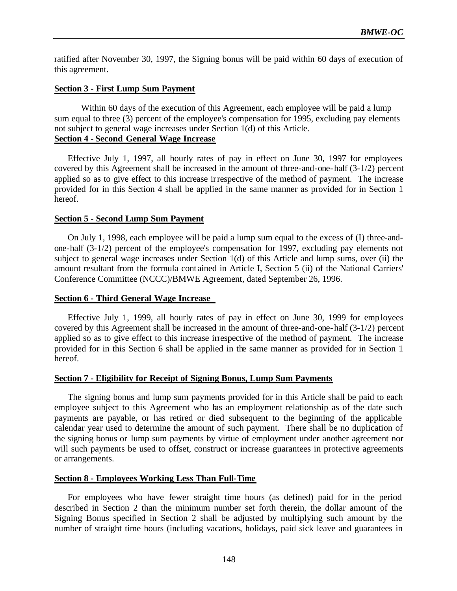ratified after November 30, 1997, the Signing bonus will be paid within 60 days of execution of this agreement.

#### **Section 3 - First Lump Sum Payment**

Within 60 days of the execution of this Agreement, each employee will be paid a lump sum equal to three (3) percent of the employee's compensation for 1995, excluding pay elements not subject to general wage increases under Section 1(d) of this Article. **Section 4 - Second General Wage Increase**

Effective July 1, 1997, all hourly rates of pay in effect on June 30, 1997 for employees covered by this Agreement shall be increased in the amount of three-and-one-half (3-1/2) percent applied so as to give effect to this increase irrespective of the method of payment. The increase provided for in this Section 4 shall be applied in the same manner as provided for in Section 1 hereof.

#### **Section 5 - Second Lump Sum Payment**

On July 1, 1998, each employee will be paid a lump sum equal to the excess of (I) three-andone-half (3-1/2) percent of the employee's compensation for 1997, excluding pay elements not subject to general wage increases under Section 1(d) of this Article and lump sums, over (ii) the amount resultant from the formula cont ained in Article I, Section 5 (ii) of the National Carriers' Conference Committee (NCCC)/BMWE Agreement, dated September 26, 1996.

#### **Section 6 - Third General Wage Increase**

Effective July 1, 1999, all hourly rates of pay in effect on June 30, 1999 for employees covered by this Agreement shall be increased in the amount of three-and-one-half (3-1/2) percent applied so as to give effect to this increase irrespective of the method of payment. The increase provided for in this Section 6 shall be applied in the same manner as provided for in Section 1 hereof.

## **Section 7 - Eligibility for Receipt of Signing Bonus, Lump Sum Payments**

The signing bonus and lump sum payments provided for in this Article shall be paid to each employee subject to this Agreement who has an employment relationship as of the date such payments are payable, or has retired or died subsequent to the beginning of the applicable calendar year used to determine the amount of such payment. There shall be no duplication of the signing bonus or lump sum payments by virtue of employment under another agreement nor will such payments be used to offset, construct or increase guarantees in protective agreements or arrangements.

## **Section 8 - Employees Working Less Than Full-Time**

For employees who have fewer straight time hours (as defined) paid for in the period described in Section 2 than the minimum number set forth therein, the dollar amount of the Signing Bonus specified in Section 2 shall be adjusted by multiplying such amount by the number of straight time hours (including vacations, holidays, paid sick leave and guarantees in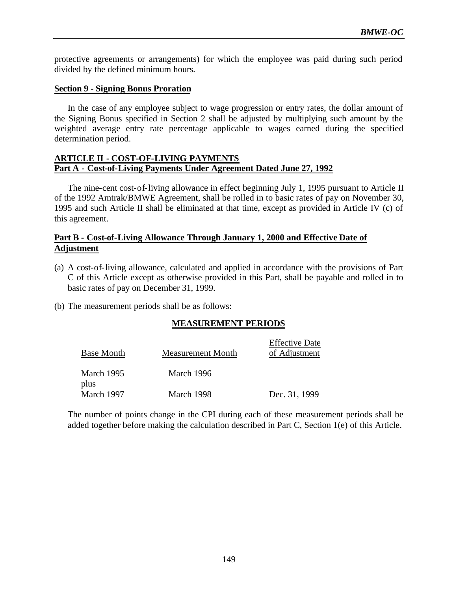protective agreements or arrangements) for which the employee was paid during such period divided by the defined minimum hours.

#### **Section 9 - Signing Bonus Proration**

In the case of any employee subject to wage progression or entry rates, the dollar amount of the Signing Bonus specified in Section 2 shall be adjusted by multiplying such amount by the weighted average entry rate percentage applicable to wages earned during the specified determination period.

## **ARTICLE II - COST-OF-LIVING PAYMENTS Part A - Cost-of-Living Payments Under Agreement Dated June 27, 1992**

The nine-cent cost-of-living allowance in effect beginning July 1, 1995 pursuant to Article II of the 1992 Amtrak/BMWE Agreement, shall be rolled in to basic rates of pay on November 30, 1995 and such Article II shall be eliminated at that time, except as provided in Article IV (c) of this agreement.

# **Part B - Cost-of-Living Allowance Through January 1, 2000 and Effective Date of Adjustment**

- (a) A cost-of-living allowance, calculated and applied in accordance with the provisions of Part C of this Article except as otherwise provided in this Part, shall be payable and rolled in to basic rates of pay on December 31, 1999.
- (b) The measurement periods shall be as follows:

## **MEASUREMENT PERIODS**

| <b>Base Month</b>  | Measurement Month | <b>Effective Date</b><br>of Adjustment |
|--------------------|-------------------|----------------------------------------|
| March 1995<br>plus | March 1996        |                                        |
| March 1997         | March 1998        | Dec. 31, 1999                          |

The number of points change in the CPI during each of these measurement periods shall be added together before making the calculation described in Part C, Section 1(e) of this Article.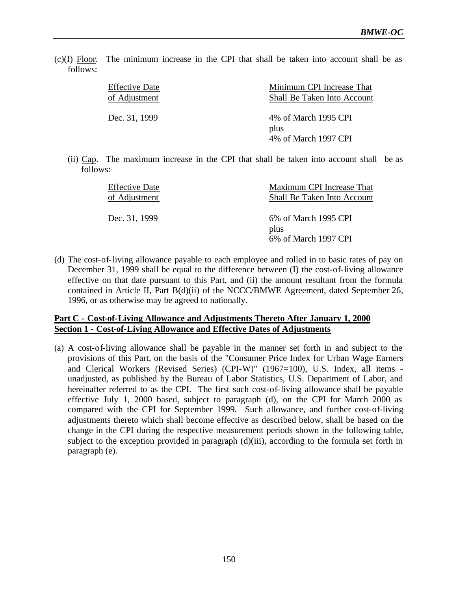(c)(I) Floor. The minimum increase in the CPI that shall be taken into account shall be as follows:

| <b>Effective Date</b> | Minimum CPI Increase That                             |
|-----------------------|-------------------------------------------------------|
| of Adjustment         | Shall Be Taken Into Account                           |
| Dec. 31, 1999         | 4\% of March 1995 CPI<br>plus<br>4% of March 1997 CPI |

(ii) Cap. The maximum increase in the CPI that shall be taken into account shall be as follows:

| <b>Effective Date</b> | Maximum CPI Increase That    |
|-----------------------|------------------------------|
| of Adjustment         | Shall Be Taken Into Account  |
| Dec. 31, 1999         | 6% of March 1995 CPI<br>plus |
|                       | 6% of March 1997 CPI         |

(d) The cost-of-living allowance payable to each employee and rolled in to basic rates of pay on December 31, 1999 shall be equal to the difference between (I) the cost-of-living allowance effective on that date pursuant to this Part, and (ii) the amount resultant from the formula contained in Article II, Part B(d)(ii) of the NCCC/BMWE Agreement, dated September 26, 1996, or as otherwise may be agreed to nationally.

## **Part C - Cost-of-Living Allowance and Adjustments Thereto After January 1, 2000 Section 1 - Cost-of-Living Allowance and Effective Dates of Adjustments**

(a) A cost-of-living allowance shall be payable in the manner set forth in and subject to the provisions of this Part, on the basis of the "Consumer Price Index for Urban Wage Earners and Clerical Workers (Revised Series) (CPI-W)" (1967=100), U.S. Index, all items unadjusted, as published by the Bureau of Labor Statistics, U.S. Department of Labor, and hereinafter referred to as the CPI. The first such cost-of-living allowance shall be payable effective July 1, 2000 based, subject to paragraph (d), on the CPI for March 2000 as compared with the CPI for September 1999. Such allowance, and further cost-of-living adjustments thereto which shall become effective as described below, shall be based on the change in the CPI during the respective measurement periods shown in the following table, subject to the exception provided in paragraph (d)(iii), according to the formula set forth in paragraph (e).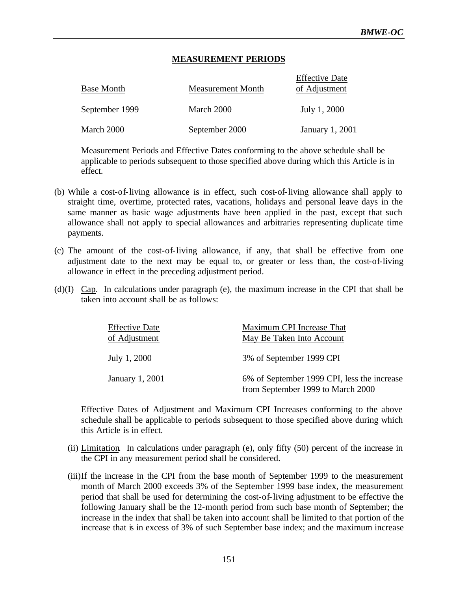## **MEASUREMENT PERIODS**

| <b>Base Month</b> | <b>Measurement Month</b> | <b>Effective Date</b><br>of Adjustment |
|-------------------|--------------------------|----------------------------------------|
| September 1999    | March 2000               | July 1, 2000                           |
| March 2000        | September 2000           | January 1, 2001                        |

Measurement Periods and Effective Dates conforming to the above schedule shall be applicable to periods subsequent to those specified above during which this Article is in effect.

- (b) While a cost-of-living allowance is in effect, such cost-of-living allowance shall apply to straight time, overtime, protected rates, vacations, holidays and personal leave days in the same manner as basic wage adjustments have been applied in the past, except that such allowance shall not apply to special allowances and arbitraries representing duplicate time payments.
- (c) The amount of the cost-of-living allowance, if any, that shall be effective from one adjustment date to the next may be equal to, or greater or less than, the cost-of-living allowance in effect in the preceding adjustment period.
- (d)(I) Cap. In calculations under paragraph (e), the maximum increase in the CPI that shall be taken into account shall be as follows:

| <b>Effective Date</b> | Maximum CPI Increase That                   |
|-----------------------|---------------------------------------------|
| of Adjustment         | May Be Taken Into Account                   |
|                       |                                             |
| July 1, 2000          | 3% of September 1999 CPI                    |
|                       |                                             |
| January 1, 2001       | 6% of September 1999 CPI, less the increase |
|                       | from September 1999 to March 2000           |

Effective Dates of Adjustment and Maximum CPI Increases conforming to the above schedule shall be applicable to periods subsequent to those specified above during which this Article is in effect.

- (ii) Limitation. In calculations under paragraph (e), only fifty (50) percent of the increase in the CPI in any measurement period shall be considered.
- (iii)If the increase in the CPI from the base month of September 1999 to the measurement month of March 2000 exceeds 3% of the September 1999 base index, the measurement period that shall be used for determining the cost-of-living adjustment to be effective the following January shall be the 12-month period from such base month of September; the increase in the index that shall be taken into account shall be limited to that portion of the increase that is in excess of 3% of such September base index; and the maximum increase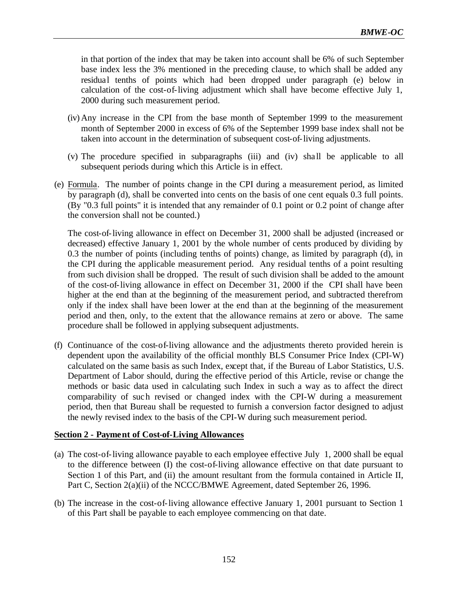in that portion of the index that may be taken into account shall be 6% of such September base index less the 3% mentioned in the preceding clause, to which shall be added any residual tenths of points which had been dropped under paragraph (e) below in calculation of the cost-of-living adjustment which shall have become effective July 1, 2000 during such measurement period.

- (iv) Any increase in the CPI from the base month of September 1999 to the measurement month of September 2000 in excess of 6% of the September 1999 base index shall not be taken into account in the determination of subsequent cost-of-living adjustments.
- (v) The procedure specified in subparagraphs (iii) and (iv) sha ll be applicable to all subsequent periods during which this Article is in effect.
- (e) Formula. The number of points change in the CPI during a measurement period, as limited by paragraph (d), shall be converted into cents on the basis of one cent equals 0.3 full points. (By "0.3 full points" it is intended that any remainder of 0.1 point or 0.2 point of change after the conversion shall not be counted.)

The cost-of-living allowance in effect on December 31, 2000 shall be adjusted (increased or decreased) effective January 1, 2001 by the whole number of cents produced by dividing by 0.3 the number of points (including tenths of points) change, as limited by paragraph (d), in the CPI during the applicable measurement period. Any residual tenths of a point resulting from such division shall be dropped. The result of such division shall be added to the amount of the cost-of-living allowance in effect on December 31, 2000 if the CPI shall have been higher at the end than at the beginning of the measurement period, and subtracted therefrom only if the index shall have been lower at the end than at the beginning of the measurement period and then, only, to the extent that the allowance remains at zero or above. The same procedure shall be followed in applying subsequent adjustments.

(f) Continuance of the cost-of-living allowance and the adjustments thereto provided herein is dependent upon the availability of the official monthly BLS Consumer Price Index (CPI-W) calculated on the same basis as such Index, except that, if the Bureau of Labor Statistics, U.S. Department of Labor should, during the effective period of this Article, revise or change the methods or basic data used in calculating such Index in such a way as to affect the direct comparability of such revised or changed index with the CPI-W during a measurement period, then that Bureau shall be requested to furnish a conversion factor designed to adjust the newly revised index to the basis of the CPI-W during such measurement period.

## **Section 2 - Payment of Cost-of-Living Allowances**

- (a) The cost-of-living allowance payable to each employee effective July 1, 2000 shall be equal to the difference between (I) the cost-of-living allowance effective on that date pursuant to Section 1 of this Part, and (ii) the amount resultant from the formula contained in Article II, Part C, Section 2(a)(ii) of the NCCC/BMWE Agreement, dated September 26, 1996.
- (b) The increase in the cost-of-living allowance effective January 1, 2001 pursuant to Section 1 of this Part shall be payable to each employee commencing on that date.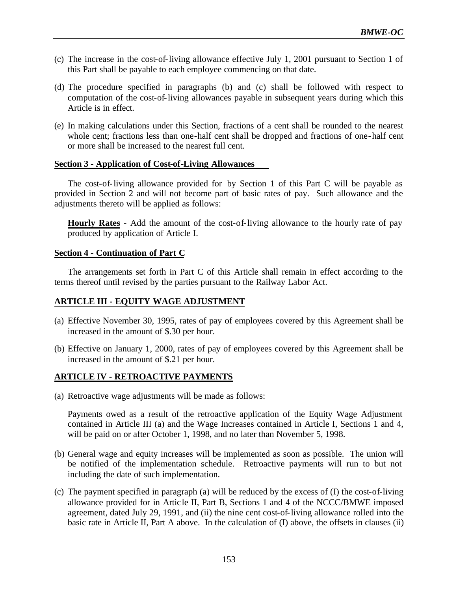- (c) The increase in the cost-of-living allowance effective July 1, 2001 pursuant to Section 1 of this Part shall be payable to each employee commencing on that date.
- (d) The procedure specified in paragraphs (b) and (c) shall be followed with respect to computation of the cost-of-living allowances payable in subsequent years during which this Article is in effect.
- (e) In making calculations under this Section, fractions of a cent shall be rounded to the nearest whole cent; fractions less than one-half cent shall be dropped and fractions of one-half cent or more shall be increased to the nearest full cent.

#### **Section 3 - Application of Cost-of-Living Allowances**

The cost-of-living allowance provided for by Section 1 of this Part C will be payable as provided in Section 2 and will not become part of basic rates of pay. Such allowance and the adjustments thereto will be applied as follows:

**Hourly Rates** - Add the amount of the cost-of-living allowance to the hourly rate of pay produced by application of Article I.

#### **Section 4 - Continuation of Part C**

The arrangements set forth in Part C of this Article shall remain in effect according to the terms thereof until revised by the parties pursuant to the Railway Labor Act.

#### **ARTICLE III - EQUITY WAGE ADJUSTMENT**

- (a) Effective November 30, 1995, rates of pay of employees covered by this Agreement shall be increased in the amount of \$.30 per hour.
- (b) Effective on January 1, 2000, rates of pay of employees covered by this Agreement shall be increased in the amount of \$.21 per hour.

#### **ARTICLE IV - RETROACTIVE PAYMENTS**

(a) Retroactive wage adjustments will be made as follows:

Payments owed as a result of the retroactive application of the Equity Wage Adjustment contained in Article III (a) and the Wage Increases contained in Article I, Sections 1 and 4, will be paid on or after October 1, 1998, and no later than November 5, 1998.

- (b) General wage and equity increases will be implemented as soon as possible. The union will be notified of the implementation schedule. Retroactive payments will run to but not including the date of such implementation.
- (c) The payment specified in paragraph (a) will be reduced by the excess of (I) the cost-of-living allowance provided for in Artic le II, Part B, Sections 1 and 4 of the NCCC/BMWE imposed agreement, dated July 29, 1991, and (ii) the nine cent cost-of-living allowance rolled into the basic rate in Article II, Part A above. In the calculation of (I) above, the offsets in clauses (ii)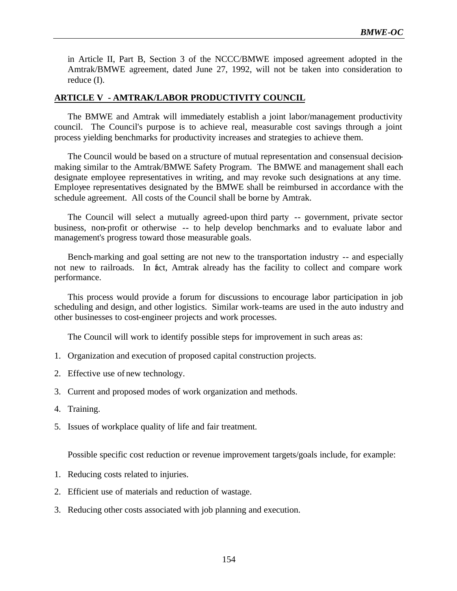in Article II, Part B, Section 3 of the NCCC/BMWE imposed agreement adopted in the Amtrak/BMWE agreement, dated June 27, 1992, will not be taken into consideration to reduce (I).

#### **ARTICLE V - AMTRAK/LABOR PRODUCTIVITY COUNCIL**

The BMWE and Amtrak will immediately establish a joint labor/management productivity council. The Council's purpose is to achieve real, measurable cost savings through a joint process yielding benchmarks for productivity increases and strategies to achieve them.

The Council would be based on a structure of mutual representation and consensual decisionmaking similar to the Amtrak/BMWE Safety Program. The BMWE and management shall each designate employee representatives in writing, and may revoke such designations at any time. Employee representatives designated by the BMWE shall be reimbursed in accordance with the schedule agreement. All costs of the Council shall be borne by Amtrak.

The Council will select a mutually agreed-upon third party -- government, private sector business, non-profit or otherwise -- to help develop benchmarks and to evaluate labor and management's progress toward those measurable goals.

Bench-marking and goal setting are not new to the transportation industry -- and especially not new to railroads. In fact, Amtrak already has the facility to collect and compare work performance.

This process would provide a forum for discussions to encourage labor participation in job scheduling and design, and other logistics. Similar work-teams are used in the auto industry and other businesses to cost-engineer projects and work processes.

The Council will work to identify possible steps for improvement in such areas as:

- 1. Organization and execution of proposed capital construction projects.
- 2. Effective use of new technology.
- 3. Current and proposed modes of work organization and methods.
- 4. Training.
- 5. Issues of workplace quality of life and fair treatment.

Possible specific cost reduction or revenue improvement targets/goals include, for example:

- 1. Reducing costs related to injuries.
- 2. Efficient use of materials and reduction of wastage.
- 3. Reducing other costs associated with job planning and execution.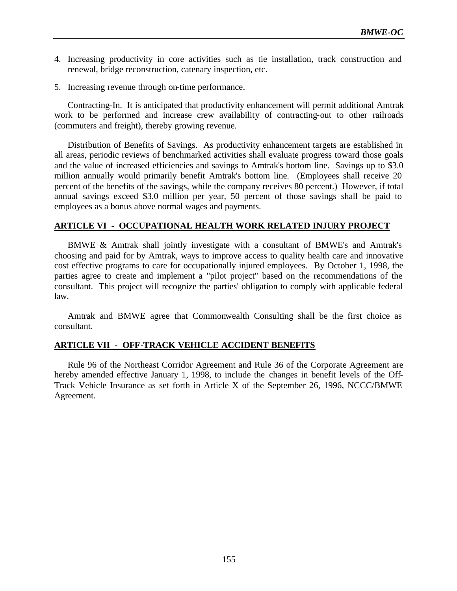- 4. Increasing productivity in core activities such as tie installation, track construction and renewal, bridge reconstruction, catenary inspection, etc.
- 5. Increasing revenue through on-time performance.

Contracting-In. It is anticipated that productivity enhancement will permit additional Amtrak work to be performed and increase crew availability of contracting-out to other railroads (commuters and freight), thereby growing revenue.

Distribution of Benefits of Savings. As productivity enhancement targets are established in all areas, periodic reviews of benchmarked activities shall evaluate progress toward those goals and the value of increased efficiencies and savings to Amtrak's bottom line. Savings up to \$3.0 million annually would primarily benefit Amtrak's bottom line. (Employees shall receive 20 percent of the benefits of the savings, while the company receives 80 percent.) However, if total annual savings exceed \$3.0 million per year, 50 percent of those savings shall be paid to employees as a bonus above normal wages and payments.

#### **ARTICLE VI - OCCUPATIONAL HEALTH WORK RELATED INJURY PROJECT**

BMWE & Amtrak shall jointly investigate with a consultant of BMWE's and Amtrak's choosing and paid for by Amtrak, ways to improve access to quality health care and innovative cost effective programs to care for occupationally injured employees. By October 1, 1998, the parties agree to create and implement a "pilot project" based on the recommendations of the consultant. This project will recognize the parties' obligation to comply with applicable federal law.

Amtrak and BMWE agree that Commonwealth Consulting shall be the first choice as consultant.

#### **ARTICLE VII - OFF-TRACK VEHICLE ACCIDENT BENEFITS**

Rule 96 of the Northeast Corridor Agreement and Rule 36 of the Corporate Agreement are hereby amended effective January 1, 1998, to include the changes in benefit levels of the Off-Track Vehicle Insurance as set forth in Article X of the September 26, 1996, NCCC/BMWE Agreement.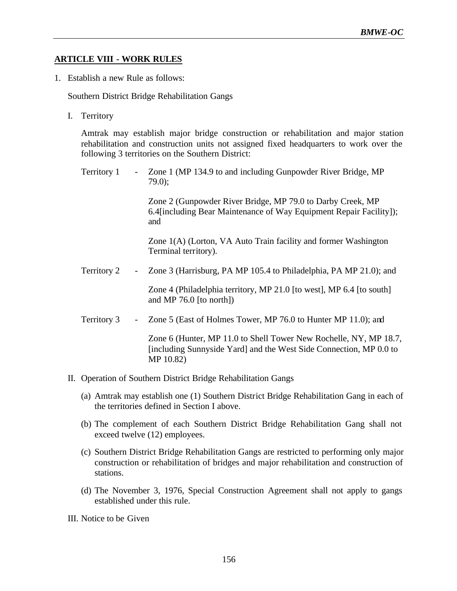# **ARTICLE VIII - WORK RULES**

1. Establish a new Rule as follows:

Southern District Bridge Rehabilitation Gangs

I. Territory

Amtrak may establish major bridge construction or rehabilitation and major station rehabilitation and construction units not assigned fixed headquarters to work over the following 3 territories on the Southern District:

Territory 1 - Zone 1 (MP 134.9 to and including Gunpowder River Bridge, MP 79.0);

> Zone 2 (Gunpowder River Bridge, MP 79.0 to Darby Creek, MP 6.4[including Bear Maintenance of Way Equipment Repair Facility]); and

Zone 1(A) (Lorton, VA Auto Train facility and former Washington Terminal territory).

Territory 2 - Zone 3 (Harrisburg, PA MP 105.4 to Philadelphia, PA MP 21.0); and

Zone 4 (Philadelphia territory, MP 21.0 [to west], MP 6.4 [to south] and MP 76.0 [to north])

Territory 3 - Zone 5 (East of Holmes Tower, MP 76.0 to Hunter MP 11.0); and

Zone 6 (Hunter, MP 11.0 to Shell Tower New Rochelle, NY, MP 18.7, [including Sunnyside Yard] and the West Side Connection, MP 0.0 to MP 10.82)

- II. Operation of Southern District Bridge Rehabilitation Gangs
	- (a) Amtrak may establish one (1) Southern District Bridge Rehabilitation Gang in each of the territories defined in Section I above.
	- (b) The complement of each Southern District Bridge Rehabilitation Gang shall not exceed twelve (12) employees.
	- (c) Southern District Bridge Rehabilitation Gangs are restricted to performing only major construction or rehabilitation of bridges and major rehabilitation and construction of stations.
	- (d) The November 3, 1976, Special Construction Agreement shall not apply to gangs established under this rule.

III. Notice to be Given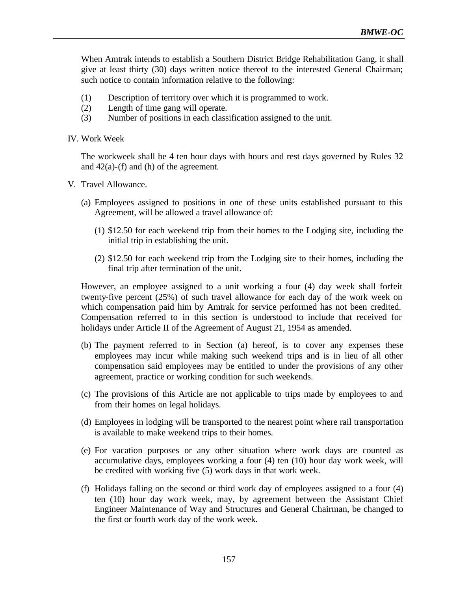When Amtrak intends to establish a Southern District Bridge Rehabilitation Gang, it shall give at least thirty (30) days written notice thereof to the interested General Chairman; such notice to contain information relative to the following:

- (1) Description of territory over which it is programmed to work.
- (2) Length of time gang will operate.
- (3) Number of positions in each classification assigned to the unit.

#### IV. Work Week

The workweek shall be 4 ten hour days with hours and rest days governed by Rules 32 and  $42(a)$ -(f) and (h) of the agreement.

- V. Travel Allowance.
	- (a) Employees assigned to positions in one of these units established pursuant to this Agreement, will be allowed a travel allowance of:
		- (1) \$12.50 for each weekend trip from their homes to the Lodging site, including the initial trip in establishing the unit.
		- (2) \$12.50 for each weekend trip from the Lodging site to their homes, including the final trip after termination of the unit.

However, an employee assigned to a unit working a four (4) day week shall forfeit twenty-five percent (25%) of such travel allowance for each day of the work week on which compensation paid him by Amtrak for service performed has not been credited. Compensation referred to in this section is understood to include that received for holidays under Article II of the Agreement of August 21, 1954 as amended.

- (b) The payment referred to in Section (a) hereof, is to cover any expenses these employees may incur while making such weekend trips and is in lieu of all other compensation said employees may be entitled to under the provisions of any other agreement, practice or working condition for such weekends.
- (c) The provisions of this Article are not applicable to trips made by employees to and from their homes on legal holidays.
- (d) Employees in lodging will be transported to the nearest point where rail transportation is available to make weekend trips to their homes.
- (e) For vacation purposes or any other situation where work days are counted as accumulative days, employees working a four (4) ten (10) hour day work week, will be credited with working five (5) work days in that work week.
- (f) Holidays falling on the second or third work day of employees assigned to a four (4) ten (10) hour day work week, may, by agreement between the Assistant Chief Engineer Maintenance of Way and Structures and General Chairman, be changed to the first or fourth work day of the work week.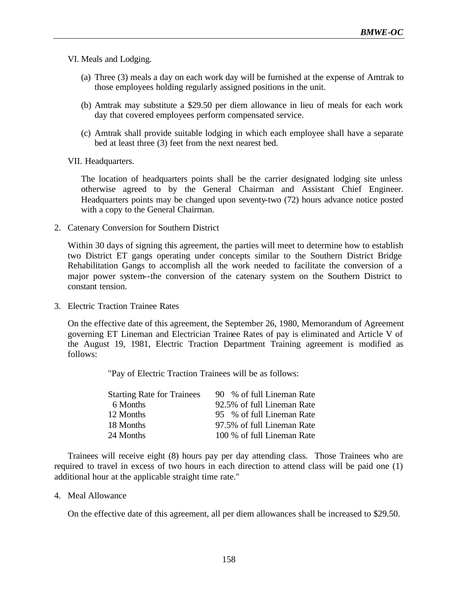VI. Meals and Lodging.

- (a) Three (3) meals a day on each work day will be furnished at the expense of Amtrak to those employees holding regularly assigned positions in the unit.
- (b) Amtrak may substitute a \$29.50 per diem allowance in lieu of meals for each work day that covered employees perform compensated service.
- (c) Amtrak shall provide suitable lodging in which each employee shall have a separate bed at least three (3) feet from the next nearest bed.

VII. Headquarters.

The location of headquarters points shall be the carrier designated lodging site unless otherwise agreed to by the General Chairman and Assistant Chief Engineer. Headquarters points may be changed upon seventy-two (72) hours advance notice posted with a copy to the General Chairman.

2. Catenary Conversion for Southern District

Within 30 days of signing this agreement, the parties will meet to determine how to establish two District ET gangs operating under concepts similar to the Southern District Bridge Rehabilitation Gangs to accomplish all the work needed to facilitate the conversion of a major power system--the conversion of the catenary system on the Southern District to constant tension.

3. Electric Traction Trainee Rates

On the effective date of this agreement, the September 26, 1980, Memorandum of Agreement governing ET Lineman and Electrician Trainee Rates of pay is eliminated and Article V of the August 19, 1981, Electric Traction Department Training agreement is modified as follows:

"Pay of Electric Traction Trainees will be as follows:

| <b>Starting Rate for Trainees</b> | 90 % of full Lineman Rate  |
|-----------------------------------|----------------------------|
| 6 Months                          | 92.5% of full Lineman Rate |
| 12 Months                         | 95 % of full Lineman Rate  |
| 18 Months                         | 97.5% of full Lineman Rate |
| 24 Months                         | 100 % of full Lineman Rate |

Trainees will receive eight (8) hours pay per day attending class. Those Trainees who are required to travel in excess of two hours in each direction to attend class will be paid one (1) additional hour at the applicable straight time rate."

4. Meal Allowance

On the effective date of this agreement, all per diem allowances shall be increased to \$29.50.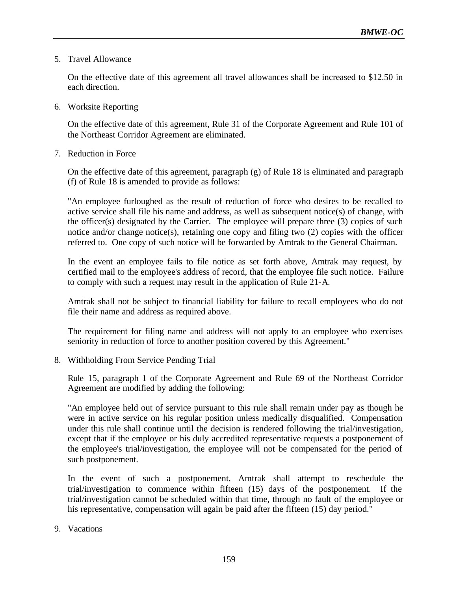5. Travel Allowance

On the effective date of this agreement all travel allowances shall be increased to \$12.50 in each direction.

6. Worksite Reporting

On the effective date of this agreement, Rule 31 of the Corporate Agreement and Rule 101 of the Northeast Corridor Agreement are eliminated.

7. Reduction in Force

On the effective date of this agreement, paragraph (g) of Rule 18 is eliminated and paragraph (f) of Rule 18 is amended to provide as follows:

"An employee furloughed as the result of reduction of force who desires to be recalled to active service shall file his name and address, as well as subsequent notice(s) of change, with the officer(s) designated by the Carrier. The employee will prepare three (3) copies of such notice and/or change notice(s), retaining one copy and filing two (2) copies with the officer referred to. One copy of such notice will be forwarded by Amtrak to the General Chairman.

In the event an employee fails to file notice as set forth above, Amtrak may request, by certified mail to the employee's address of record, that the employee file such notice. Failure to comply with such a request may result in the application of Rule 21-A.

Amtrak shall not be subject to financial liability for failure to recall employees who do not file their name and address as required above.

The requirement for filing name and address will not apply to an employee who exercises seniority in reduction of force to another position covered by this Agreement."

8. Withholding From Service Pending Trial

Rule 15, paragraph 1 of the Corporate Agreement and Rule 69 of the Northeast Corridor Agreement are modified by adding the following:

"An employee held out of service pursuant to this rule shall remain under pay as though he were in active service on his regular position unless medically disqualified. Compensation under this rule shall continue until the decision is rendered following the trial/investigation, except that if the employee or his duly accredited representative requests a postponement of the employee's trial/investigation, the employee will not be compensated for the period of such postponement.

In the event of such a postponement, Amtrak shall attempt to reschedule the trial/investigation to commence within fifteen (15) days of the postponement. If the trial/investigation cannot be scheduled within that time, through no fault of the employee or his representative, compensation will again be paid after the fifteen (15) day period."

9. Vacations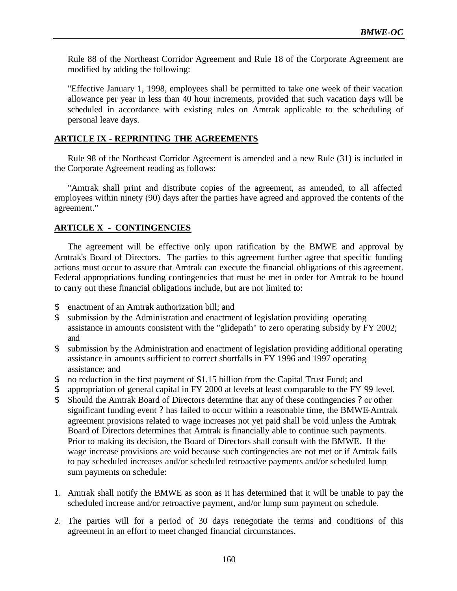Rule 88 of the Northeast Corridor Agreement and Rule 18 of the Corporate Agreement are modified by adding the following:

"Effective January 1, 1998, employees shall be permitted to take one week of their vacation allowance per year in less than 40 hour increments, provided that such vacation days will be scheduled in accordance with existing rules on Amtrak applicable to the scheduling of personal leave days.

## **ARTICLE IX - REPRINTING THE AGREEMENTS**

Rule 98 of the Northeast Corridor Agreement is amended and a new Rule (31) is included in the Corporate Agreement reading as follows:

"Amtrak shall print and distribute copies of the agreement, as amended, to all affected employees within ninety (90) days after the parties have agreed and approved the contents of the agreement."

# **ARTICLE X - CONTINGENCIES**

The agreement will be effective only upon ratification by the BMWE and approval by Amtrak's Board of Directors. The parties to this agreement further agree that specific funding actions must occur to assure that Amtrak can execute the financial obligations of this agreement. Federal appropriations funding contingencies that must be met in order for Amtrak to be bound to carry out these financial obligations include, but are not limited to:

- \$ enactment of an Amtrak authorization bill; and
- \$ submission by the Administration and enactment of legislation providing operating assistance in amounts consistent with the "glidepath" to zero operating subsidy by FY 2002; and
- \$ submission by the Administration and enactment of legislation providing additional operating assistance in amounts sufficient to correct shortfalls in FY 1996 and 1997 operating assistance; and
- \$ no reduction in the first payment of \$1.15 billion from the Capital Trust Fund; and
- appropriation of general capital in FY 2000 at levels at least comparable to the FY 99 level.
- \$ Should the Amtrak Board of Directors determine that any of these contingencies ? or other significant funding event ? has failed to occur within a reasonable time, the BMWE-Amtrak agreement provisions related to wage increases not yet paid shall be void unless the Amtrak Board of Directors determines that Amtrak is financially able to continue such payments. Prior to making its decision, the Board of Directors shall consult with the BMWE. If the wage increase provisions are void because such contingencies are not met or if Amtrak fails to pay scheduled increases and/or scheduled retroactive payments and/or scheduled lump sum payments on schedule:
- 1. Amtrak shall notify the BMWE as soon as it has determined that it will be unable to pay the scheduled increase and/or retroactive payment, and/or lump sum payment on schedule.
- 2. The parties will for a period of 30 days renegotiate the terms and conditions of this agreement in an effort to meet changed financial circumstances.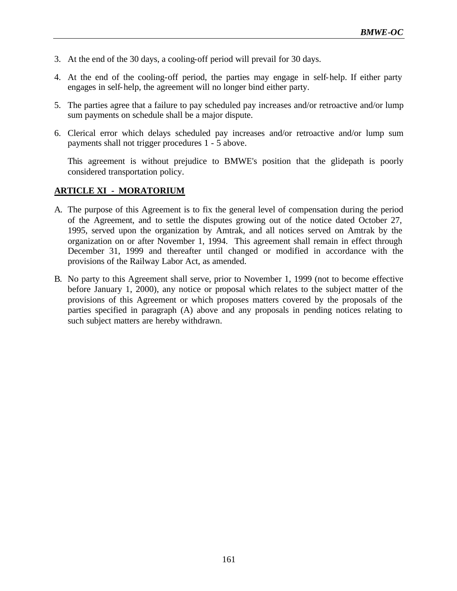- 3. At the end of the 30 days, a cooling-off period will prevail for 30 days.
- 4. At the end of the cooling-off period, the parties may engage in self-help. If either party engages in self-help, the agreement will no longer bind either party.
- 5. The parties agree that a failure to pay scheduled pay increases and/or retroactive and/or lump sum payments on schedule shall be a major dispute.
- 6. Clerical error which delays scheduled pay increases and/or retroactive and/or lump sum payments shall not trigger procedures 1 - 5 above.

This agreement is without prejudice to BMWE's position that the glidepath is poorly considered transportation policy.

## **ARTICLE XI - MORATORIUM**

- A. The purpose of this Agreement is to fix the general level of compensation during the period of the Agreement, and to settle the disputes growing out of the notice dated October 27, 1995, served upon the organization by Amtrak, and all notices served on Amtrak by the organization on or after November 1, 1994. This agreement shall remain in effect through December 31, 1999 and thereafter until changed or modified in accordance with the provisions of the Railway Labor Act, as amended.
- B. No party to this Agreement shall serve, prior to November 1, 1999 (not to become effective before January 1, 2000), any notice or proposal which relates to the subject matter of the provisions of this Agreement or which proposes matters covered by the proposals of the parties specified in paragraph (A) above and any proposals in pending notices relating to such subject matters are hereby withdrawn.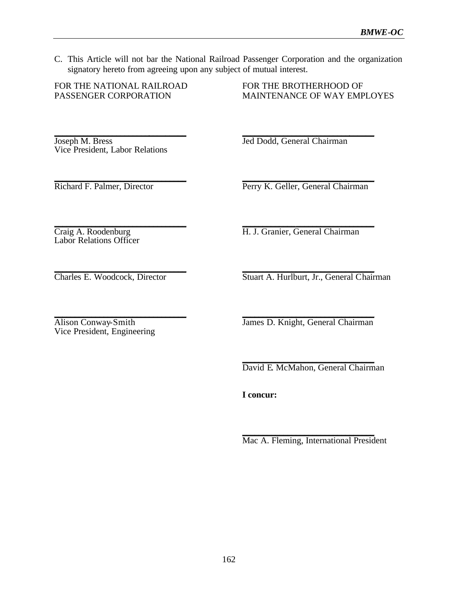C. This Article will not bar the National Railroad Passenger Corporation and the organization signatory hereto from agreeing upon any subject of mutual interest.

FOR THE NATIONAL RAILROAD PASSENGER CORPORATION

FOR THE BROTHERHOOD OF MAINTENANCE OF WAY EMPLOYES

\_\_\_\_\_\_\_\_\_\_\_\_\_\_\_\_\_\_\_\_\_\_\_\_\_\_\_\_\_\_\_\_ Joseph M. Bress Vice President, Labor Relations

\_\_\_\_\_\_\_\_\_\_\_\_\_\_\_\_\_\_\_\_\_\_\_\_\_\_\_\_\_\_\_\_ Richard F. Palmer, Director

Jed Dodd, General Chairman

\_\_\_\_\_\_\_\_\_\_\_\_\_\_\_\_\_\_\_\_\_\_\_\_\_\_\_\_\_\_\_\_ Perry K. Geller, General Chairman

\_\_\_\_\_\_\_\_\_\_\_\_\_\_\_\_\_\_\_\_\_\_\_\_\_\_\_\_\_\_\_\_ H. J. Granier, General Chairman

\_\_\_\_\_\_\_\_\_\_\_\_\_\_\_\_\_\_\_\_\_\_\_\_\_\_\_\_\_\_\_\_

\_\_\_\_\_\_\_\_\_\_\_\_\_\_\_\_\_\_\_\_\_\_\_\_\_\_\_\_\_\_\_\_ Craig A. Roodenburg Labor Relations Officer

\_\_\_\_\_\_\_\_\_\_\_\_\_\_\_\_\_\_\_\_\_\_\_\_\_\_\_\_\_\_\_\_

\_\_\_\_\_\_\_\_\_\_\_\_\_\_\_\_\_\_\_\_\_\_\_\_\_\_\_\_\_\_\_\_ Charles E. Woodcock, Director

\_\_\_\_\_\_\_\_\_\_\_\_\_\_\_\_\_\_\_\_\_\_\_\_\_\_\_\_\_\_\_\_

Stuart A. Hurlburt, Jr., General Chairman

Alison Conway-Smith Vice President, Engineering \_\_\_\_\_\_\_\_\_\_\_\_\_\_\_\_\_\_\_\_\_\_\_\_\_\_\_\_\_\_\_\_ James D. Knight, General Chairman

\_\_\_\_\_\_\_\_\_\_\_\_\_\_\_\_\_\_\_\_\_\_\_\_\_\_\_\_\_\_\_\_ David E. McMahon, General Chairman

**I concur:**

\_\_\_\_\_\_\_\_\_\_\_\_\_\_\_\_\_\_\_\_\_\_\_\_\_\_\_\_\_\_\_\_ Mac A. Fleming, International President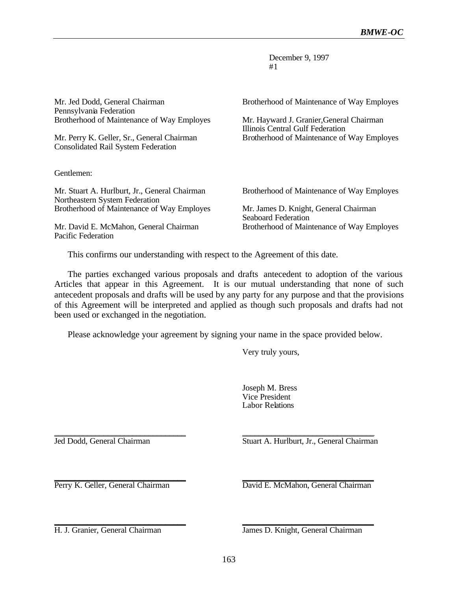| Mr. Jed Dodd, General Chairman<br>Pennsylvania Federation                                | Brotherhood of Maintenance of Way Employes                                   |
|------------------------------------------------------------------------------------------|------------------------------------------------------------------------------|
| Brotherhood of Maintenance of Way Employes                                               | Mr. Hayward J. Granier, General Chairman<br>Illinois Central Gulf Federation |
| Mr. Perry K. Geller, Sr., General Chairman<br><b>Consolidated Rail System Federation</b> | Brotherhood of Maintenance of Way Employes                                   |
| Gentlemen:                                                                               |                                                                              |
| Mr. Stuart A. Hurlburt, Jr., General Chairman<br>Northeastern System Federation          | Brotherhood of Maintenance of Way Employes                                   |
| Brotherhood of Maintenance of Way Employes                                               | Mr. James D. Knight, General Chairman<br><b>Seaboard Federation</b>          |
| Mr. David E. McMahon, General Chairman<br>Pacific Federation                             | Brotherhood of Maintenance of Way Employes                                   |

This confirms our understanding with respect to the Agreement of this date.

The parties exchanged various proposals and drafts antecedent to adoption of the various Articles that appear in this Agreement. It is our mutual understanding that none of such antecedent proposals and drafts will be used by any party for any purpose and that the provisions of this Agreement will be interpreted and applied as though such proposals and drafts had not been used or exchanged in the negotiation.

Please acknowledge your agreement by signing your name in the space provided below.

Very truly yours,

Joseph M. Bress Vice President Labor Relations

\_\_\_\_\_\_\_\_\_\_\_\_\_\_\_\_\_\_\_\_\_\_\_\_\_\_\_\_\_\_\_\_ Jed Dodd, General Chairman

\_\_\_\_\_\_\_\_\_\_\_\_\_\_\_\_\_\_\_\_\_\_\_\_\_\_\_\_\_\_\_\_ Perry K. Geller, General Chairman

H. J. Granier, General Chairman

\_\_\_\_\_\_\_\_\_\_\_\_\_\_\_\_\_\_\_\_\_\_\_\_\_\_\_\_\_\_\_\_

\_\_\_\_\_\_\_\_\_\_\_\_\_\_\_\_\_\_\_\_\_\_\_\_\_\_\_\_\_\_\_\_ David E. McMahon, General Chairman

\_\_\_\_\_\_\_\_\_\_\_\_\_\_\_\_\_\_\_\_\_\_\_\_\_\_\_\_\_\_\_\_

\_\_\_\_\_\_\_\_\_\_\_\_\_\_\_\_\_\_\_\_\_\_\_\_\_\_\_\_\_\_\_\_ Stuart A. Hurlburt, Jr., General Chairman

James D. Knight, General Chairman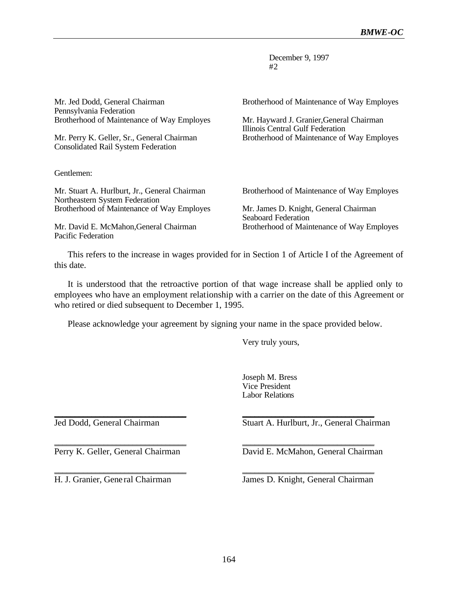| Mr. Jed Dodd, General Chairman<br>Pennsylvania Federation<br>Brotherhood of Maintenance of Way Employes<br>Mr. Perry K. Geller, Sr., General Chairman<br><b>Consolidated Rail System Federation</b> | Brotherhood of Maintenance of Way Employes<br>Mr. Hayward J. Granier, General Chairman<br>Illinois Central Gulf Federation<br>Brotherhood of Maintenance of Way Employes |
|-----------------------------------------------------------------------------------------------------------------------------------------------------------------------------------------------------|--------------------------------------------------------------------------------------------------------------------------------------------------------------------------|
| Gentlemen:                                                                                                                                                                                          |                                                                                                                                                                          |
| Mr. Stuart A. Hurlburt, Jr., General Chairman<br>Northeastern System Federation                                                                                                                     | Brotherhood of Maintenance of Way Employes                                                                                                                               |
| Brotherhood of Maintenance of Way Employes                                                                                                                                                          | Mr. James D. Knight, General Chairman<br><b>Seaboard Federation</b>                                                                                                      |
| Mr. David E. McMahon, General Chairman<br>Pacific Federation                                                                                                                                        | Brotherhood of Maintenance of Way Employes                                                                                                                               |

This refers to the increase in wages provided for in Section 1 of Article I of the Agreement of this date.

It is understood that the retroactive portion of that wage increase shall be applied only to employees who have an employment relationship with a carrier on the date of this Agreement or who retired or died subsequent to December 1, 1995.

Please acknowledge your agreement by signing your name in the space provided below.

Very truly yours,

Joseph M. Bress Vice President Labor Relations

Jed Dodd, General Chairman

\_\_\_\_\_\_\_\_\_\_\_\_\_\_\_\_\_\_\_\_\_\_\_\_\_\_\_\_\_\_\_\_ Perry K. Geller, General Chairman

\_\_\_\_\_\_\_\_\_\_\_\_\_\_\_\_\_\_\_\_\_\_\_\_\_\_\_\_\_\_\_\_

\_\_\_\_\_\_\_\_\_\_\_\_\_\_\_\_\_\_\_\_\_\_\_\_\_\_\_\_\_\_\_\_

H. J. Granier, Gene ral Chairman

Stuart A. Hurlburt, Jr., General Chairman

\_\_\_\_\_\_\_\_\_\_\_\_\_\_\_\_\_\_\_\_\_\_\_\_\_\_\_\_\_\_\_\_

\_\_\_\_\_\_\_\_\_\_\_\_\_\_\_\_\_\_\_\_\_\_\_\_\_\_\_\_\_\_\_\_ David E. McMahon, General Chairman

\_\_\_\_\_\_\_\_\_\_\_\_\_\_\_\_\_\_\_\_\_\_\_\_\_\_\_\_\_\_\_\_ James D. Knight, General Chairman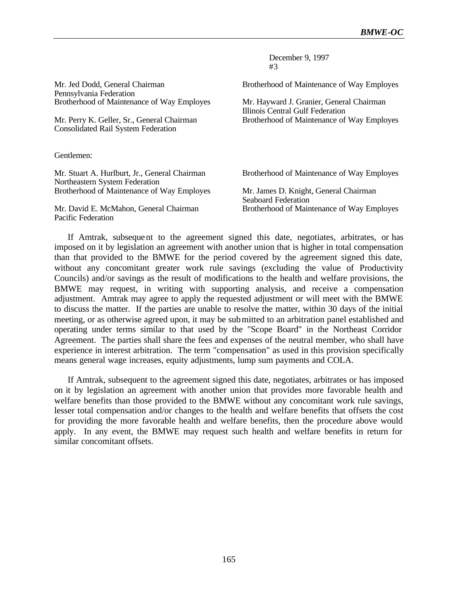| Mr. Jed Dodd, General Chairman                                                  | Brotherhood of Maintenance of Way Employes                                   |
|---------------------------------------------------------------------------------|------------------------------------------------------------------------------|
| Pennsylvania Federation                                                         |                                                                              |
| Brotherhood of Maintenance of Way Employes                                      | Mr. Hayward J. Granier, General Chairman<br>Illinois Central Gulf Federation |
| Mr. Perry K. Geller, Sr., General Chairman                                      | Brotherhood of Maintenance of Way Employes                                   |
| <b>Consolidated Rail System Federation</b>                                      |                                                                              |
|                                                                                 |                                                                              |
| Gentlemen:                                                                      |                                                                              |
| Mr. Stuart A. Hurlburt, Jr., General Chairman<br>Northeastern System Federation | Brotherhood of Maintenance of Way Employes                                   |
| Brotherhood of Maintenance of Way Employes                                      | Mr. James D. Knight, General Chairman<br>Seaboard Federation                 |
| Mr. David E. McMahon, General Chairman<br>Pacific Federation                    | Brotherhood of Maintenance of Way Employes                                   |
|                                                                                 |                                                                              |

If Amtrak, subsequent to the agreement signed this date, negotiates, arbitrates, or has imposed on it by legislation an agreement with another union that is higher in total compensation than that provided to the BMWE for the period covered by the agreement signed this date, without any concomitant greater work rule savings (excluding the value of Productivity Councils) and/or savings as the result of modifications to the health and welfare provisions, the BMWE may request, in writing with supporting analysis, and receive a compensation adjustment. Amtrak may agree to apply the requested adjustment or will meet with the BMWE to discuss the matter. If the parties are unable to resolve the matter, within 30 days of the initial meeting, or as otherwise agreed upon, it may be submitted to an arbitration panel established and operating under terms similar to that used by the "Scope Board" in the Northeast Corridor Agreement. The parties shall share the fees and expenses of the neutral member, who shall have experience in interest arbitration. The term "compensation" as used in this provision specifically means general wage increases, equity adjustments, lump sum payments and COLA.

If Amtrak, subsequent to the agreement signed this date, negotiates, arbitrates or has imposed on it by legislation an agreement with another union that provides more favorable health and welfare benefits than those provided to the BMWE without any concomitant work rule savings, lesser total compensation and/or changes to the health and welfare benefits that offsets the cost for providing the more favorable health and welfare benefits, then the procedure above would apply. In any event, the BMWE may request such health and welfare benefits in return for similar concomitant offsets.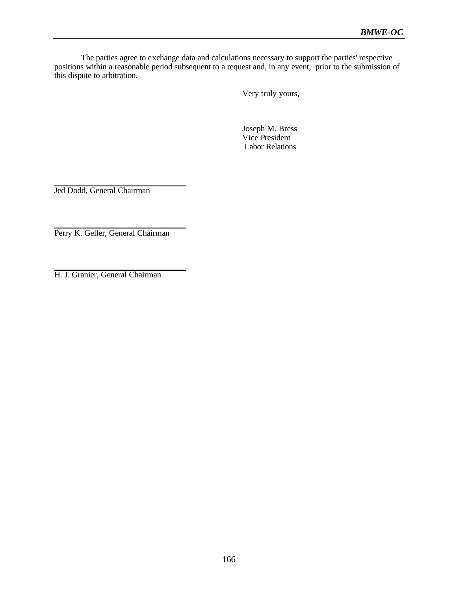The parties agree to exchange data and calculations necessary to support the parties' respective positions within a reasonable period subsequent to a request and, in any event, prior to the submission of this dispute to arbitration.

Very truly yours,

Joseph M. Bress Vice President Labor Relations

\_\_\_\_\_\_\_\_\_\_\_\_\_\_\_\_\_\_\_\_\_\_\_\_\_\_\_\_\_\_\_\_ Jed Dodd, General Chairman

\_\_\_\_\_\_\_\_\_\_\_\_\_\_\_\_\_\_\_\_\_\_\_\_\_\_\_\_\_\_\_\_ Perry K. Geller, General Chairman

\_\_\_\_\_\_\_\_\_\_\_\_\_\_\_\_\_\_\_\_\_\_\_\_\_\_\_\_\_\_\_\_ H. J. Granier, General Chairman